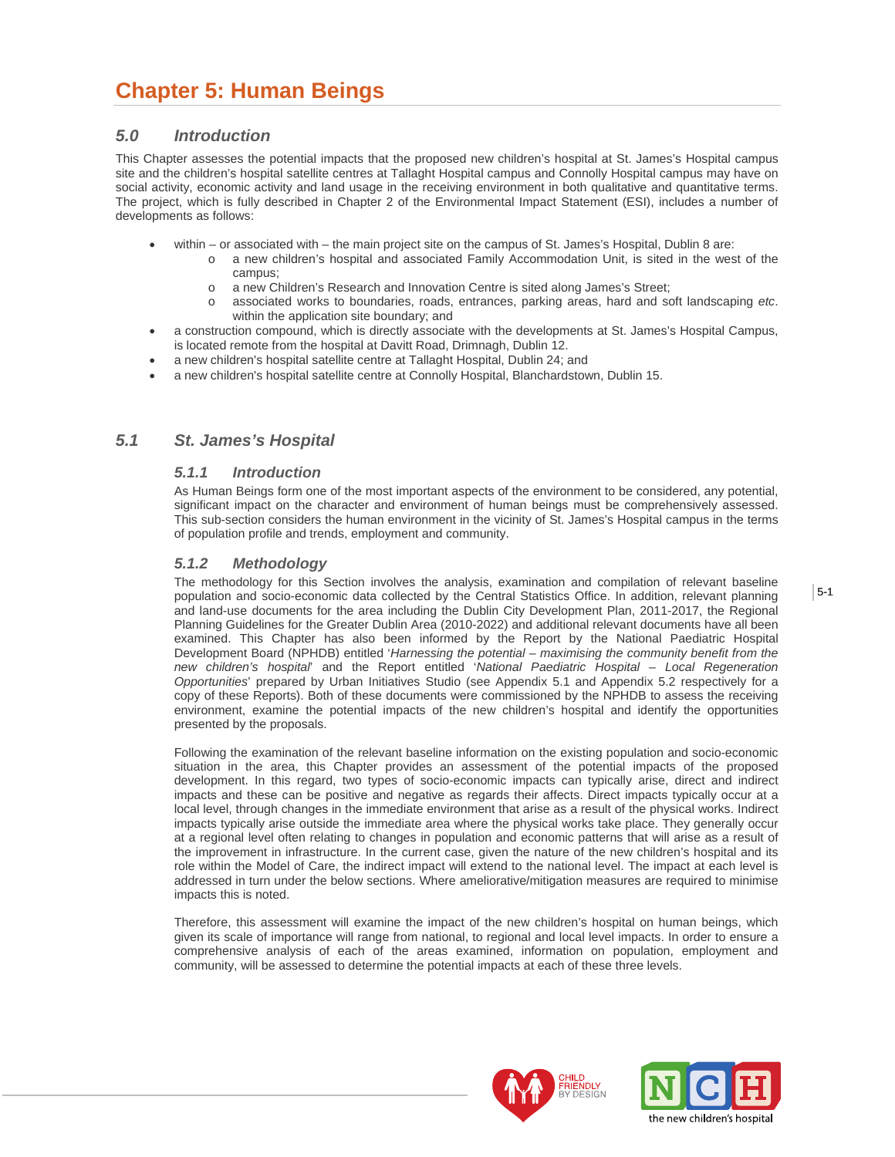# **Chapter 5: Human Beings**

## *5.0 Introduction*

This Chapter assesses the potential impacts that the proposed new children's hospital at St. James's Hospital campus site and the children's hospital satellite centres at Tallaght Hospital campus and Connolly Hospital campus may have on social activity, economic activity and land usage in the receiving environment in both qualitative and quantitative terms. The project, which is fully described in Chapter 2 of the Environmental Impact Statement (ESI), includes a number of developments as follows:

- within or associated with the main project site on the campus of St. James's Hospital, Dublin 8 are:
	- o a new children's hospital and associated Family Accommodation Unit, is sited in the west of the campus;
		- o a new Children's Research and Innovation Centre is sited along James's Street;
	- o associated works to boundaries, roads, entrances, parking areas, hard and soft landscaping *etc*. within the application site boundary; and
- a construction compound, which is directly associate with the developments at St. James's Hospital Campus, is located remote from the hospital at Davitt Road, Drimnagh, Dublin 12.
- a new children's hospital satellite centre at Tallaght Hospital, Dublin 24; and
- a new children's hospital satellite centre at Connolly Hospital, Blanchardstown, Dublin 15.

## *5.1 St. James's Hospital*

## *5.1.1 Introduction*

As Human Beings form one of the most important aspects of the environment to be considered, any potential, significant impact on the character and environment of human beings must be comprehensively assessed. This sub-section considers the human environment in the vicinity of St. James's Hospital campus in the terms of population profile and trends, employment and community.

## *5.1.2 Methodology*

The methodology for this Section involves the analysis, examination and compilation of relevant baseline population and socio-economic data collected by the Central Statistics Office. In addition, relevant planning and land-use documents for the area including the Dublin City Development Plan, 2011-2017, the Regional Planning Guidelines for the Greater Dublin Area (2010-2022) and additional relevant documents have all been examined. This Chapter has also been informed by the Report by the National Paediatric Hospital Development Board (NPHDB) entitled '*Harnessing the potential – maximising the community benefit from the new children's hospital*' and the Report entitled '*National Paediatric Hospital – Local Regeneration Opportunities*' prepared by Urban Initiatives Studio (see Appendix 5.1 and Appendix 5.2 respectively for a copy of these Reports). Both of these documents were commissioned by the NPHDB to assess the receiving environment, examine the potential impacts of the new children's hospital and identify the opportunities presented by the proposals.

Following the examination of the relevant baseline information on the existing population and socio-economic situation in the area, this Chapter provides an assessment of the potential impacts of the proposed development. In this regard, two types of socio-economic impacts can typically arise, direct and indirect impacts and these can be positive and negative as regards their affects. Direct impacts typically occur at a local level, through changes in the immediate environment that arise as a result of the physical works. Indirect impacts typically arise outside the immediate area where the physical works take place. They generally occur at a regional level often relating to changes in population and economic patterns that will arise as a result of the improvement in infrastructure. In the current case, given the nature of the new children's hospital and its role within the Model of Care, the indirect impact will extend to the national level. The impact at each level is addressed in turn under the below sections. Where ameliorative/mitigation measures are required to minimise impacts this is noted.

Therefore, this assessment will examine the impact of the new children's hospital on human beings, which given its scale of importance will range from national, to regional and local level impacts. In order to ensure a comprehensive analysis of each of the areas examined, information on population, employment and community, will be assessed to determine the potential impacts at each of these three levels.



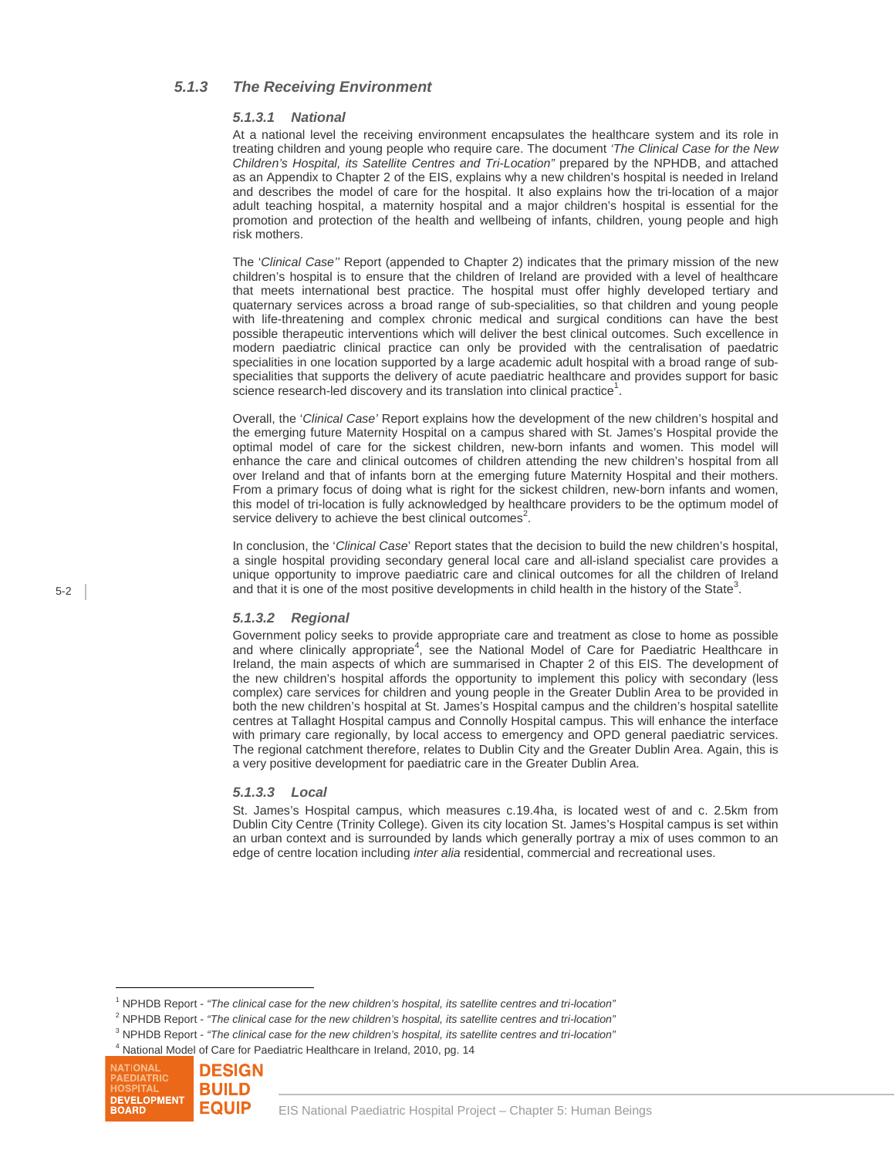## *5.1.3 The Receiving Environment*

#### *5.1.3.1 National*

At a national level the receiving environment encapsulates the healthcare system and its role in treating children and young people who require care. The document *'The Clinical Case for the New Children's Hospital, its Satellite Centres and Tri-Location"* prepared by the NPHDB, and attached as an Appendix to Chapter 2 of the EIS, explains why a new children's hospital is needed in Ireland and describes the model of care for the hospital. It also explains how the tri-location of a major adult teaching hospital, a maternity hospital and a major children's hospital is essential for the promotion and protection of the health and wellbeing of infants, children, young people and high risk mothers.

The '*Clinical Case''* Report (appended to Chapter 2) indicates that the primary mission of the new children's hospital is to ensure that the children of Ireland are provided with a level of healthcare that meets international best practice. The hospital must offer highly developed tertiary and quaternary services across a broad range of sub-specialities, so that children and young people with life-threatening and complex chronic medical and surgical conditions can have the best possible therapeutic interventions which will deliver the best clinical outcomes. Such excellence in modern paediatric clinical practice can only be provided with the centralisation of paedatric specialities in one location supported by a large academic adult hospital with a broad range of subspecialities that supports the delivery of acute paediatric healthcare and provides support for basic science research-led discovery and its translation into clinical practice<sup>1</sup>.

Overall, the '*Clinical Case'* Report explains how the development of the new children's hospital and the emerging future Maternity Hospital on a campus shared with St. James's Hospital provide the optimal model of care for the sickest children, new-born infants and women. This model will enhance the care and clinical outcomes of children attending the new children's hospital from all over Ireland and that of infants born at the emerging future Maternity Hospital and their mothers. From a primary focus of doing what is right for the sickest children, new-born infants and women, this model of tri-location is fully acknowledged by healthcare providers to be the optimum model of service delivery to achieve the best clinical outcomes<sup>2</sup>.

In conclusion, the '*Clinical Case*' Report states that the decision to build the new children's hospital, a single hospital providing secondary general local care and all-island specialist care provides a unique opportunity to improve paediatric care and clinical outcomes for all the children of Ireland and that it is one of the most positive developments in child health in the history of the State<sup>3</sup>.

### *5.1.3.2 Regional*

Government policy seeks to provide appropriate care and treatment as close to home as possible and where clinically appropriate<sup>4</sup>, see the National Model of Care for Paediatric Healthcare in Ireland, the main aspects of which are summarised in Chapter 2 of this EIS. The development of the new children's hospital affords the opportunity to implement this policy with secondary (less complex) care services for children and young people in the Greater Dublin Area to be provided in both the new children's hospital at St. James's Hospital campus and the children's hospital satellite centres at Tallaght Hospital campus and Connolly Hospital campus. This will enhance the interface with primary care regionally, by local access to emergency and OPD general paediatric services. The regional catchment therefore, relates to Dublin City and the Greater Dublin Area. Again, this is a very positive development for paediatric care in the Greater Dublin Area.

#### *5.1.3.3 Local*

St. James's Hospital campus, which measures c.19.4ha, is located west of and c. 2.5km from Dublin City Centre (Trinity College). Given its city location St. James's Hospital campus is set within an urban context and is surrounded by lands which generally portray a mix of uses common to an edge of centre location including *inter alia* residential, commercial and recreational uses.

 $4$  National Model of Care for Paediatric Healthcare in Ireland, 2010, pg. 14



 $\overline{a}$ 

<sup>&</sup>lt;sup>1</sup> NPHDB Report - *"The clinical case for the new children's hospital, its satellite centres and tri-location"*<br><sup>2</sup> NPHDB Bapart - "The clinical case for the new children's beapital, its satellite centres and tri-location

<sup>&</sup>lt;sup>2</sup> NPHDB Report - "The clinical case for the new children's hospital, its satellite centres and tri-location"

NPHDB Report - *"The clinical case for the new children's hospital, its satellite centres and tri-location"* 4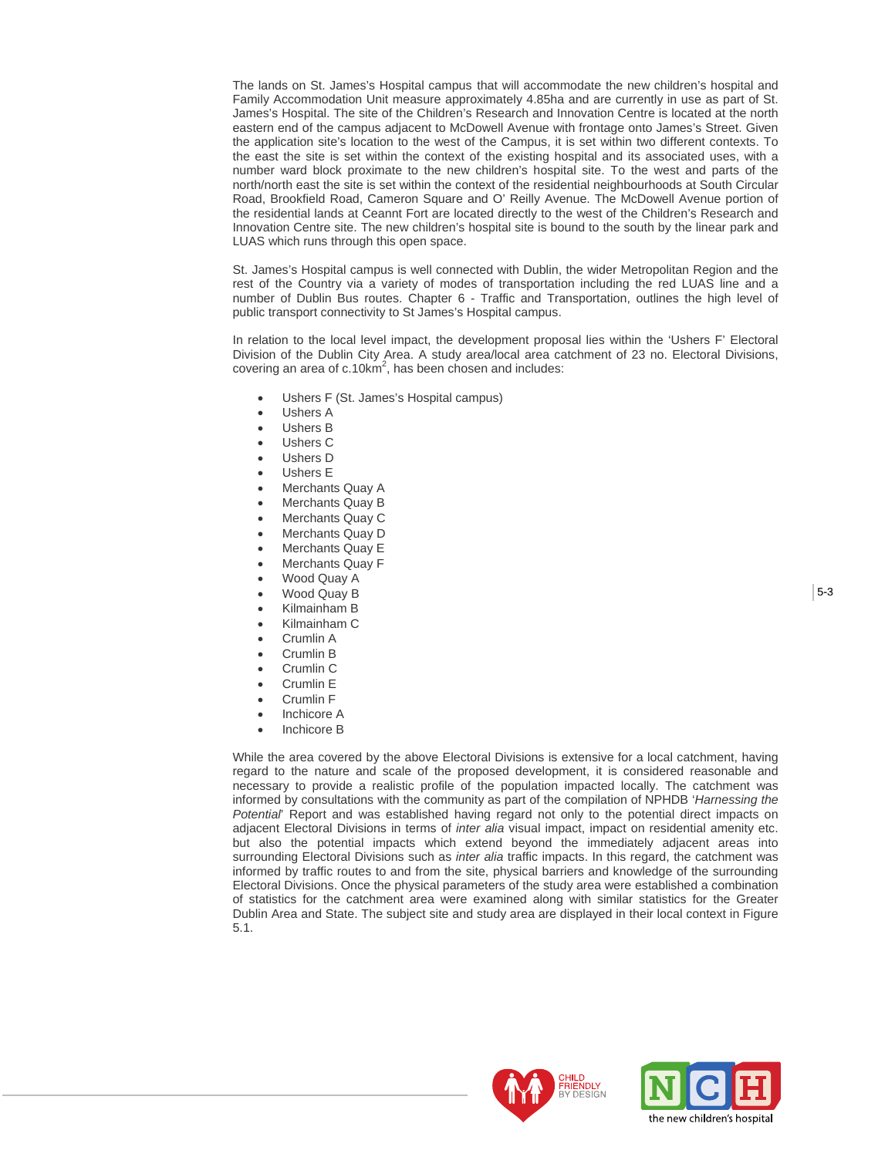The lands on St. James's Hospital campus that will accommodate the new children's hospital and Family Accommodation Unit measure approximately 4.85ha and are currently in use as part of St. James's Hospital. The site of the Children's Research and Innovation Centre is located at the north eastern end of the campus adjacent to McDowell Avenue with frontage onto James's Street. Given the application site's location to the west of the Campus, it is set within two different contexts. To the east the site is set within the context of the existing hospital and its associated uses, with a number ward block proximate to the new children's hospital site. To the west and parts of the north/north east the site is set within the context of the residential neighbourhoods at South Circular Road, Brookfield Road, Cameron Square and O' Reilly Avenue. The McDowell Avenue portion of the residential lands at Ceannt Fort are located directly to the west of the Children's Research and Innovation Centre site. The new children's hospital site is bound to the south by the linear park and LUAS which runs through this open space.

St. James's Hospital campus is well connected with Dublin, the wider Metropolitan Region and the rest of the Country via a variety of modes of transportation including the red LUAS line and a number of Dublin Bus routes. Chapter 6 - Traffic and Transportation, outlines the high level of public transport connectivity to St James's Hospital campus.

In relation to the local level impact, the development proposal lies within the 'Ushers F' Electoral Division of the Dublin City Area. A study area/local area catchment of 23 no. Electoral Divisions, covering an area of  $c.10 \text{km}^2$ , has been chosen and includes:

- Ushers F (St. James's Hospital campus)
- Ushers A
- Ushers B
- Ushers C
- Ushers D
- Ushers E
- Merchants Quay A
- Merchants Quay B
- Merchants Quay C
- Merchants Quay D
- Merchants Quay E
- Merchants Quay F
- Wood Quay A
- Wood Quay B
- Kilmainham B
- Kilmainham C
- Crumlin A
- Crumlin B
- Crumlin C
- Crumlin E
- Crumlin F
- Inchicore A
- Inchicore B

While the area covered by the above Electoral Divisions is extensive for a local catchment, having regard to the nature and scale of the proposed development, it is considered reasonable and necessary to provide a realistic profile of the population impacted locally. The catchment was informed by consultations with the community as part of the compilation of NPHDB '*Harnessing the Potential*' Report and was established having regard not only to the potential direct impacts on adjacent Electoral Divisions in terms of *inter alia* visual impact, impact on residential amenity etc. but also the potential impacts which extend beyond the immediately adjacent areas into surrounding Electoral Divisions such as *inter alia* traffic impacts. In this regard, the catchment was informed by traffic routes to and from the site, physical barriers and knowledge of the surrounding Electoral Divisions. Once the physical parameters of the study area were established a combination of statistics for the catchment area were examined along with similar statistics for the Greater Dublin Area and State. The subject site and study area are displayed in their local context in Figure 5.1.



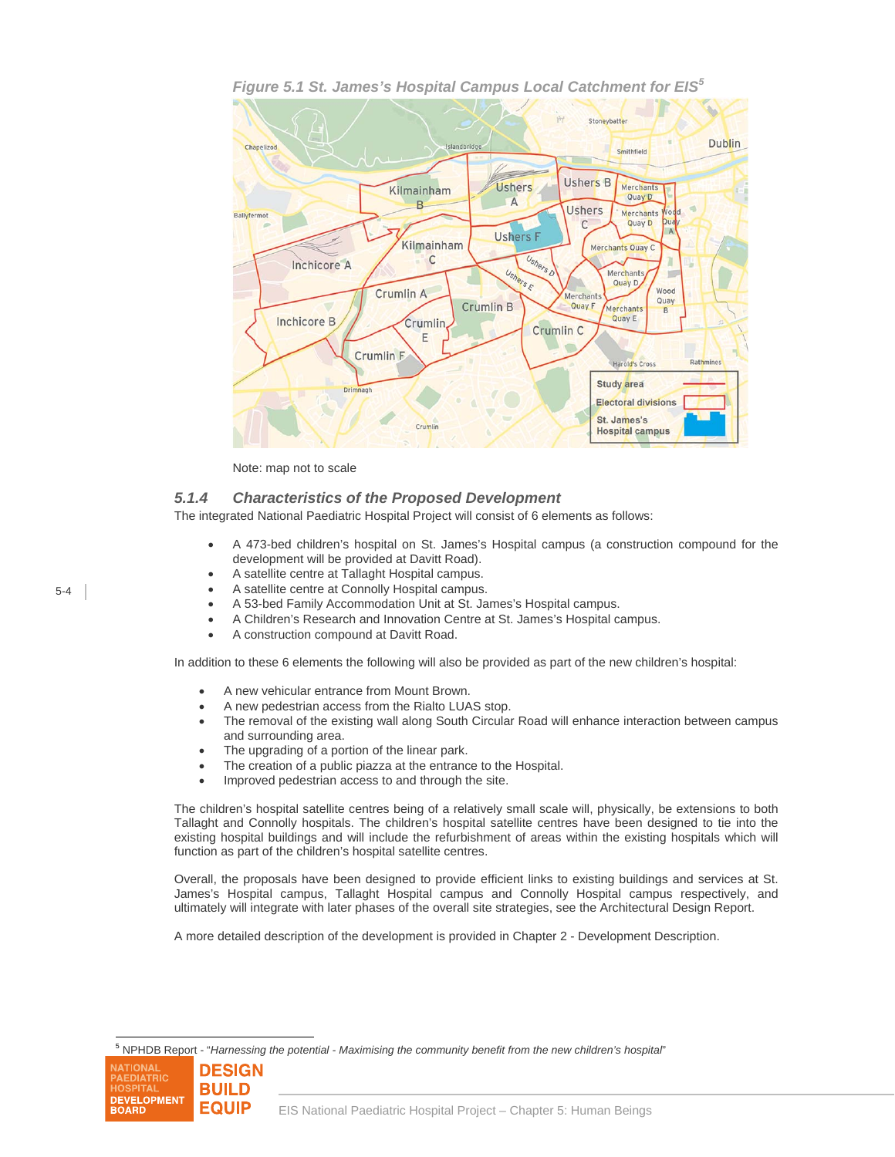

*Figure 5.1 St. James's Hospital Campus Local Catchment for EIS<sup>5</sup>*

Note: map not to scale

## *5.1.4 Characteristics of the Proposed Development*

The integrated National Paediatric Hospital Project will consist of 6 elements as follows:

- A 473-bed children's hospital on St. James's Hospital campus (a construction compound for the development will be provided at Davitt Road).
- A satellite centre at Tallaght Hospital campus.
- A satellite centre at Connolly Hospital campus.
- A 53-bed Family Accommodation Unit at St. James's Hospital campus.
- A Children's Research and Innovation Centre at St. James's Hospital campus.
- A construction compound at Davitt Road.

In addition to these 6 elements the following will also be provided as part of the new children's hospital:

- A new vehicular entrance from Mount Brown.
- A new pedestrian access from the Rialto LUAS stop.
- The removal of the existing wall along South Circular Road will enhance interaction between campus and surrounding area.
- The upgrading of a portion of the linear park.
- The creation of a public piazza at the entrance to the Hospital.
- Improved pedestrian access to and through the site.

The children's hospital satellite centres being of a relatively small scale will, physically, be extensions to both Tallaght and Connolly hospitals. The children's hospital satellite centres have been designed to tie into the existing hospital buildings and will include the refurbishment of areas within the existing hospitals which will function as part of the children's hospital satellite centres.

Overall, the proposals have been designed to provide efficient links to existing buildings and services at St. James's Hospital campus, Tallaght Hospital campus and Connolly Hospital campus respectively, and ultimately will integrate with later phases of the overall site strategies, see the Architectural Design Report.

A more detailed description of the development is provided in Chapter 2 - Development Description.

<sup>5</sup> NPHDB Report - "*Harnessing the potential - Maximising the community benefit from the new children's hospital*"



l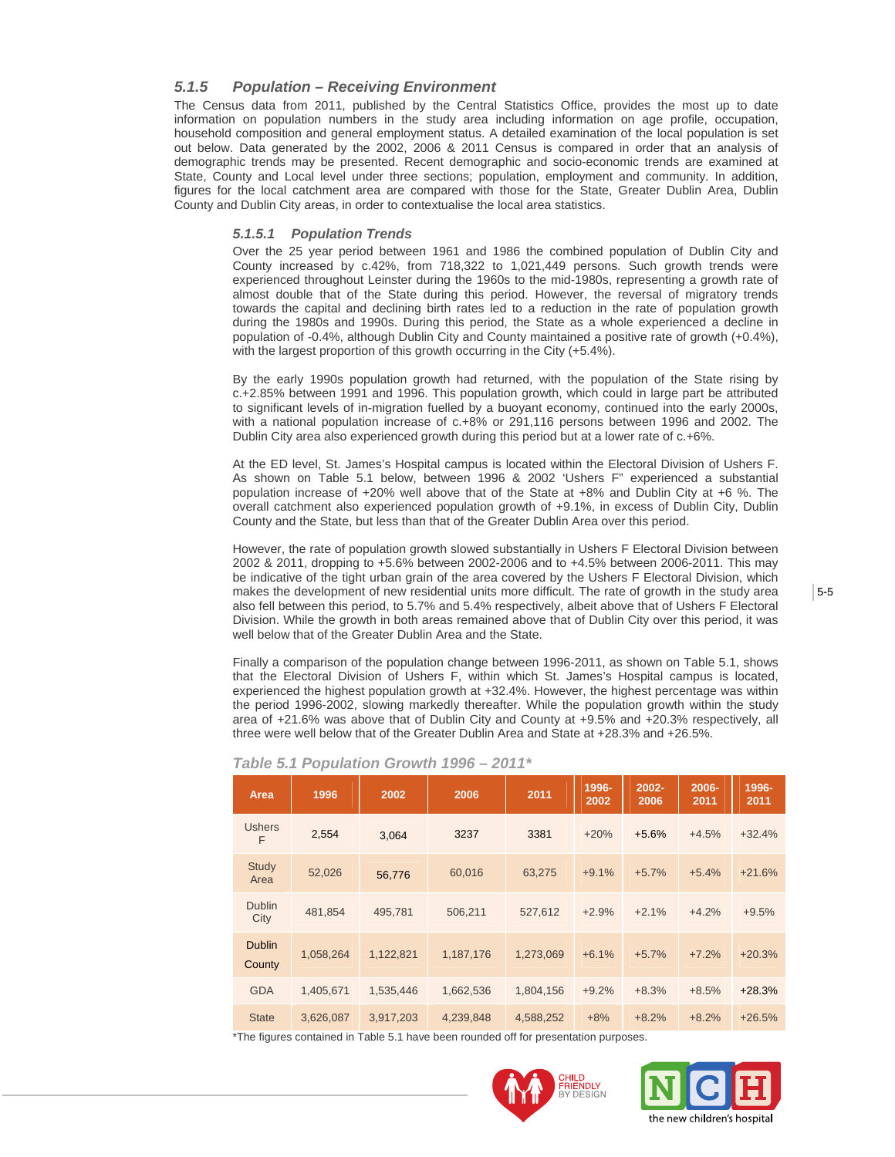## *5.1.5 Population – Receiving Environment*

The Census data from 2011, published by the Central Statistics Office, provides the most up to date information on population numbers in the study area including information on age profile, occupation, household composition and general employment status. A detailed examination of the local population is set out below. Data generated by the 2002, 2006 & 2011 Census is compared in order that an analysis of demographic trends may be presented. Recent demographic and socio-economic trends are examined at State, County and Local level under three sections; population, employment and community. In addition, figures for the local catchment area are compared with those for the State, Greater Dublin Area, Dublin County and Dublin City areas, in order to contextualise the local area statistics.

#### *5.1.5.1 Population Trends*

Over the 25 year period between 1961 and 1986 the combined population of Dublin City and County increased by c.42%, from 718,322 to 1,021,449 persons. Such growth trends were experienced throughout Leinster during the 1960s to the mid-1980s, representing a growth rate of almost double that of the State during this period. However, the reversal of migratory trends towards the capital and declining birth rates led to a reduction in the rate of population growth during the 1980s and 1990s. During this period, the State as a whole experienced a decline in population of -0.4%, although Dublin City and County maintained a positive rate of growth (+0.4%), with the largest proportion of this growth occurring in the City (+5.4%).

By the early 1990s population growth had returned, with the population of the State rising by c.+2.85% between 1991 and 1996. This population growth, which could in large part be attributed to significant levels of in-migration fuelled by a buoyant economy, continued into the early 2000s, with a national population increase of c.+8% or 291,116 persons between 1996 and 2002. The Dublin City area also experienced growth during this period but at a lower rate of c.+6%.

At the ED level, St. James's Hospital campus is located within the Electoral Division of Ushers F. As shown on Table 5.1 below, between 1996 & 2002 'Ushers F" experienced a substantial population increase of +20% well above that of the State at +8% and Dublin City at +6 %. The overall catchment also experienced population growth of +9.1%, in excess of Dublin City, Dublin County and the State, but less than that of the Greater Dublin Area over this period.

However, the rate of population growth slowed substantially in Ushers F Electoral Division between 2002 & 2011, dropping to +5.6% between 2002-2006 and to +4.5% between 2006-2011. This may be indicative of the tight urban grain of the area covered by the Ushers F Electoral Division, which makes the development of new residential units more difficult. The rate of growth in the study area also fell between this period, to 5.7% and 5.4% respectively, albeit above that of Ushers F Electoral Division. While the growth in both areas remained above that of Dublin City over this period, it was well below that of the Greater Dublin Area and the State.

Finally a comparison of the population change between 1996-2011, as shown on Table 5.1, shows that the Electoral Division of Ushers F, within which St. James's Hospital campus is located, experienced the highest population growth at +32.4%. However, the highest percentage was within the period 1996-2002, slowing markedly thereafter. While the population growth within the study area of +21.6% was above that of Dublin City and County at +9.5% and +20.3% respectively, all three were well below that of the Greater Dublin Area and State at +28.3% and +26.5%.

| Area                    | 1996      | 2002      | 2006      | 2011      | 1996-<br>2002 | $2002 -$<br>2006 | 2006-<br>2011 | 1996-<br>2011 |
|-------------------------|-----------|-----------|-----------|-----------|---------------|------------------|---------------|---------------|
| <b>Ushers</b><br>F      | 2,554     | 3,064     | 3237      | 3381      | $+20%$        | $+5.6%$          | $+4.5%$       | $+32.4%$      |
| <b>Study</b><br>Area    | 52,026    | 56,776    | 60,016    | 63,275    | $+9.1%$       | $+5.7%$          | $+5.4%$       | $+21.6%$      |
| <b>Dublin</b><br>City   | 481,854   | 495,781   | 506,211   | 527,612   | $+2.9%$       | $+2.1%$          | $+4.2%$       | $+9.5%$       |
| <b>Dublin</b><br>County | 1,058,264 | 1,122,821 | 1,187,176 | 1,273,069 | $+6.1%$       | $+5.7%$          | $+7.2%$       | $+20.3%$      |
| <b>GDA</b>              | 1,405,671 | 1,535,446 | 1,662,536 | 1,804,156 | $+9.2%$       | $+8.3%$          | $+8.5%$       | $+28.3%$      |
| <b>State</b>            | 3,626,087 | 3.917.203 | 4,239,848 | 4,588,252 | $+8%$         | $+8.2%$          | $+8.2%$       | $+26.5%$      |

## *Table 5.1 Population Growth 1996 – 2011\**

\*The figures contained in Table 5.1 have been rounded off for presentation purposes.



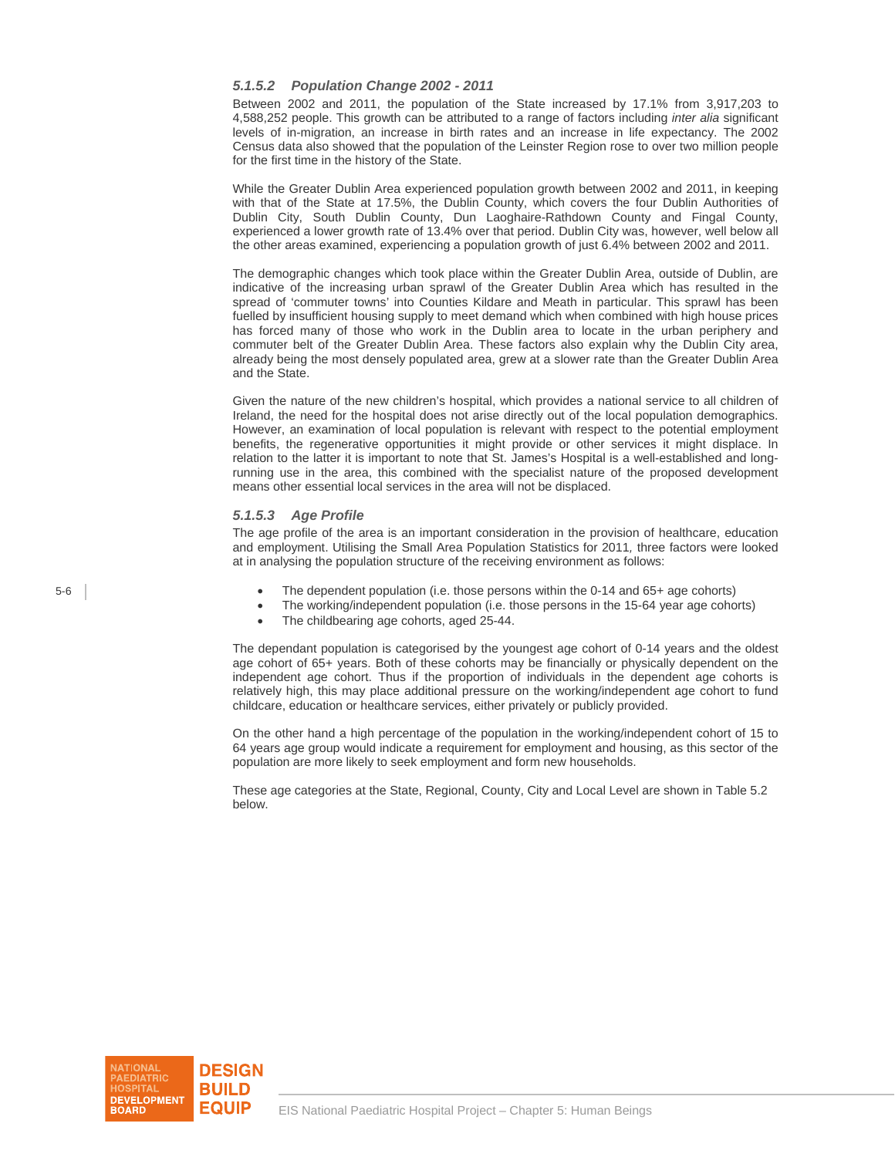#### *5.1.5.2 Population Change 2002 - 2011*

Between 2002 and 2011, the population of the State increased by 17.1% from 3,917,203 to 4,588,252 people. This growth can be attributed to a range of factors including *inter alia* significant levels of in-migration, an increase in birth rates and an increase in life expectancy. The 2002 Census data also showed that the population of the Leinster Region rose to over two million people for the first time in the history of the State.

While the Greater Dublin Area experienced population growth between 2002 and 2011, in keeping with that of the State at 17.5%, the Dublin County, which covers the four Dublin Authorities of Dublin City, South Dublin County, Dun Laoghaire-Rathdown County and Fingal County, experienced a lower growth rate of 13.4% over that period. Dublin City was, however, well below all the other areas examined, experiencing a population growth of just 6.4% between 2002 and 2011.

The demographic changes which took place within the Greater Dublin Area, outside of Dublin, are indicative of the increasing urban sprawl of the Greater Dublin Area which has resulted in the spread of 'commuter towns' into Counties Kildare and Meath in particular. This sprawl has been fuelled by insufficient housing supply to meet demand which when combined with high house prices has forced many of those who work in the Dublin area to locate in the urban periphery and commuter belt of the Greater Dublin Area. These factors also explain why the Dublin City area, already being the most densely populated area, grew at a slower rate than the Greater Dublin Area and the State.

Given the nature of the new children's hospital, which provides a national service to all children of Ireland, the need for the hospital does not arise directly out of the local population demographics. However, an examination of local population is relevant with respect to the potential employment benefits, the regenerative opportunities it might provide or other services it might displace. In relation to the latter it is important to note that St. James's Hospital is a well-established and longrunning use in the area, this combined with the specialist nature of the proposed development means other essential local services in the area will not be displaced.

#### *5.1.5.3 Age Profile*

The age profile of the area is an important consideration in the provision of healthcare, education and employment. Utilising the Small Area Population Statistics for 2011*,* three factors were looked at in analysing the population structure of the receiving environment as follows:

- The dependent population (i.e. those persons within the 0-14 and 65+ age cohorts)
- The working/independent population (i.e. those persons in the 15-64 year age cohorts)
- The childbearing age cohorts, aged 25-44.

The dependant population is categorised by the youngest age cohort of 0-14 years and the oldest age cohort of 65+ years. Both of these cohorts may be financially or physically dependent on the independent age cohort. Thus if the proportion of individuals in the dependent age cohorts is relatively high, this may place additional pressure on the working/independent age cohort to fund childcare, education or healthcare services, either privately or publicly provided.

On the other hand a high percentage of the population in the working/independent cohort of 15 to 64 years age group would indicate a requirement for employment and housing, as this sector of the population are more likely to seek employment and form new households.

These age categories at the State, Regional, County, City and Local Level are shown in Table 5.2 below.

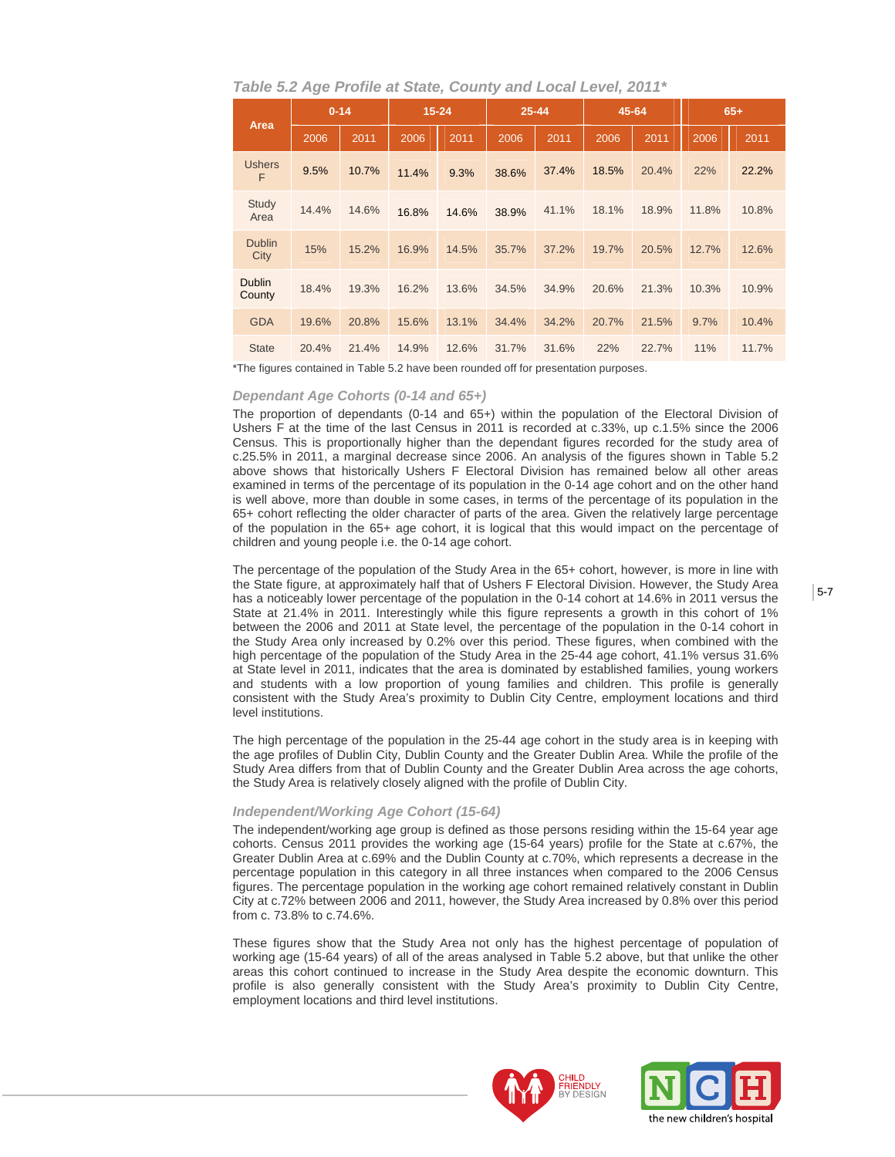| Table 5.2 Age Profile at State, County and Local Level, 2011* |  |  |  |
|---------------------------------------------------------------|--|--|--|
|                                                               |  |  |  |

| Area                    |       | $0 - 14$ | $15 - 24$ |       | $25 - 44$ |       | 45-64 |       | $65+$ |       |
|-------------------------|-------|----------|-----------|-------|-----------|-------|-------|-------|-------|-------|
|                         | 2006  | 2011     | 2006      | 2011  | 2006      | 2011  | 2006  | 2011  | 2006  | 2011  |
| <b>Ushers</b><br>F      | 9.5%  | 10.7%    | 11.4%     | 9.3%  | 38.6%     | 37.4% | 18.5% | 20.4% | 22%   | 22.2% |
| Study<br>Area           | 14.4% | 14.6%    | 16.8%     | 14.6% | 38.9%     | 41.1% | 18.1% | 18.9% | 11.8% | 10.8% |
| <b>Dublin</b><br>City   | 15%   | 15.2%    | 16.9%     | 14.5% | 35.7%     | 37.2% | 19.7% | 20.5% | 12.7% | 12.6% |
| <b>Dublin</b><br>County | 18.4% | 19.3%    | 16.2%     | 13.6% | 34.5%     | 34.9% | 20.6% | 21.3% | 10.3% | 10.9% |
| <b>GDA</b>              | 19.6% | 20.8%    | 15.6%     | 13.1% | 34.4%     | 34.2% | 20.7% | 21.5% | 9.7%  | 10.4% |
| <b>State</b>            | 20.4% | 21.4%    | 14.9%     | 12.6% | 31.7%     | 31.6% | 22%   | 22.7% | 11%   | 11.7% |

\*The figures contained in Table 5.2 have been rounded off for presentation purposes.

#### *Dependant Age Cohorts (0-14 and 65+)*

The proportion of dependants (0-14 and 65+) within the population of the Electoral Division of Ushers F at the time of the last Census in 2011 is recorded at c.33%, up c.1.5% since the 2006 Census. This is proportionally higher than the dependant figures recorded for the study area of c.25.5% in 2011, a marginal decrease since 2006. An analysis of the figures shown in Table 5.2 above shows that historically Ushers F Electoral Division has remained below all other areas examined in terms of the percentage of its population in the 0-14 age cohort and on the other hand is well above, more than double in some cases, in terms of the percentage of its population in the 65+ cohort reflecting the older character of parts of the area. Given the relatively large percentage of the population in the 65+ age cohort, it is logical that this would impact on the percentage of children and young people i.e. the 0-14 age cohort.

The percentage of the population of the Study Area in the 65+ cohort, however, is more in line with the State figure, at approximately half that of Ushers F Electoral Division. However, the Study Area has a noticeably lower percentage of the population in the 0-14 cohort at 14.6% in 2011 versus the State at 21.4% in 2011. Interestingly while this figure represents a growth in this cohort of 1% between the 2006 and 2011 at State level, the percentage of the population in the 0-14 cohort in the Study Area only increased by 0.2% over this period. These figures, when combined with the high percentage of the population of the Study Area in the 25-44 age cohort, 41.1% versus 31.6% at State level in 2011, indicates that the area is dominated by established families, young workers and students with a low proportion of young families and children. This profile is generally consistent with the Study Area's proximity to Dublin City Centre, employment locations and third level institutions.

The high percentage of the population in the 25-44 age cohort in the study area is in keeping with the age profiles of Dublin City, Dublin County and the Greater Dublin Area. While the profile of the Study Area differs from that of Dublin County and the Greater Dublin Area across the age cohorts, the Study Area is relatively closely aligned with the profile of Dublin City.

#### *Independent/Working Age Cohort (15-64)*

The independent/working age group is defined as those persons residing within the 15-64 year age cohorts. Census 2011 provides the working age (15-64 years) profile for the State at c.67%, the Greater Dublin Area at c.69% and the Dublin County at c.70%, which represents a decrease in the percentage population in this category in all three instances when compared to the 2006 Census figures. The percentage population in the working age cohort remained relatively constant in Dublin City at c.72% between 2006 and 2011, however, the Study Area increased by 0.8% over this period from c. 73.8% to c.74.6%.

These figures show that the Study Area not only has the highest percentage of population of working age (15-64 years) of all of the areas analysed in Table 5.2 above, but that unlike the other areas this cohort continued to increase in the Study Area despite the economic downturn. This profile is also generally consistent with the Study Area's proximity to Dublin City Centre, employment locations and third level institutions.



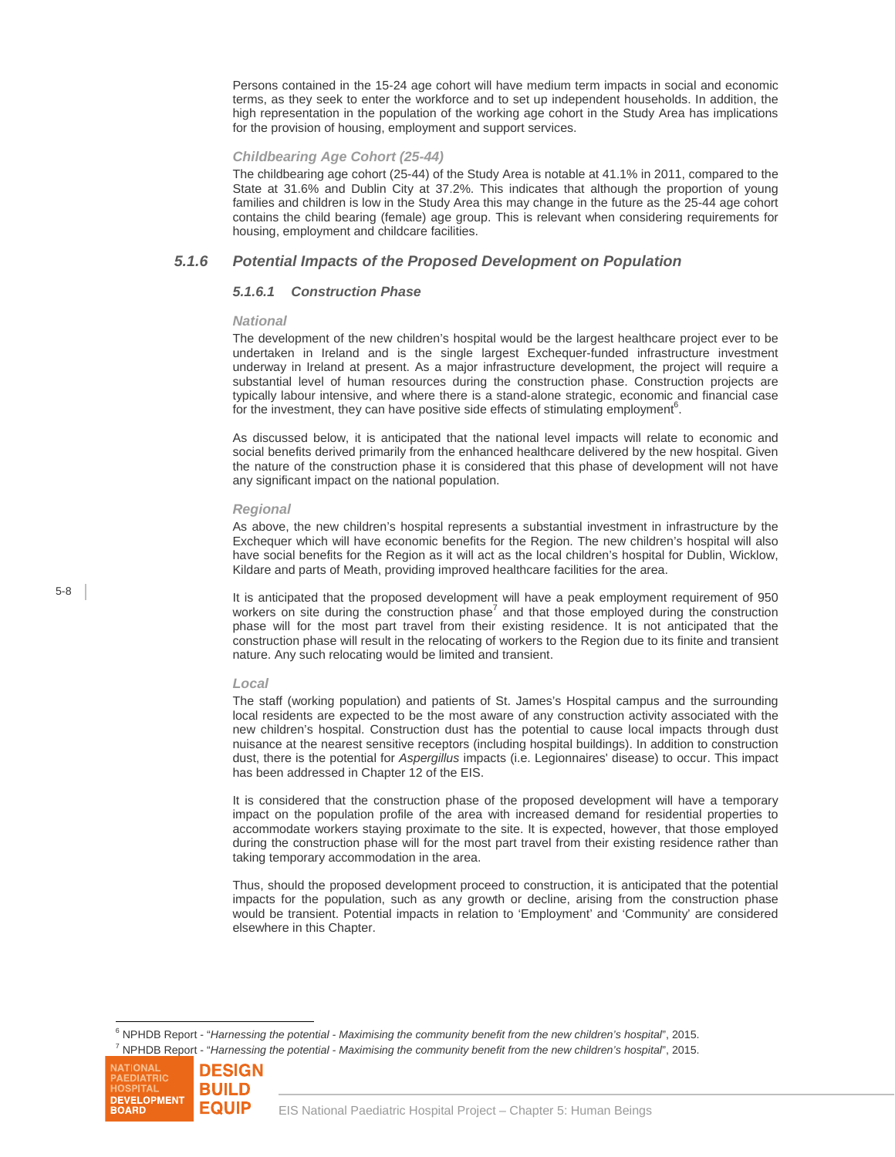Persons contained in the 15-24 age cohort will have medium term impacts in social and economic terms, as they seek to enter the workforce and to set up independent households. In addition, the high representation in the population of the working age cohort in the Study Area has implications for the provision of housing, employment and support services.

#### *Childbearing Age Cohort (25-44)*

The childbearing age cohort (25-44) of the Study Area is notable at 41.1% in 2011, compared to the State at 31.6% and Dublin City at 37.2%. This indicates that although the proportion of young families and children is low in the Study Area this may change in the future as the 25-44 age cohort contains the child bearing (female) age group. This is relevant when considering requirements for housing, employment and childcare facilities.

## *5.1.6 Potential Impacts of the Proposed Development on Population*

#### *5.1.6.1 Construction Phase*

#### *National*

The development of the new children's hospital would be the largest healthcare project ever to be undertaken in Ireland and is the single largest Exchequer-funded infrastructure investment underway in Ireland at present. As a major infrastructure development, the project will require a substantial level of human resources during the construction phase. Construction projects are typically labour intensive, and where there is a stand-alone strategic, economic and financial case for the investment, they can have positive side effects of stimulating employment<sup>6</sup>.

As discussed below, it is anticipated that the national level impacts will relate to economic and social benefits derived primarily from the enhanced healthcare delivered by the new hospital. Given the nature of the construction phase it is considered that this phase of development will not have any significant impact on the national population.

#### *Regional*

As above, the new children's hospital represents a substantial investment in infrastructure by the Exchequer which will have economic benefits for the Region. The new children's hospital will also have social benefits for the Region as it will act as the local children's hospital for Dublin, Wicklow, Kildare and parts of Meath, providing improved healthcare facilities for the area.

It is anticipated that the proposed development will have a peak employment requirement of 950 workers on site during the construction phase<sup>7</sup> and that those employed during the construction phase will for the most part travel from their existing residence. It is not anticipated that the construction phase will result in the relocating of workers to the Region due to its finite and transient nature. Any such relocating would be limited and transient.

#### *Local*

The staff (working population) and patients of St. James's Hospital campus and the surrounding local residents are expected to be the most aware of any construction activity associated with the new children's hospital. Construction dust has the potential to cause local impacts through dust nuisance at the nearest sensitive receptors (including hospital buildings). In addition to construction dust, there is the potential for *Aspergillus* impacts (i.e. Legionnaires' disease) to occur. This impact has been addressed in Chapter 12 of the EIS.

It is considered that the construction phase of the proposed development will have a temporary impact on the population profile of the area with increased demand for residential properties to accommodate workers staying proximate to the site. It is expected, however, that those employed during the construction phase will for the most part travel from their existing residence rather than taking temporary accommodation in the area.

Thus, should the proposed development proceed to construction, it is anticipated that the potential impacts for the population, such as any growth or decline, arising from the construction phase would be transient. Potential impacts in relation to 'Employment' and 'Community' are considered elsewhere in this Chapter.

 $\overline{a}$ <sup>6</sup> NPHDB Report - "*Harnessing the potential - Maximising the community benefit from the new children's hospital', 2015.<br><sup>7</sup> NPHPB Banett, "Harnessing the potential - Maximising the community benefit from the new children* <sup>7</sup> NPHDB Report - "Harnessing the potential - Maximising the community benefit from the new children's hospital', 2015.

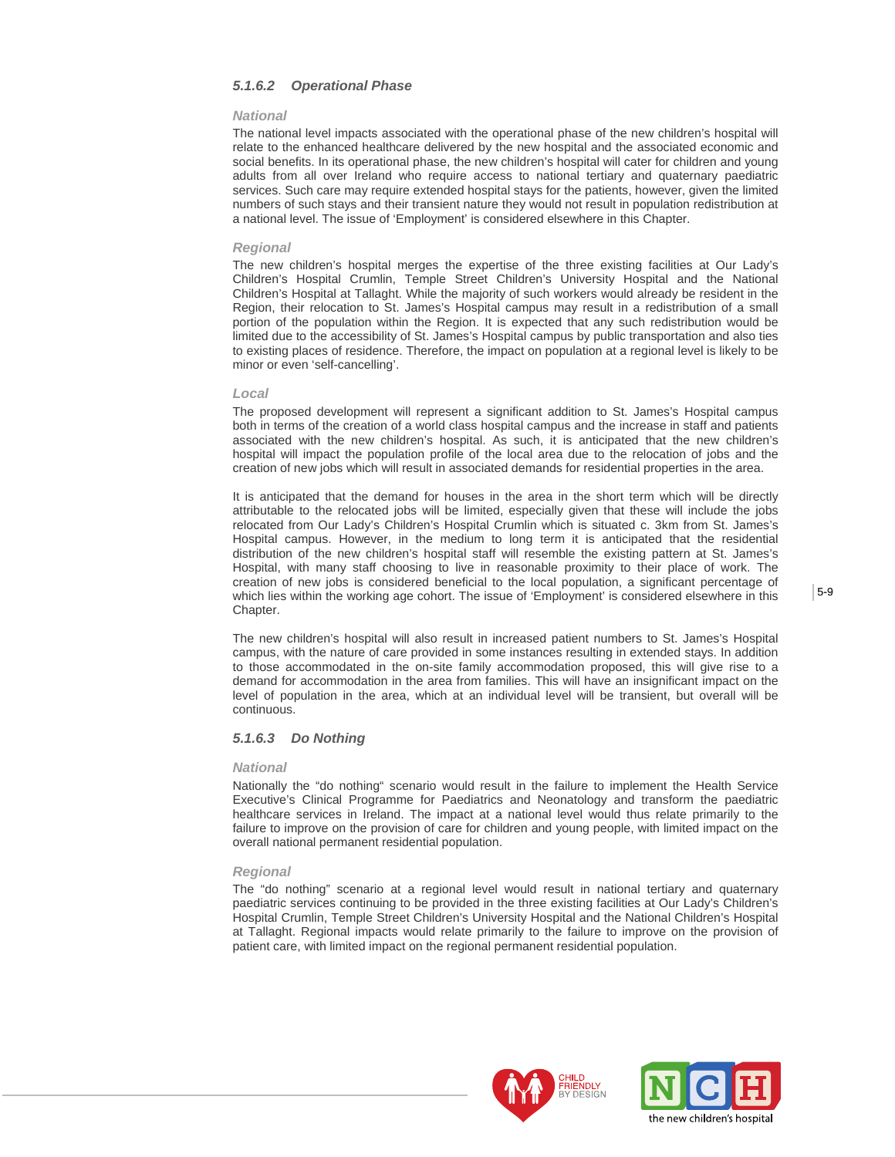## *5.1.6.2 Operational Phase*

#### *National*

The national level impacts associated with the operational phase of the new children's hospital will relate to the enhanced healthcare delivered by the new hospital and the associated economic and social benefits. In its operational phase, the new children's hospital will cater for children and young adults from all over Ireland who require access to national tertiary and quaternary paediatric services. Such care may require extended hospital stays for the patients, however, given the limited numbers of such stays and their transient nature they would not result in population redistribution at a national level. The issue of 'Employment' is considered elsewhere in this Chapter.

#### *Regional*

The new children's hospital merges the expertise of the three existing facilities at Our Lady's Children's Hospital Crumlin, Temple Street Children's University Hospital and the National Children's Hospital at Tallaght. While the majority of such workers would already be resident in the Region, their relocation to St. James's Hospital campus may result in a redistribution of a small portion of the population within the Region. It is expected that any such redistribution would be limited due to the accessibility of St. James's Hospital campus by public transportation and also ties to existing places of residence. Therefore, the impact on population at a regional level is likely to be minor or even 'self-cancelling'.

#### *Local*

The proposed development will represent a significant addition to St. James's Hospital campus both in terms of the creation of a world class hospital campus and the increase in staff and patients associated with the new children's hospital. As such, it is anticipated that the new children's hospital will impact the population profile of the local area due to the relocation of jobs and the creation of new jobs which will result in associated demands for residential properties in the area.

It is anticipated that the demand for houses in the area in the short term which will be directly attributable to the relocated jobs will be limited, especially given that these will include the jobs relocated from Our Lady's Children's Hospital Crumlin which is situated c. 3km from St. James's Hospital campus. However, in the medium to long term it is anticipated that the residential distribution of the new children's hospital staff will resemble the existing pattern at St. James's Hospital, with many staff choosing to live in reasonable proximity to their place of work. The creation of new jobs is considered beneficial to the local population, a significant percentage of which lies within the working age cohort. The issue of 'Employment' is considered elsewhere in this Chapter.

The new children's hospital will also result in increased patient numbers to St. James's Hospital campus, with the nature of care provided in some instances resulting in extended stays. In addition to those accommodated in the on-site family accommodation proposed, this will give rise to a demand for accommodation in the area from families. This will have an insignificant impact on the level of population in the area, which at an individual level will be transient, but overall will be continuous.

#### *5.1.6.3 Do Nothing*

#### *National*

Nationally the "do nothing" scenario would result in the failure to implement the Health Service Executive's Clinical Programme for Paediatrics and Neonatology and transform the paediatric healthcare services in Ireland. The impact at a national level would thus relate primarily to the failure to improve on the provision of care for children and young people, with limited impact on the overall national permanent residential population.

#### *Regional*

The "do nothing" scenario at a regional level would result in national tertiary and quaternary paediatric services continuing to be provided in the three existing facilities at Our Lady's Children's Hospital Crumlin, Temple Street Children's University Hospital and the National Children's Hospital at Tallaght. Regional impacts would relate primarily to the failure to improve on the provision of patient care, with limited impact on the regional permanent residential population.



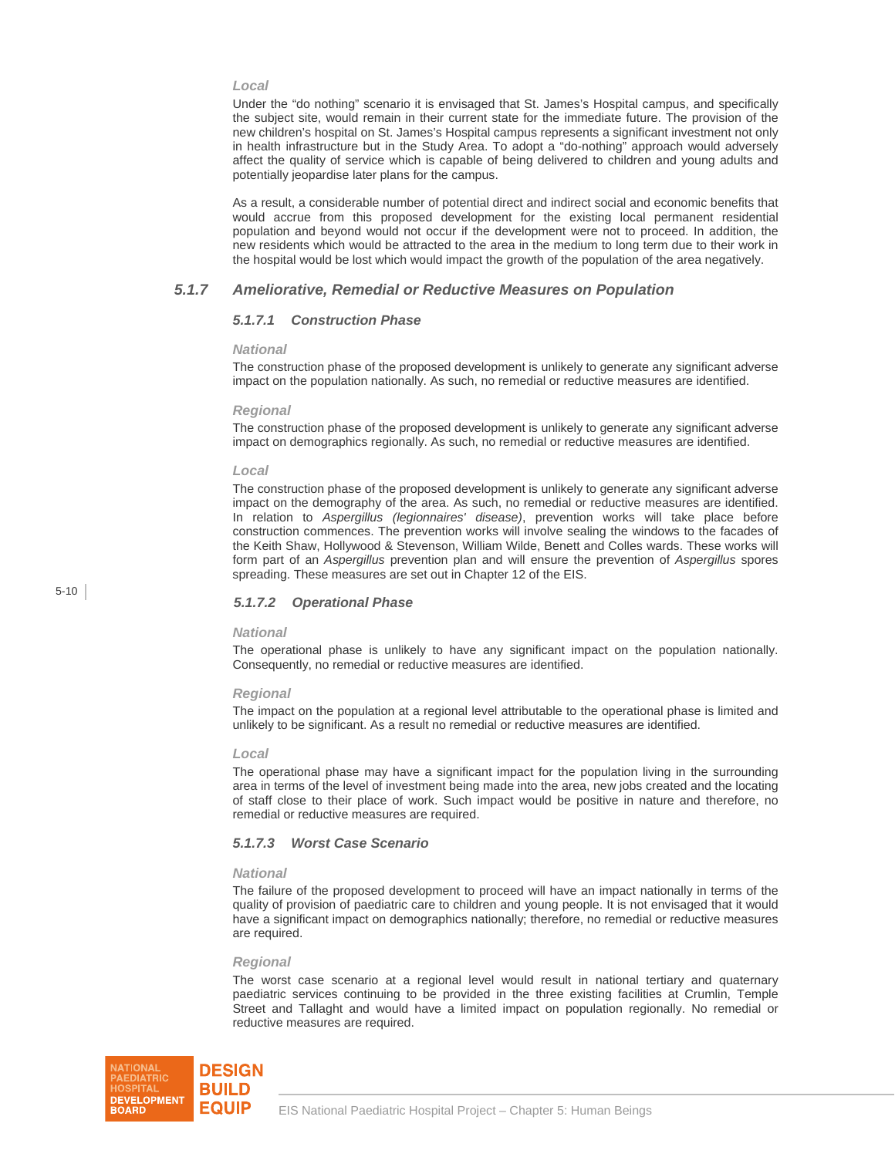#### *Local*

Under the "do nothing" scenario it is envisaged that St. James's Hospital campus, and specifically the subject site, would remain in their current state for the immediate future. The provision of the new children's hospital on St. James's Hospital campus represents a significant investment not only in health infrastructure but in the Study Area. To adopt a "do-nothing" approach would adversely affect the quality of service which is capable of being delivered to children and young adults and potentially jeopardise later plans for the campus.

As a result, a considerable number of potential direct and indirect social and economic benefits that would accrue from this proposed development for the existing local permanent residential population and beyond would not occur if the development were not to proceed. In addition, the new residents which would be attracted to the area in the medium to long term due to their work in the hospital would be lost which would impact the growth of the population of the area negatively.

### *5.1.7 Ameliorative, Remedial or Reductive Measures on Population*

#### *5.1.7.1 Construction Phase*

#### *National*

The construction phase of the proposed development is unlikely to generate any significant adverse impact on the population nationally. As such, no remedial or reductive measures are identified.

#### *Regional*

The construction phase of the proposed development is unlikely to generate any significant adverse impact on demographics regionally. As such, no remedial or reductive measures are identified.

#### *Local*

The construction phase of the proposed development is unlikely to generate any significant adverse impact on the demography of the area. As such, no remedial or reductive measures are identified. In relation to *Aspergillus (legionnaires' disease)*, prevention works will take place before construction commences. The prevention works will involve sealing the windows to the facades of the Keith Shaw, Hollywood & Stevenson, William Wilde, Benett and Colles wards. These works will form part of an *Aspergillus* prevention plan and will ensure the prevention of *Aspergillus* spores spreading. These measures are set out in Chapter 12 of the EIS.

5-10

### *5.1.7.2 Operational Phase*

#### *National*

The operational phase is unlikely to have any significant impact on the population nationally. Consequently, no remedial or reductive measures are identified.

#### *Regional*

The impact on the population at a regional level attributable to the operational phase is limited and unlikely to be significant. As a result no remedial or reductive measures are identified.

#### *Local*

The operational phase may have a significant impact for the population living in the surrounding area in terms of the level of investment being made into the area, new jobs created and the locating of staff close to their place of work. Such impact would be positive in nature and therefore, no remedial or reductive measures are required.

#### *5.1.7.3 Worst Case Scenario*

#### *National*

The failure of the proposed development to proceed will have an impact nationally in terms of the quality of provision of paediatric care to children and young people. It is not envisaged that it would have a significant impact on demographics nationally; therefore, no remedial or reductive measures are required.

#### *Regional*

The worst case scenario at a regional level would result in national tertiary and quaternary paediatric services continuing to be provided in the three existing facilities at Crumlin, Temple Street and Tallaght and would have a limited impact on population regionally. No remedial or reductive measures are required.

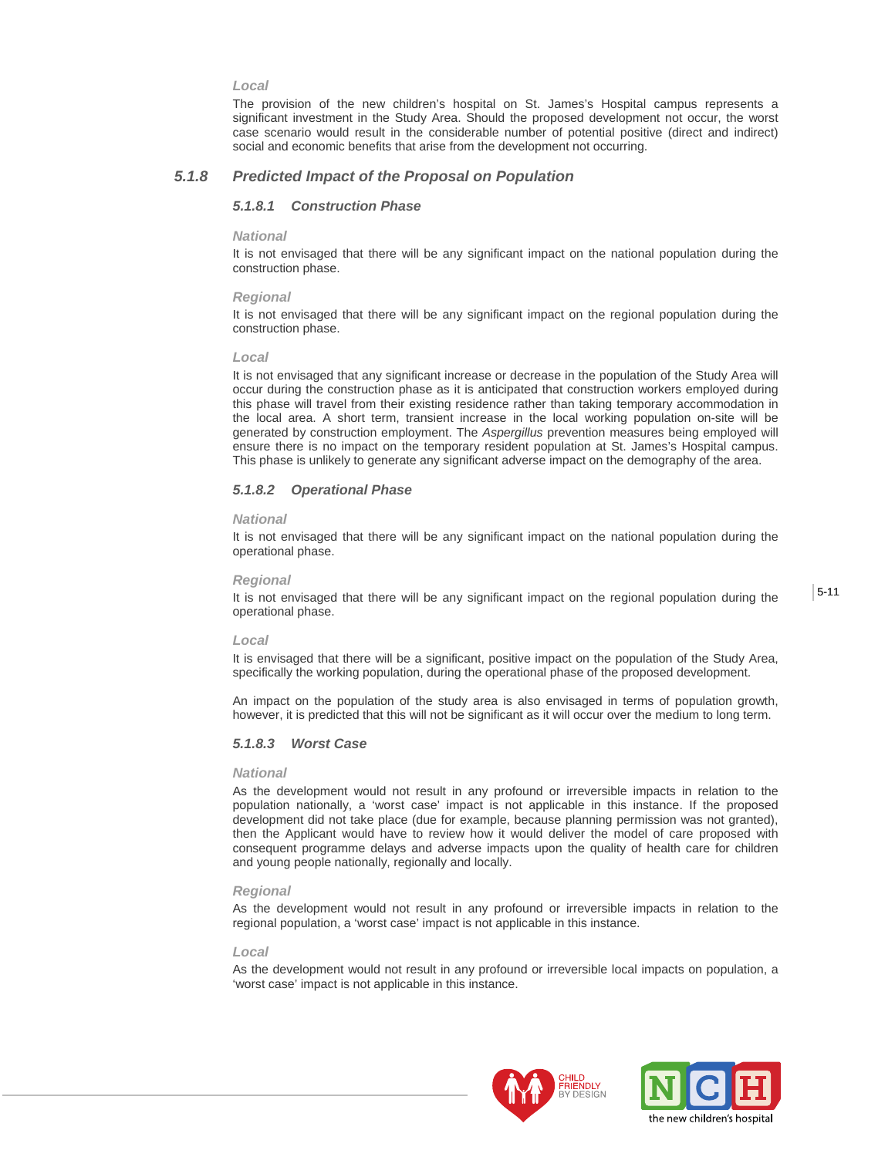#### *Local*

The provision of the new children's hospital on St. James's Hospital campus represents a significant investment in the Study Area. Should the proposed development not occur, the worst case scenario would result in the considerable number of potential positive (direct and indirect) social and economic benefits that arise from the development not occurring.

## *5.1.8 Predicted Impact of the Proposal on Population*

#### *5.1.8.1 Construction Phase*

#### *National*

It is not envisaged that there will be any significant impact on the national population during the construction phase.

#### *Regional*

It is not envisaged that there will be any significant impact on the regional population during the construction phase.

#### *Local*

It is not envisaged that any significant increase or decrease in the population of the Study Area will occur during the construction phase as it is anticipated that construction workers employed during this phase will travel from their existing residence rather than taking temporary accommodation in the local area. A short term, transient increase in the local working population on-site will be generated by construction employment. The *Aspergillus* prevention measures being employed will ensure there is no impact on the temporary resident population at St. James's Hospital campus. This phase is unlikely to generate any significant adverse impact on the demography of the area.

#### *5.1.8.2 Operational Phase*

#### *National*

It is not envisaged that there will be any significant impact on the national population during the operational phase.

#### *Regional*

It is not envisaged that there will be any significant impact on the regional population during the operational phase.

#### *Local*

It is envisaged that there will be a significant, positive impact on the population of the Study Area, specifically the working population, during the operational phase of the proposed development.

An impact on the population of the study area is also envisaged in terms of population growth, however, it is predicted that this will not be significant as it will occur over the medium to long term.

#### *5.1.8.3 Worst Case*

#### *National*

As the development would not result in any profound or irreversible impacts in relation to the population nationally, a 'worst case' impact is not applicable in this instance. If the proposed development did not take place (due for example, because planning permission was not granted), then the Applicant would have to review how it would deliver the model of care proposed with consequent programme delays and adverse impacts upon the quality of health care for children and young people nationally, regionally and locally.

#### *Regional*

As the development would not result in any profound or irreversible impacts in relation to the regional population, a 'worst case' impact is not applicable in this instance.

#### *Local*

As the development would not result in any profound or irreversible local impacts on population, a 'worst case' impact is not applicable in this instance.



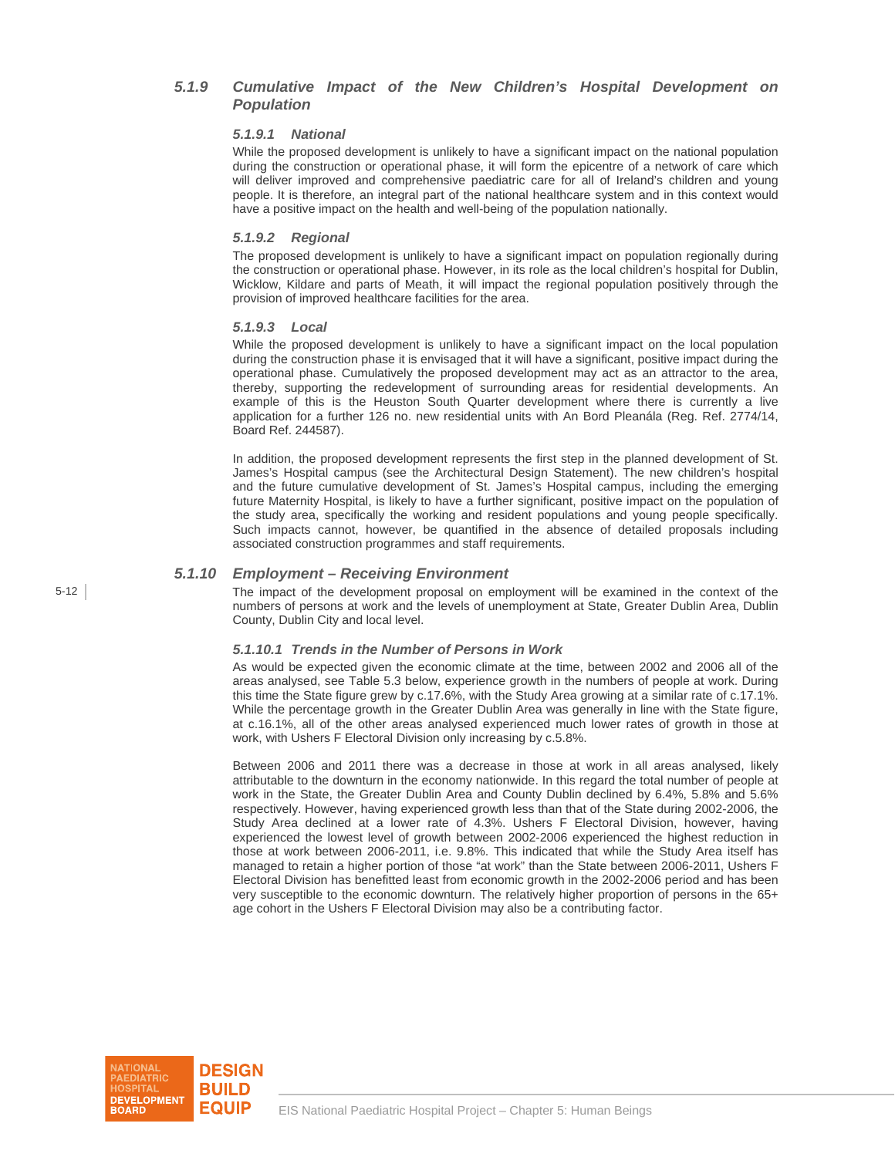## *5.1.9 Cumulative Impact of the New Children's Hospital Development on Population*

#### *5.1.9.1 National*

While the proposed development is unlikely to have a significant impact on the national population during the construction or operational phase, it will form the epicentre of a network of care which will deliver improved and comprehensive paediatric care for all of Ireland's children and young people. It is therefore, an integral part of the national healthcare system and in this context would have a positive impact on the health and well-being of the population nationally.

#### *5.1.9.2 Regional*

The proposed development is unlikely to have a significant impact on population regionally during the construction or operational phase. However, in its role as the local children's hospital for Dublin, Wicklow, Kildare and parts of Meath, it will impact the regional population positively through the provision of improved healthcare facilities for the area.

#### *5.1.9.3 Local*

While the proposed development is unlikely to have a significant impact on the local population during the construction phase it is envisaged that it will have a significant, positive impact during the operational phase. Cumulatively the proposed development may act as an attractor to the area, thereby, supporting the redevelopment of surrounding areas for residential developments. An example of this is the Heuston South Quarter development where there is currently a live application for a further 126 no. new residential units with An Bord Pleanála (Reg. Ref. 2774/14, Board Ref. 244587).

In addition, the proposed development represents the first step in the planned development of St. James's Hospital campus (see the Architectural Design Statement). The new children's hospital and the future cumulative development of St. James's Hospital campus, including the emerging future Maternity Hospital, is likely to have a further significant, positive impact on the population of the study area, specifically the working and resident populations and young people specifically. Such impacts cannot, however, be quantified in the absence of detailed proposals including associated construction programmes and staff requirements.

## *5.1.10 Employment – Receiving Environment*

The impact of the development proposal on employment will be examined in the context of the numbers of persons at work and the levels of unemployment at State, Greater Dublin Area, Dublin County, Dublin City and local level.

### *5.1.10.1 Trends in the Number of Persons in Work*

As would be expected given the economic climate at the time, between 2002 and 2006 all of the areas analysed, see Table 5.3 below, experience growth in the numbers of people at work. During this time the State figure grew by c.17.6%, with the Study Area growing at a similar rate of c.17.1%. While the percentage growth in the Greater Dublin Area was generally in line with the State figure, at c.16.1%, all of the other areas analysed experienced much lower rates of growth in those at work, with Ushers F Electoral Division only increasing by c.5.8%.

Between 2006 and 2011 there was a decrease in those at work in all areas analysed, likely attributable to the downturn in the economy nationwide. In this regard the total number of people at work in the State, the Greater Dublin Area and County Dublin declined by 6.4%, 5.8% and 5.6% respectively. However, having experienced growth less than that of the State during 2002-2006, the Study Area declined at a lower rate of 4.3%. Ushers F Electoral Division, however, having experienced the lowest level of growth between 2002-2006 experienced the highest reduction in those at work between 2006-2011, i.e. 9.8%. This indicated that while the Study Area itself has managed to retain a higher portion of those "at work" than the State between 2006-2011, Ushers F Electoral Division has benefitted least from economic growth in the 2002-2006 period and has been very susceptible to the economic downturn. The relatively higher proportion of persons in the 65+ age cohort in the Ushers F Electoral Division may also be a contributing factor.

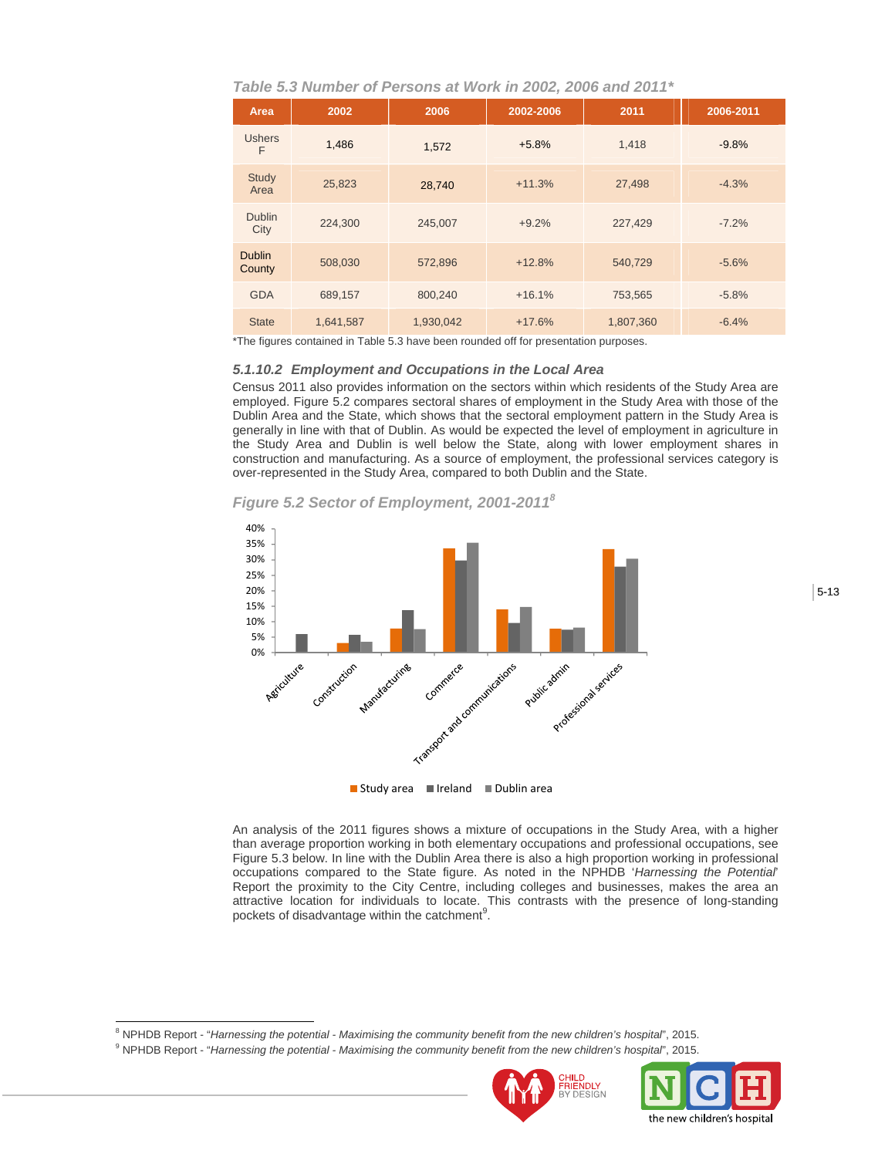*Table 5.3 Number of Persons at Work in 2002, 2006 and 2011\** 

| Area                    | 2002      | 2006      | 2002-2006 | 2011      | 2006-2011 |
|-------------------------|-----------|-----------|-----------|-----------|-----------|
| <b>Ushers</b><br>F      | 1.486     | 1,572     | $+5.8%$   | 1.418     | $-9.8%$   |
| <b>Study</b><br>Area    | 25,823    | 28,740    | $+11.3%$  | 27,498    | $-4.3%$   |
| <b>Dublin</b><br>City   | 224,300   | 245,007   | $+9.2%$   | 227,429   | $-7.2%$   |
| <b>Dublin</b><br>County | 508,030   | 572,896   | $+12.8%$  | 540,729   | $-5.6%$   |
| <b>GDA</b>              | 689,157   | 800,240   | $+16.1%$  | 753,565   | $-5.8%$   |
| <b>State</b>            | 1,641,587 | 1,930,042 | $+17.6%$  | 1,807,360 | $-6.4%$   |

\*The figures contained in Table 5.3 have been rounded off for presentation purposes.

## *5.1.10.2 Employment and Occupations in the Local Area*

Census 2011 also provides information on the sectors within which residents of the Study Area are employed. Figure 5.2 compares sectoral shares of employment in the Study Area with those of the Dublin Area and the State, which shows that the sectoral employment pattern in the Study Area is generally in line with that of Dublin. As would be expected the level of employment in agriculture in the Study Area and Dublin is well below the State, along with lower employment shares in construction and manufacturing. As a source of employment, the professional services category is over-represented in the Study Area, compared to both Dublin and the State.

*Figure 5.2 Sector of Employment, 2001-20118*



 $\blacksquare$  Study area  $\blacksquare$  Ireland  $\blacksquare$  Dublin area

An analysis of the 2011 figures shows a mixture of occupations in the Study Area, with a higher than average proportion working in both elementary occupations and professional occupations, see Figure 5.3 below. In line with the Dublin Area there is also a high proportion working in professional occupations compared to the State figure. As noted in the NPHDB '*Harnessing the Potential*' Report the proximity to the City Centre, including colleges and businesses, makes the area an attractive location for individuals to locate. This contrasts with the presence of long-standing pockets of disadvantage within the catchment $9$ .

<sup>8</sup> NPHDB Report - "*Harnessing the potential - Maximising the community benefit from the new children's hospital', 2015.<br><sup>9</sup> NPHPB Banett, "Harnessing the potential - Maximising the community benefit from the new children* 

 $\overline{a}$ 

NPHDB Report - "*Harnessing the potential - Maximising the community benefit from the new children's hospital*", 2015.



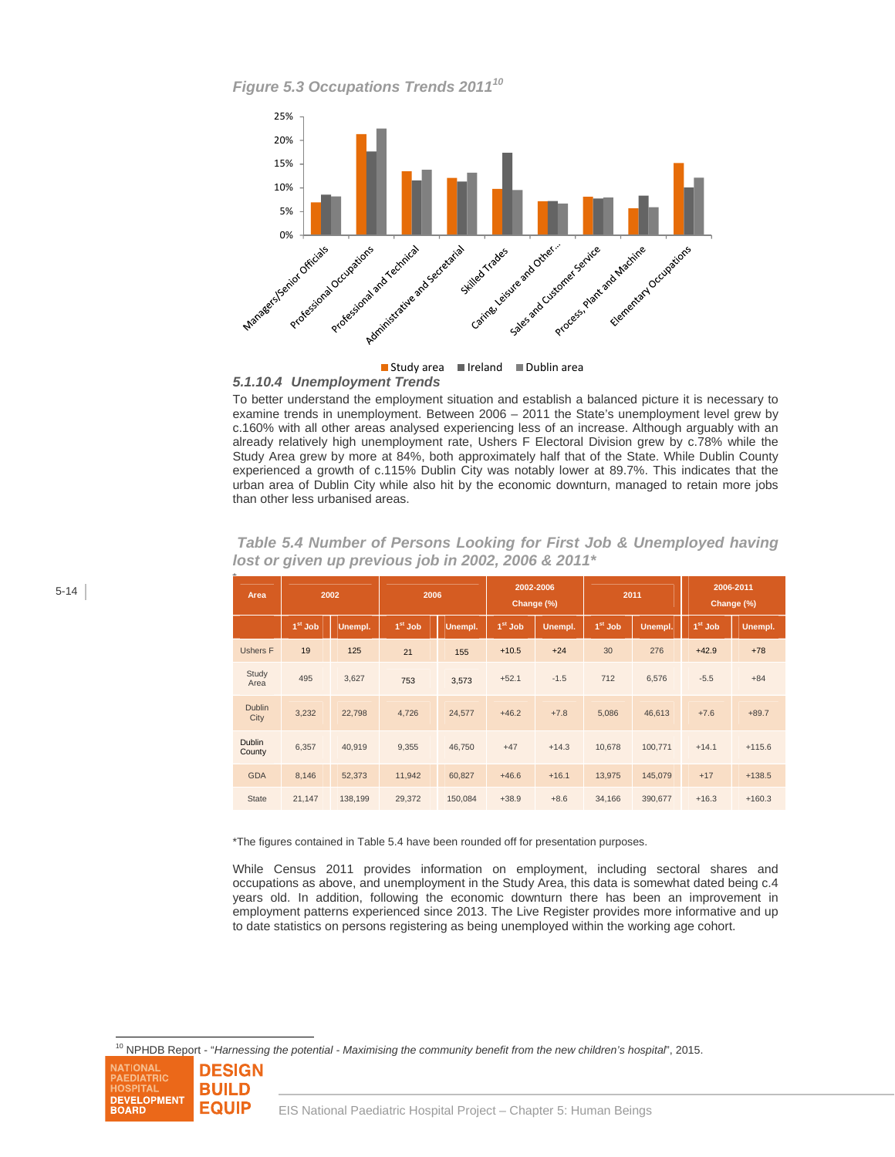*Figure 5.3 Occupations Trends 201110*



 *5.1.10.4 Unemployment Trends* 

To better understand the employment situation and establish a balanced picture it is necessary to examine trends in unemployment. Between 2006 – 2011 the State's unemployment level grew by c.160% with all other areas analysed experiencing less of an increase. Although arguably with an already relatively high unemployment rate, Ushers F Electoral Division grew by c.78% while the Study Area grew by more at 84%, both approximately half that of the State. While Dublin County experienced a growth of c.115% Dublin City was notably lower at 89.7%. This indicates that the urban area of Dublin City while also hit by the economic downturn, managed to retain more jobs than other less urbanised areas.

| Area                    |           | 2002    | 2006      |         | 2002-2006<br>Change (%) |         | 2011      |         | 2006-2011<br>Change (%) |          |
|-------------------------|-----------|---------|-----------|---------|-------------------------|---------|-----------|---------|-------------------------|----------|
|                         | $1st$ Job | Unempl. | $1st$ Job | Unempl. | $1st$ Job               | Unempl. | $1st$ Job | Unempl. | $1st$ Job               | Unempl.  |
| <b>Ushers F</b>         | 19        | 125     | 21        | 155     | $+10.5$                 | $+24$   | 30        | 276     | $+42.9$                 | $+78$    |
| Study<br>Area           | 495       | 3,627   | 753       | 3,573   | $+52.1$                 | $-1.5$  | 712       | 6,576   | $-5.5$                  | $+84$    |
| <b>Dublin</b><br>City   | 3,232     | 22,798  | 4,726     | 24,577  | $+46.2$                 | $+7.8$  | 5,086     | 46,613  | $+7.6$                  | $+89.7$  |
| <b>Dublin</b><br>County | 6,357     | 40,919  | 9,355     | 46,750  | $+47$                   | $+14.3$ | 10,678    | 100,771 | $+14.1$                 | $+115.6$ |
| <b>GDA</b>              | 8,146     | 52,373  | 11,942    | 60,827  | $+46.6$                 | $+16.1$ | 13,975    | 145,079 | $+17$                   | $+138.5$ |
| <b>State</b>            | 21,147    | 138,199 | 29,372    | 150,084 | $+38.9$                 | $+8.6$  | 34,166    | 390,677 | $+16.3$                 | $+160.3$ |

 *Table 5.4 Number of Persons Looking for First Job & Unemployed having lost or given up previous job in 2002, 2006 & 2011\** 

\*The figures contained in Table 5.4 have been rounded off for presentation purposes.

While Census 2011 provides information on employment, including sectoral shares and occupations as above, and unemployment in the Study Area, this data is somewhat dated being c.4 years old. In addition, following the economic downturn there has been an improvement in employment patterns experienced since 2013. The Live Register provides more informative and up to date statistics on persons registering as being unemployed within the working age cohort.

10 NPHDB Report - "*Harnessing the potential - Maximising the community benefit from the new children's hospital*", 2015.

**NATIONAL DESIGN EDIATRIC BUILD DEVELOPMENT EQUIP BOARD** 

l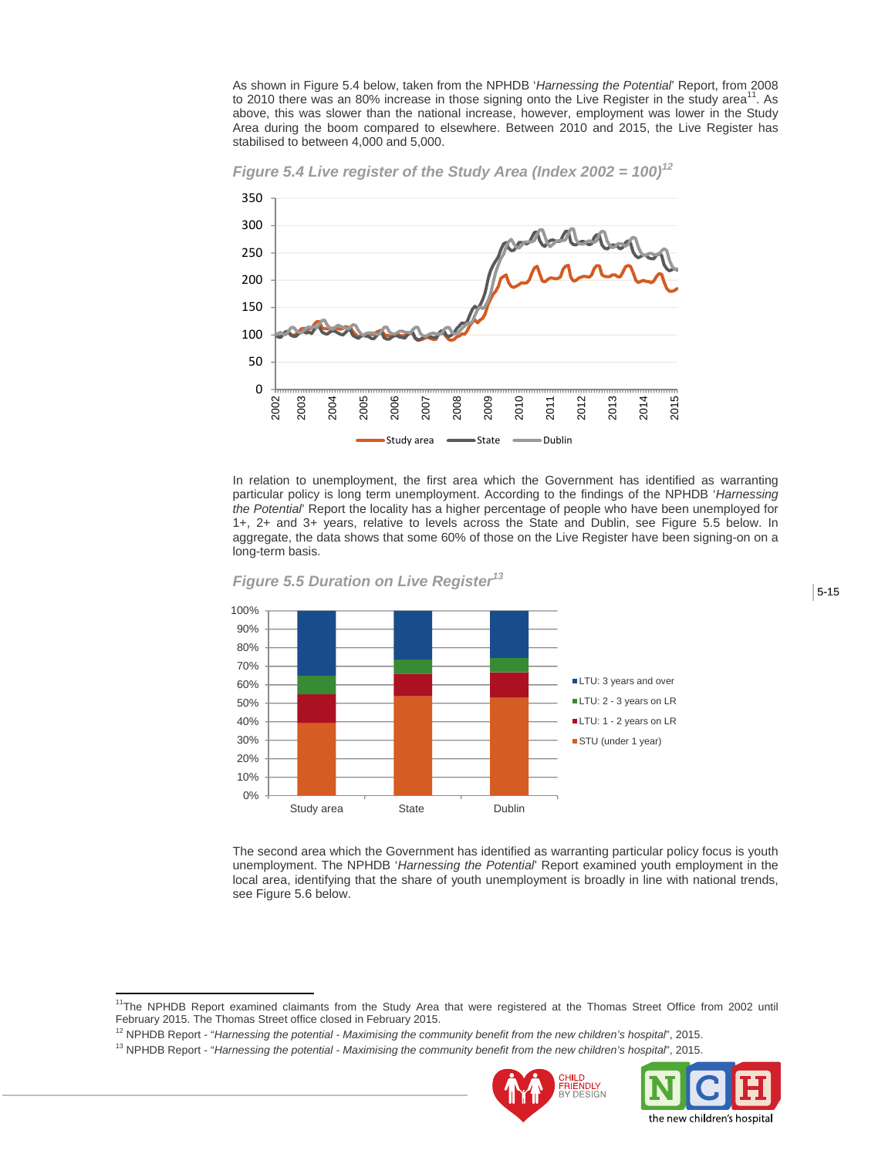As shown in Figure 5.4 below, taken from the NPHDB '*Harnessing the Potential*' Report, from 2008 to 2010 there was an 80% increase in those signing onto the Live Register in the study area<sup>11</sup>. As above, this was slower than the national increase, however, employment was lower in the Study Area during the boom compared to elsewhere. Between 2010 and 2015, the Live Register has stabilised to between 4,000 and 5,000.





In relation to unemployment, the first area which the Government has identified as warranting particular policy is long term unemployment. According to the findings of the NPHDB '*Harnessing the Potential*' Report the locality has a higher percentage of people who have been unemployed for 1+, 2+ and 3+ years, relative to levels across the State and Dublin, see Figure 5.5 below. In aggregate, the data shows that some 60% of those on the Live Register have been signing-on on a long-term basis.



*Figure 5.5 Duration on Live Register13*

The second area which the Government has identified as warranting particular policy focus is youth unemployment. The NPHDB '*Harnessing the Potential*' Report examined youth employment in the local area, identifying that the share of youth unemployment is broadly in line with national trends, see Figure 5.6 below.

 $\overline{a}$ 





<sup>&</sup>lt;sup>11</sup>The NPHDB Report examined claimants from the Study Area that were registered at the Thomas Street Office from 2002 until February 2015. The Thomas Street office closed in February 2015.

<sup>&</sup>lt;sup>12</sup> NPHDB Report - "Harnessing the potential - Maximising the community benefit from the new children's hospital", 2015.<br><sup>13</sup> NPHDB Report - "Harnessing the potential - Maximising the community benefit from the new childr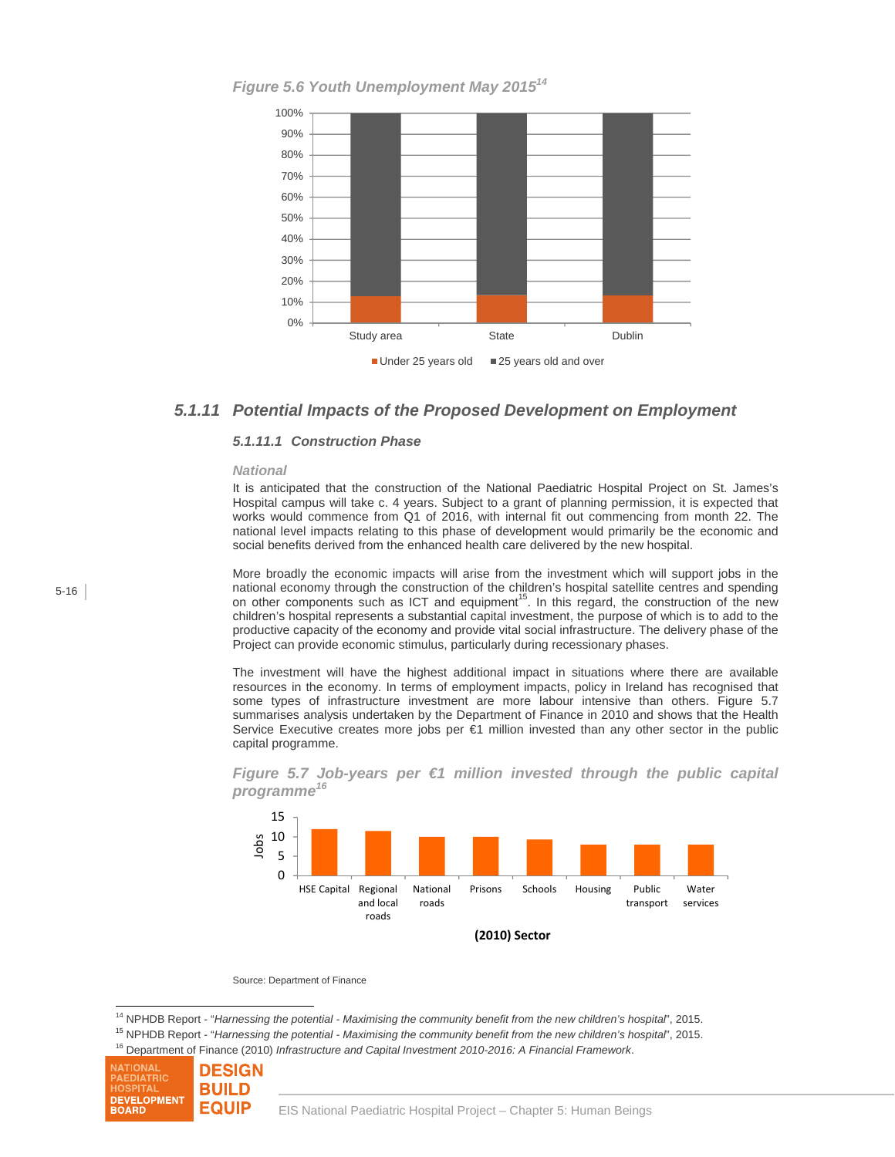*Figure 5.6 Youth Unemployment May 2015<sup>14</sup>*



## *5.1.11 Potential Impacts of the Proposed Development on Employment*

## *5.1.11.1 Construction Phase*

#### *National*

It is anticipated that the construction of the National Paediatric Hospital Project on St. James's Hospital campus will take c. 4 years. Subject to a grant of planning permission, it is expected that works would commence from Q1 of 2016, with internal fit out commencing from month 22. The national level impacts relating to this phase of development would primarily be the economic and social benefits derived from the enhanced health care delivered by the new hospital.

More broadly the economic impacts will arise from the investment which will support jobs in the national economy through the construction of the children's hospital satellite centres and spending national occuping anonger are concluded in the constant of the property construction of the new order components such as ICT and equipment<sup>15</sup>. In this regard, the construction of the new children's hospital represents a substantial capital investment, the purpose of which is to add to the productive capacity of the economy and provide vital social infrastructure. The delivery phase of the Project can provide economic stimulus, particularly during recessionary phases.

The investment will have the highest additional impact in situations where there are available resources in the economy. In terms of employment impacts, policy in Ireland has recognised that some types of infrastructure investment are more labour intensive than others. Figure 5.7 summarises analysis undertaken by the Department of Finance in 2010 and shows that the Health Service Executive creates more jobs per €1 million invested than any other sector in the public capital programme.

*Figure 5.7 Job-years per €1 million invested through the public capital programme<sup>16</sup>*



Source: Department of Finance

 $\overline{a}$ <sup>14</sup> NPHDB Report - "*Harnessing the potential - Maximising the community benefit from the new children's hospital", 2015.<br><sup>15</sup> NPHDB Report - "<i>Harnessing the potential - Maximising the community benefit from the new chil* 

<sup>16</sup> Department of Finance (2010) *Infrastructure and Capital Investment 2010-2016: A Financial Framework*.

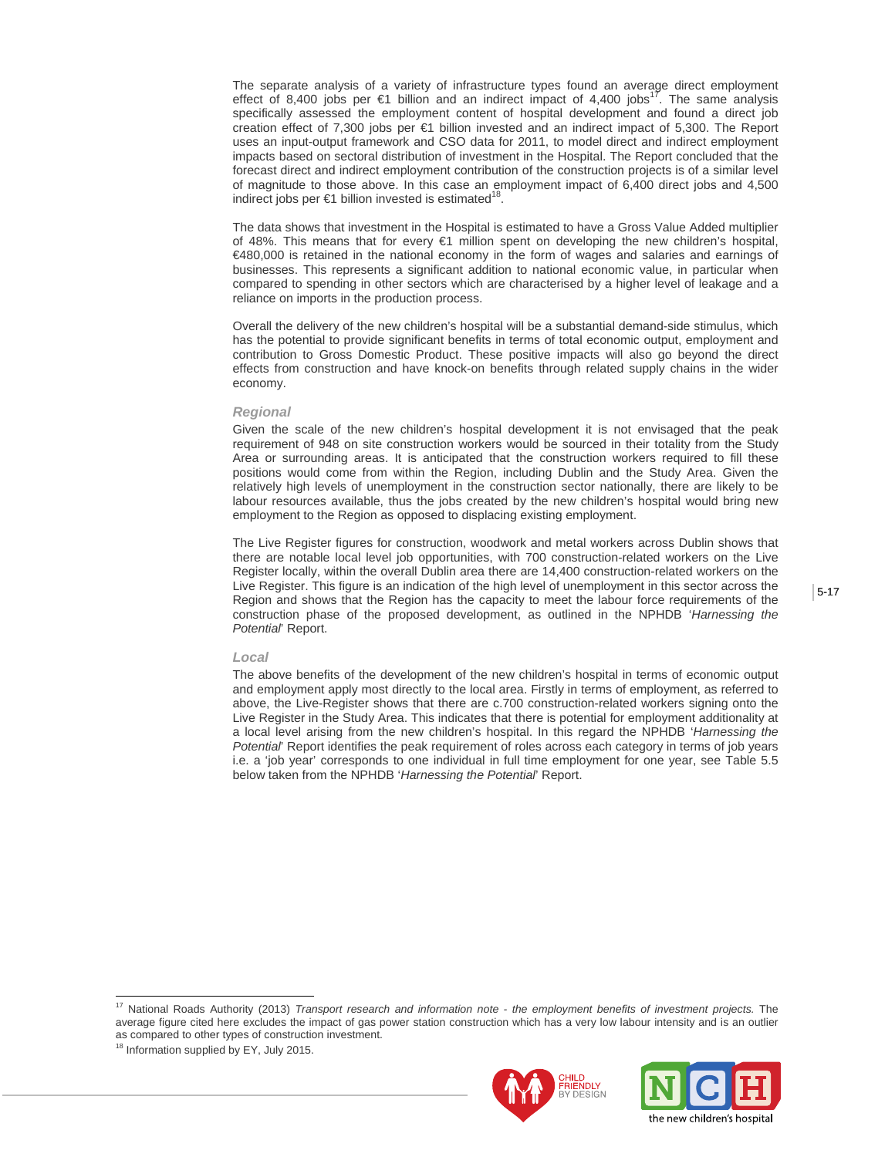The separate analysis of a variety of infrastructure types found an average direct employment<br>effect of 8,400 jobs per €1 billion and an indirect impact of 4,400 jobs<sup>17</sup>. The same analysis specifically assessed the employment content of hospital development and found a direct job creation effect of 7,300 jobs per €1 billion invested and an indirect impact of 5,300. The Report uses an input-output framework and CSO data for 2011, to model direct and indirect employment impacts based on sectoral distribution of investment in the Hospital. The Report concluded that the forecast direct and indirect employment contribution of the construction projects is of a similar level of magnitude to those above. In this case an employment impact of 6,400 direct jobs and 4,500 indirect jobs per  $€1$  billion invested is estimated<sup>18</sup>

The data shows that investment in the Hospital is estimated to have a Gross Value Added multiplier of 48%. This means that for every €1 million spent on developing the new children's hospital, €480,000 is retained in the national economy in the form of wages and salaries and earnings of businesses. This represents a significant addition to national economic value, in particular when compared to spending in other sectors which are characterised by a higher level of leakage and a reliance on imports in the production process.

Overall the delivery of the new children's hospital will be a substantial demand-side stimulus, which has the potential to provide significant benefits in terms of total economic output, employment and contribution to Gross Domestic Product. These positive impacts will also go beyond the direct effects from construction and have knock-on benefits through related supply chains in the wider economy.

#### *Regional*

Given the scale of the new children's hospital development it is not envisaged that the peak requirement of 948 on site construction workers would be sourced in their totality from the Study Area or surrounding areas. It is anticipated that the construction workers required to fill these positions would come from within the Region, including Dublin and the Study Area. Given the relatively high levels of unemployment in the construction sector nationally, there are likely to be labour resources available, thus the jobs created by the new children's hospital would bring new employment to the Region as opposed to displacing existing employment.

The Live Register figures for construction, woodwork and metal workers across Dublin shows that there are notable local level job opportunities, with 700 construction-related workers on the Live Register locally, within the overall Dublin area there are 14,400 construction-related workers on the Live Register. This figure is an indication of the high level of unemployment in this sector across the Region and shows that the Region has the capacity to meet the labour force requirements of the construction phase of the proposed development, as outlined in the NPHDB '*Harnessing the Potential*' Report.

#### *Local*

The above benefits of the development of the new children's hospital in terms of economic output and employment apply most directly to the local area. Firstly in terms of employment, as referred to above, the Live-Register shows that there are c.700 construction-related workers signing onto the Live Register in the Study Area. This indicates that there is potential for employment additionality at a local level arising from the new children's hospital. In this regard the NPHDB '*Harnessing the Potential*' Report identifies the peak requirement of roles across each category in terms of job years i.e. a 'job year' corresponds to one individual in full time employment for one year, see Table 5.5 below taken from the NPHDB '*Harnessing the Potential*' Report.

 $\overline{a}$ 





<sup>17</sup> National Roads Authority (2013) *Transport research and information note - the employment benefits of investment projects.* The average figure cited here excludes the impact of gas power station construction which has a very low labour intensity and is an outlier as compared to other types of construction investment. 18 Information supplied by EY, July 2015.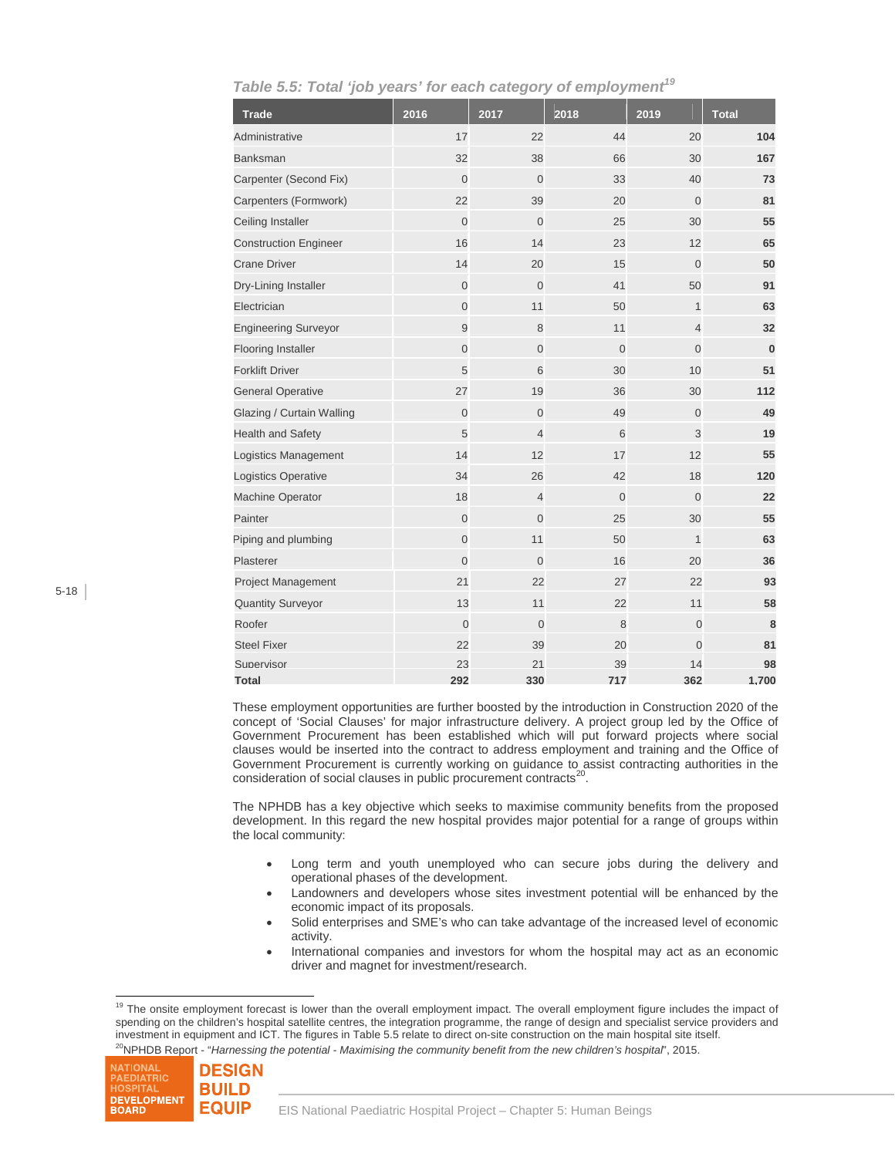| <b>Trade</b>                 | 2016           | 2017           | 2018           | 2019           | <b>Total</b> |
|------------------------------|----------------|----------------|----------------|----------------|--------------|
| Administrative               | 17             | 22             | 44             | 20             | 104          |
| <b>Banksman</b>              | 32             | 38             | 66             | 30             | 167          |
| Carpenter (Second Fix)       | $\overline{0}$ | $\overline{0}$ | 33             | 40             | 73           |
| Carpenters (Formwork)        | 22             | 39             | 20             | $\Omega$       | 81           |
| Ceiling Installer            | $\Omega$       | $\overline{0}$ | 25             | 30             | 55           |
| <b>Construction Engineer</b> | 16             | 14             | 23             | 12             | 65           |
| <b>Crane Driver</b>          | 14             | 20             | 15             | $\Omega$       | 50           |
| Dry-Lining Installer         | $\Omega$       | $\Omega$       | 41             | 50             | 91           |
| Electrician                  | $\overline{0}$ | 11             | 50             | $\mathbf{1}$   | 63           |
| <b>Engineering Surveyor</b>  | 9              | 8              | 11             | $\overline{4}$ | 32           |
| <b>Flooring Installer</b>    | $\Omega$       | $\overline{0}$ | $\Omega$       | $\Omega$       | $\bf{0}$     |
| <b>Forklift Driver</b>       | 5              | 6              | 30             | 10             | 51           |
| <b>General Operative</b>     | 27             | 19             | 36             | 30             | 112          |
| Glazing / Curtain Walling    | $\overline{0}$ | $\mathbf 0$    | 49             | $\Omega$       | 49           |
| <b>Health and Safety</b>     | 5              | $\overline{4}$ | 6              | 3              | 19           |
| Logistics Management         | 14             | 12             | 17             | 12             | 55           |
| Logistics Operative          | 34             | 26             | 42             | 18             | 120          |
| Machine Operator             | 18             | $\overline{4}$ | $\overline{0}$ | $\overline{0}$ | 22           |
| Painter                      | $\overline{0}$ | $\overline{0}$ | 25             | 30             | 55           |
| Piping and plumbing          | $\overline{0}$ | 11             | 50             | $\mathbf{1}$   | 63           |
| Plasterer                    | $\overline{0}$ | $\overline{0}$ | 16             | 20             | 36           |
| Project Management           | 21             | 22             | 27             | 22             | 93           |
| <b>Quantity Surveyor</b>     | 13             | 11             | 22             | 11             | 58           |
| Roofer                       | $\overline{0}$ | $\overline{0}$ | 8              | $\overline{0}$ | 8            |
| <b>Steel Fixer</b>           | 22             | 39             | 20             | $\Omega$       | 81           |
| Supervisor                   | 23             | 21             | 39             | 14             | 98           |
| Total                        | 292            | 330            | 717            | 362            | 1.700        |

*Table 5.5: Total 'job years' for each category of employment<sup>19</sup>*

These employment opportunities are further boosted by the introduction in Construction 2020 of the concept of 'Social Clauses' for major infrastructure delivery. A project group led by the Office of Government Procurement has been established which will put forward projects where social clauses would be inserted into the contract to address employment and training and the Office of Government Procurement is currently working on guidance to assist contracting authorities in the consideration of social clauses in public procurement contracts<sup>20</sup>.

The NPHDB has a key objective which seeks to maximise community benefits from the proposed development. In this regard the new hospital provides major potential for a range of groups within the local community:

- Long term and youth unemployed who can secure jobs during the delivery and operational phases of the development.
- Landowners and developers whose sites investment potential will be enhanced by the economic impact of its proposals.
- Solid enterprises and SME's who can take advantage of the increased level of economic activity.
- International companies and investors for whom the hospital may act as an economic driver and magnet for investment/research.

<sup>&</sup>lt;sup>19</sup> The onsite employment forecast is lower than the overall employment impact. The overall employment figure includes the impact of spending on the children's hospital satellite centres, the integration programme, the range of design and specialist service providers and investment in equipment and ICT. The figures in Table 5.5 relate to direct on-site construction on the main hospital site itself. 20NPHDB Report - "*Harnessing the potential - Maximising the community benefit from the new children's hospital*", 2015.



 $\overline{a}$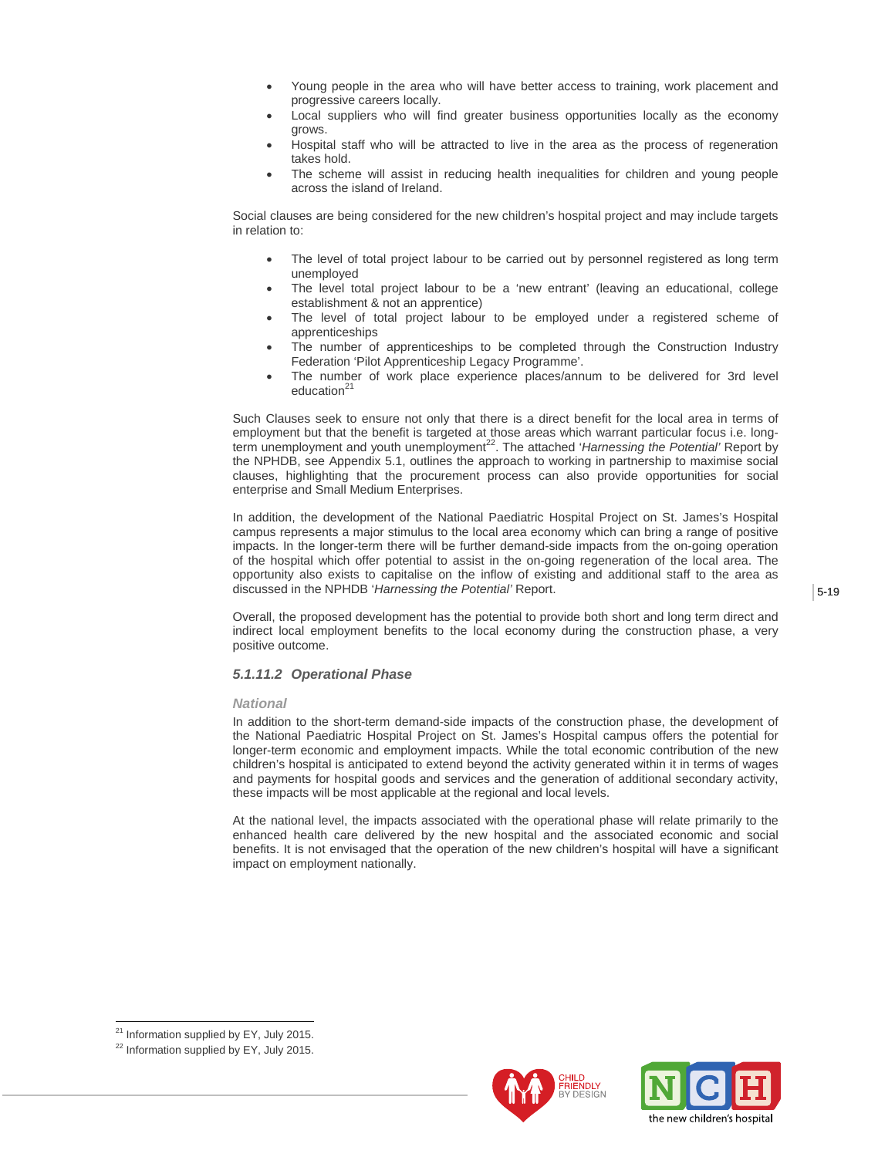- Young people in the area who will have better access to training, work placement and progressive careers locally.
- Local suppliers who will find greater business opportunities locally as the economy grows.
- Hospital staff who will be attracted to live in the area as the process of regeneration takes hold.
- The scheme will assist in reducing health inequalities for children and young people across the island of Ireland.

Social clauses are being considered for the new children's hospital project and may include targets in relation to:

- The level of total project labour to be carried out by personnel registered as long term unemployed
- The level total project labour to be a 'new entrant' (leaving an educational, college establishment & not an apprentice)
- The level of total project labour to be employed under a registered scheme of apprenticeships
- The number of apprenticeships to be completed through the Construction Industry Federation 'Pilot Apprenticeship Legacy Programme'.
- The number of work place experience places/annum to be delivered for 3rd level education<sup>21</sup>

Such Clauses seek to ensure not only that there is a direct benefit for the local area in terms of employment but that the benefit is targeted at those areas which warrant particular focus i.e. longterm unemployment and youth unemployment<sup>22</sup>. The attached '*Harnessing the Potential'* Report by the NPHDB, see Appendix 5.1, outlines the approach to working in partnership to maximise social clauses, highlighting that the procurement process can also provide opportunities for social enterprise and Small Medium Enterprises.

In addition, the development of the National Paediatric Hospital Project on St. James's Hospital campus represents a major stimulus to the local area economy which can bring a range of positive impacts. In the longer-term there will be further demand-side impacts from the on-going operation of the hospital which offer potential to assist in the on-going regeneration of the local area. The opportunity also exists to capitalise on the inflow of existing and additional staff to the area as discussed in the NPHDB '*Harnessing the Potential'* Report.

Overall, the proposed development has the potential to provide both short and long term direct and indirect local employment benefits to the local economy during the construction phase, a very positive outcome.

#### *5.1.11.2 Operational Phase*

#### *National*

In addition to the short-term demand-side impacts of the construction phase, the development of the National Paediatric Hospital Project on St. James's Hospital campus offers the potential for longer-term economic and employment impacts. While the total economic contribution of the new children's hospital is anticipated to extend beyond the activity generated within it in terms of wages and payments for hospital goods and services and the generation of additional secondary activity, these impacts will be most applicable at the regional and local levels.

At the national level, the impacts associated with the operational phase will relate primarily to the enhanced health care delivered by the new hospital and the associated economic and social benefits. It is not envisaged that the operation of the new children's hospital will have a significant impact on employment nationally.

 $\overline{a}$ 





<sup>&</sup>lt;sup>21</sup> Information supplied by EY, July 2015.

<sup>&</sup>lt;sup>22</sup> Information supplied by EY, July 2015.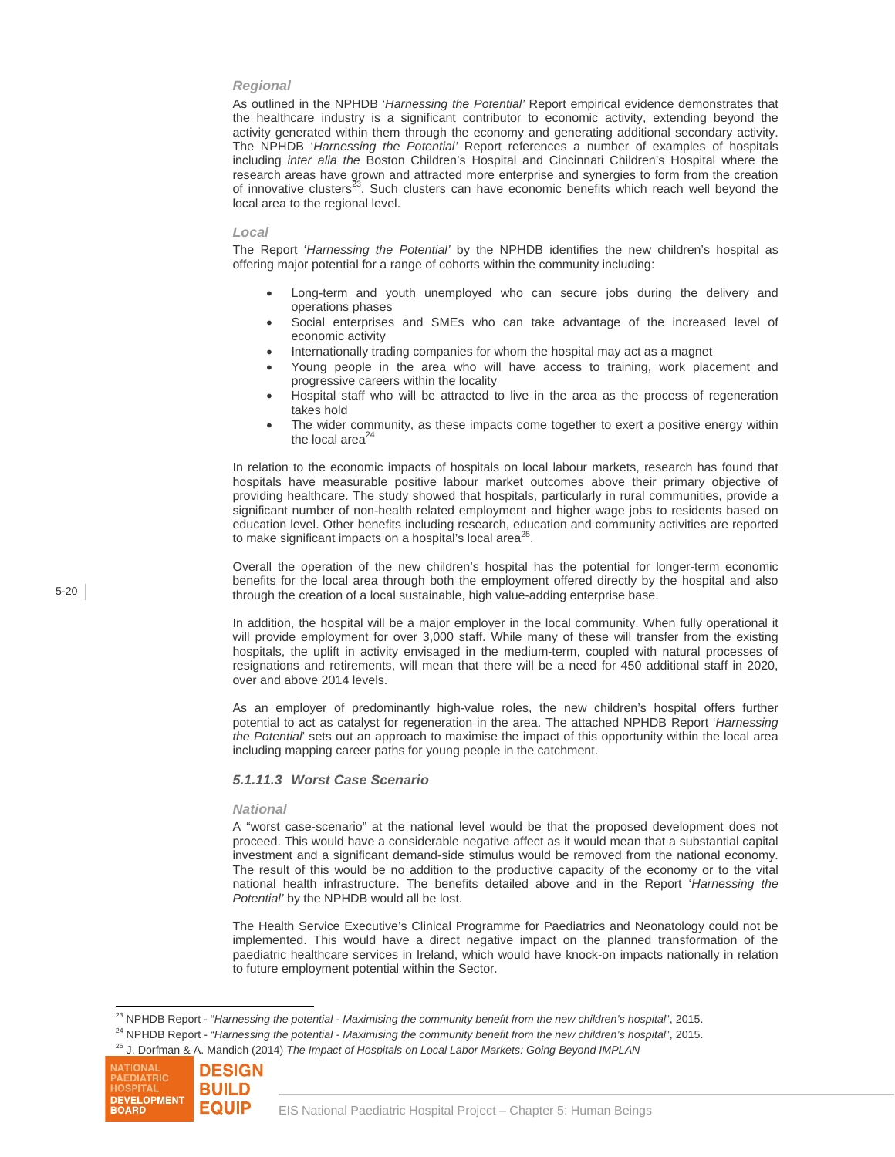#### *Regional*

As outlined in the NPHDB '*Harnessing the Potential'* Report empirical evidence demonstrates that the healthcare industry is a significant contributor to economic activity, extending beyond the activity generated within them through the economy and generating additional secondary activity. The NPHDB '*Harnessing the Potential'* Report references a number of examples of hospitals including *inter alia the* Boston Children's Hospital and Cincinnati Children's Hospital where the research areas have grown and attracted more enterprise and synergies to form from the creation of innovative clusters<sup>23</sup>. Such clusters can have economic benefits which reach well beyond the local area to the regional level.

#### *Local*

The Report '*Harnessing the Potential'* by the NPHDB identifies the new children's hospital as offering major potential for a range of cohorts within the community including:

- Long-term and youth unemployed who can secure jobs during the delivery and operations phases
- Social enterprises and SMEs who can take advantage of the increased level of economic activity
- Internationally trading companies for whom the hospital may act as a magnet
- Young people in the area who will have access to training, work placement and progressive careers within the locality
- Hospital staff who will be attracted to live in the area as the process of regeneration takes hold
- The wider community, as these impacts come together to exert a positive energy within the local area $^{24}$

In relation to the economic impacts of hospitals on local labour markets, research has found that hospitals have measurable positive labour market outcomes above their primary objective of providing healthcare. The study showed that hospitals, particularly in rural communities, provide a significant number of non-health related employment and higher wage jobs to residents based on education level. Other benefits including research, education and community activities are reported to make significant impacts on a hospital's local area $^{25}$ .

Overall the operation of the new children's hospital has the potential for longer-term economic benefits for the local area through both the employment offered directly by the hospital and also through the creation of a local sustainable, high value-adding enterprise base.

In addition, the hospital will be a major employer in the local community. When fully operational it will provide employment for over 3,000 staff. While many of these will transfer from the existing hospitals, the uplift in activity envisaged in the medium-term, coupled with natural processes of resignations and retirements, will mean that there will be a need for 450 additional staff in 2020, over and above 2014 levels.

As an employer of predominantly high-value roles, the new children's hospital offers further potential to act as catalyst for regeneration in the area. The attached NPHDB Report '*Harnessing the Potential*' sets out an approach to maximise the impact of this opportunity within the local area including mapping career paths for young people in the catchment.

#### *5.1.11.3 Worst Case Scenario*

#### *National*

A "worst case-scenario" at the national level would be that the proposed development does not proceed. This would have a considerable negative affect as it would mean that a substantial capital investment and a significant demand-side stimulus would be removed from the national economy. The result of this would be no addition to the productive capacity of the economy or to the vital national health infrastructure. The benefits detailed above and in the Report '*Harnessing the Potential'* by the NPHDB would all be lost.

The Health Service Executive's Clinical Programme for Paediatrics and Neonatology could not be implemented. This would have a direct negative impact on the planned transformation of the paediatric healthcare services in Ireland, which would have knock-on impacts nationally in relation to future employment potential within the Sector.



<sup>&</sup>lt;sup>23</sup> NPHDB Report - "Harnessing the potential - Maximising the community benefit from the new children's hospital', 2015.

<sup>&</sup>lt;sup>24</sup> NPHDB Report - "Harnessing the potential - Maximising the community benefit from the new children's hospital', 2015.<br><sup>25</sup> J. Dorfman & A. Mandich (2014) The Impact of Hospitals on Local Labor Markets: Going Beyond IMP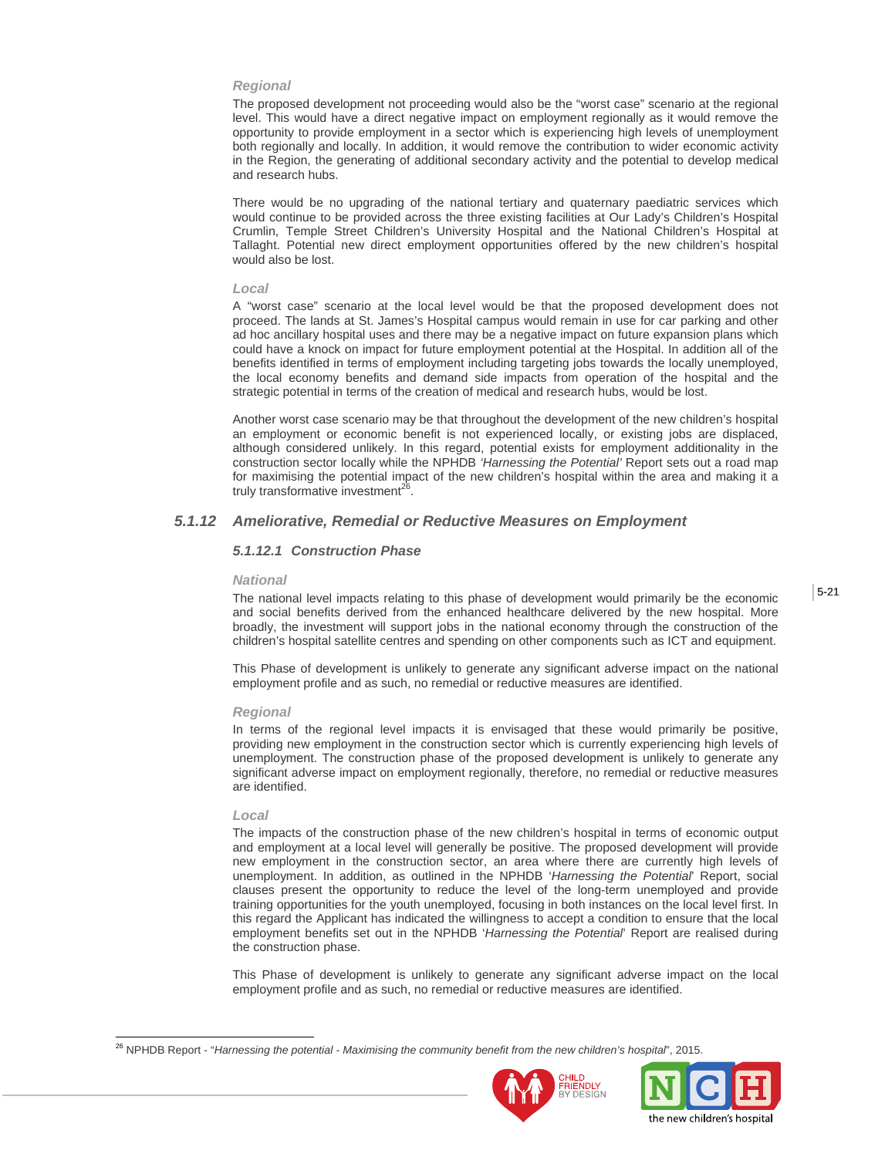#### *Regional*

The proposed development not proceeding would also be the "worst case" scenario at the regional level. This would have a direct negative impact on employment regionally as it would remove the opportunity to provide employment in a sector which is experiencing high levels of unemployment both regionally and locally. In addition, it would remove the contribution to wider economic activity in the Region, the generating of additional secondary activity and the potential to develop medical and research hubs.

There would be no upgrading of the national tertiary and quaternary paediatric services which would continue to be provided across the three existing facilities at Our Lady's Children's Hospital Crumlin, Temple Street Children's University Hospital and the National Children's Hospital at Tallaght. Potential new direct employment opportunities offered by the new children's hospital would also be lost.

#### *Local*

A "worst case" scenario at the local level would be that the proposed development does not proceed. The lands at St. James's Hospital campus would remain in use for car parking and other ad hoc ancillary hospital uses and there may be a negative impact on future expansion plans which could have a knock on impact for future employment potential at the Hospital. In addition all of the benefits identified in terms of employment including targeting jobs towards the locally unemployed, the local economy benefits and demand side impacts from operation of the hospital and the strategic potential in terms of the creation of medical and research hubs, would be lost.

Another worst case scenario may be that throughout the development of the new children's hospital an employment or economic benefit is not experienced locally, or existing jobs are displaced, although considered unlikely. In this regard, potential exists for employment additionality in the construction sector locally while the NPHDB *'Harnessing the Potential'* Report sets out a road map for maximising the potential impact of the new children's hospital within the area and making it a truly transformative investment<sup>26</sup>

## *5.1.12 Ameliorative, Remedial or Reductive Measures on Employment*

#### *5.1.12.1 Construction Phase*

#### *National*

The national level impacts relating to this phase of development would primarily be the economic and social benefits derived from the enhanced healthcare delivered by the new hospital. More broadly, the investment will support jobs in the national economy through the construction of the children's hospital satellite centres and spending on other components such as ICT and equipment.

This Phase of development is unlikely to generate any significant adverse impact on the national employment profile and as such, no remedial or reductive measures are identified.

#### *Regional*

In terms of the regional level impacts it is envisaged that these would primarily be positive, providing new employment in the construction sector which is currently experiencing high levels of unemployment. The construction phase of the proposed development is unlikely to generate any significant adverse impact on employment regionally, therefore, no remedial or reductive measures are identified.

#### *Local*

l

The impacts of the construction phase of the new children's hospital in terms of economic output and employment at a local level will generally be positive. The proposed development will provide new employment in the construction sector, an area where there are currently high levels of unemployment. In addition, as outlined in the NPHDB '*Harnessing the Potential*' Report, social clauses present the opportunity to reduce the level of the long-term unemployed and provide training opportunities for the youth unemployed, focusing in both instances on the local level first. In this regard the Applicant has indicated the willingness to accept a condition to ensure that the local employment benefits set out in the NPHDB '*Harnessing the Potential*' Report are realised during the construction phase.

This Phase of development is unlikely to generate any significant adverse impact on the local employment profile and as such, no remedial or reductive measures are identified.

<sup>26</sup> NPHDB Report - "*Harnessing the potential - Maximising the community benefit from the new children's hospital*", 2015.



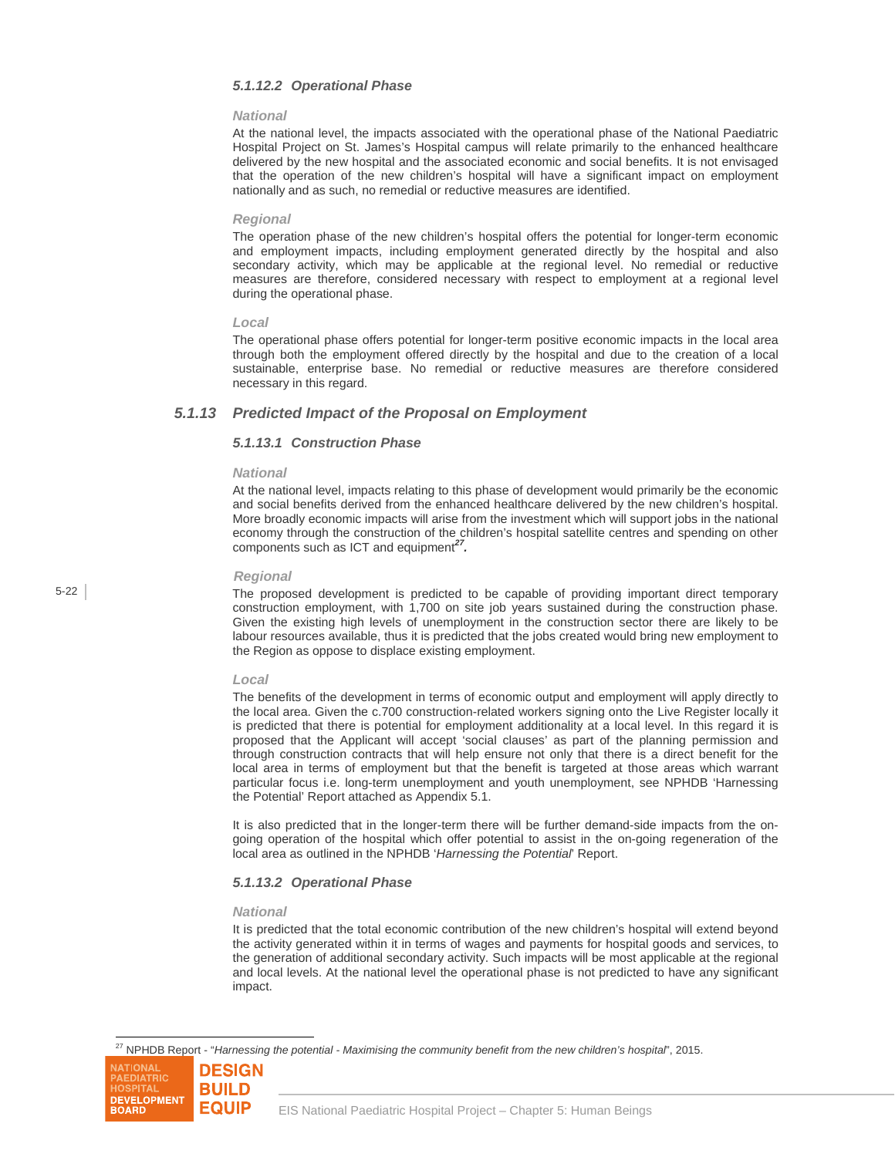#### *5.1.12.2 Operational Phase*

#### *National*

At the national level, the impacts associated with the operational phase of the National Paediatric Hospital Project on St. James's Hospital campus will relate primarily to the enhanced healthcare delivered by the new hospital and the associated economic and social benefits. It is not envisaged that the operation of the new children's hospital will have a significant impact on employment nationally and as such, no remedial or reductive measures are identified.

#### *Regional*

The operation phase of the new children's hospital offers the potential for longer-term economic and employment impacts, including employment generated directly by the hospital and also secondary activity, which may be applicable at the regional level. No remedial or reductive measures are therefore, considered necessary with respect to employment at a regional level during the operational phase.

#### *Local*

The operational phase offers potential for longer-term positive economic impacts in the local area through both the employment offered directly by the hospital and due to the creation of a local sustainable, enterprise base. No remedial or reductive measures are therefore considered necessary in this regard.

### *5.1.13 Predicted Impact of the Proposal on Employment*

#### *5.1.13.1 Construction Phase*

#### *National*

At the national level, impacts relating to this phase of development would primarily be the economic and social benefits derived from the enhanced healthcare delivered by the new children's hospital. More broadly economic impacts will arise from the investment which will support jobs in the national economy through the construction of the children's hospital satellite centres and spending on other components such as ICT and equipment*27.* 

#### *Regional*

The proposed development is predicted to be capable of providing important direct temporary construction employment, with 1,700 on site job years sustained during the construction phase. Given the existing high levels of unemployment in the construction sector there are likely to be labour resources available, thus it is predicted that the jobs created would bring new employment to the Region as oppose to displace existing employment.

#### *Local*

The benefits of the development in terms of economic output and employment will apply directly to the local area. Given the c.700 construction-related workers signing onto the Live Register locally it is predicted that there is potential for employment additionality at a local level. In this regard it is proposed that the Applicant will accept 'social clauses' as part of the planning permission and through construction contracts that will help ensure not only that there is a direct benefit for the local area in terms of employment but that the benefit is targeted at those areas which warrant particular focus i.e. long-term unemployment and youth unemployment, see NPHDB 'Harnessing the Potential' Report attached as Appendix 5.1.

It is also predicted that in the longer-term there will be further demand-side impacts from the ongoing operation of the hospital which offer potential to assist in the on-going regeneration of the local area as outlined in the NPHDB '*Harnessing the Potential*' Report.

#### *5.1.13.2 Operational Phase*

#### *National*

It is predicted that the total economic contribution of the new children's hospital will extend beyond the activity generated within it in terms of wages and payments for hospital goods and services, to the generation of additional secondary activity. Such impacts will be most applicable at the regional and local levels. At the national level the operational phase is not predicted to have any significant impact.

27 NPHDB Report - "*Harnessing the potential - Maximising the community benefit from the new children's hospital*", 2015.



l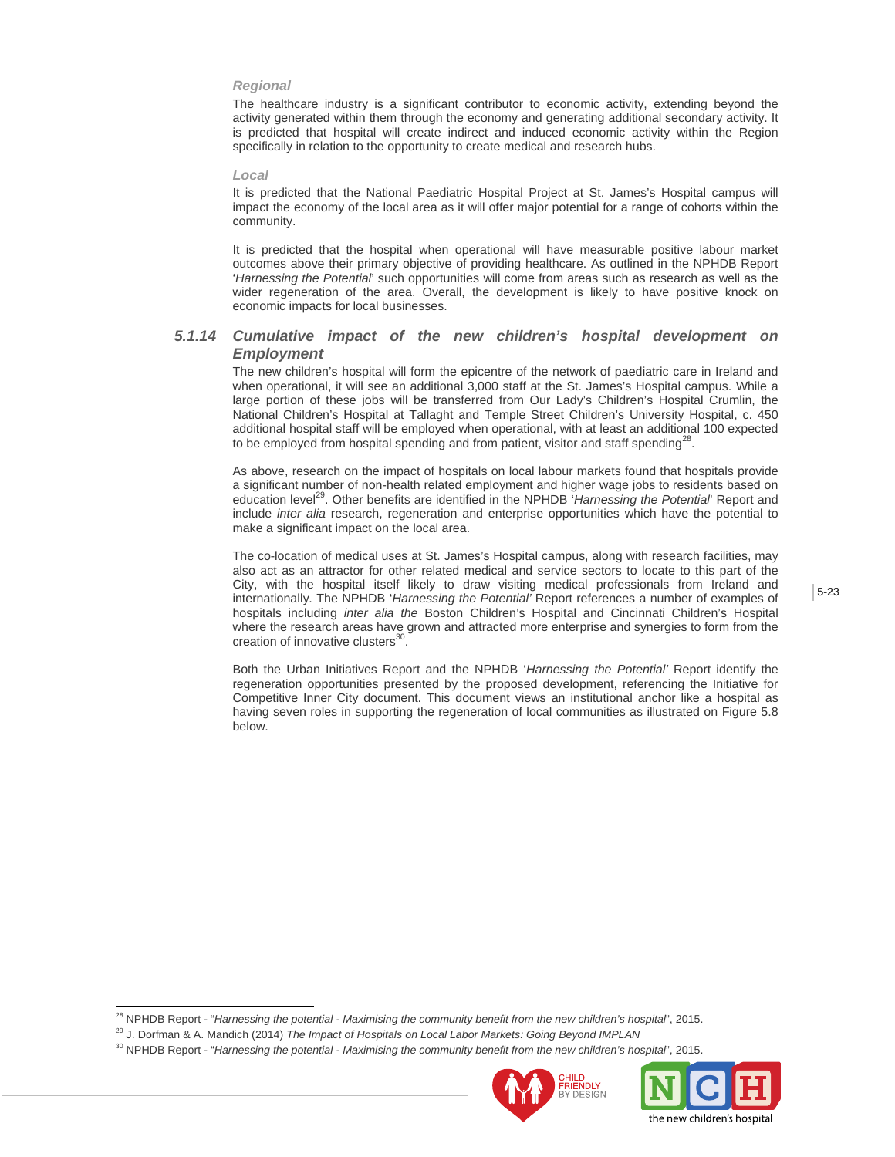#### *Regional*

The healthcare industry is a significant contributor to economic activity, extending beyond the activity generated within them through the economy and generating additional secondary activity. It is predicted that hospital will create indirect and induced economic activity within the Region specifically in relation to the opportunity to create medical and research hubs.

#### *Local*

It is predicted that the National Paediatric Hospital Project at St. James's Hospital campus will impact the economy of the local area as it will offer major potential for a range of cohorts within the community.

It is predicted that the hospital when operational will have measurable positive labour market outcomes above their primary objective of providing healthcare. As outlined in the NPHDB Report '*Harnessing the Potential*' such opportunities will come from areas such as research as well as the wider regeneration of the area. Overall, the development is likely to have positive knock on economic impacts for local businesses.

## *5.1.14 Cumulative impact of the new children's hospital development on Employment*

The new children's hospital will form the epicentre of the network of paediatric care in Ireland and when operational, it will see an additional 3,000 staff at the St. James's Hospital campus. While a large portion of these jobs will be transferred from Our Lady's Children's Hospital Crumlin, the National Children's Hospital at Tallaght and Temple Street Children's University Hospital, c. 450 additional hospital staff will be employed when operational, with at least an additional 100 expected to be employed from hospital spending and from patient, visitor and staff spending<sup>28</sup>.

As above, research on the impact of hospitals on local labour markets found that hospitals provide a significant number of non-health related employment and higher wage jobs to residents based on education level<sup>29</sup>. Other benefits are identified in the NPHDB 'Harnessing the Potential' Report and include *inter alia* research, regeneration and enterprise opportunities which have the potential to make a significant impact on the local area.

The co-location of medical uses at St. James's Hospital campus, along with research facilities, may also act as an attractor for other related medical and service sectors to locate to this part of the City, with the hospital itself likely to draw visiting medical professionals from Ireland and internationally. The NPHDB '*Harnessing the Potential'* Report references a number of examples of hospitals including *inter alia the* Boston Children's Hospital and Cincinnati Children's Hospital where the research areas have grown and attracted more enterprise and synergies to form from the creation of innovative clusters<sup>30</sup>

Both the Urban Initiatives Report and the NPHDB '*Harnessing the Potential'* Report identify the regeneration opportunities presented by the proposed development, referencing the Initiative for Competitive Inner City document. This document views an institutional anchor like a hospital as having seven roles in supporting the regeneration of local communities as illustrated on Figure 5.8 below.

<sup>30</sup> NPHDB Report - "*Harnessing the potential - Maximising the community benefit from the new children's hospital*", 2015.





 $\overline{a}$ <sup>28</sup> NPHDB Report - "Harnessing the potential - Maximising the community benefit from the new children's hospital', 2015.<br><sup>29</sup> J. Dorfman & A. Mandich (2014) The Impact of Hospitals on Local Labor Markets: Going Beyond IMP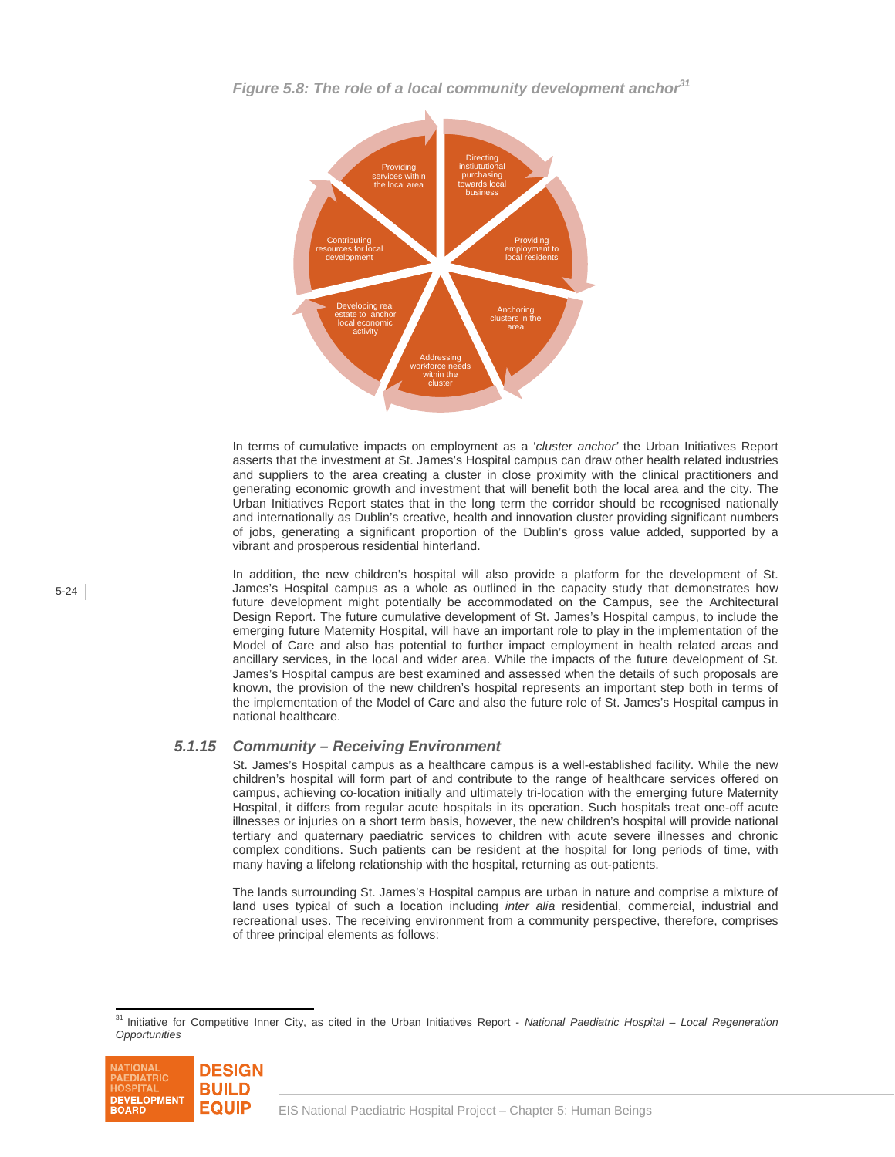

*Figure 5.8: The role of a local community development anchor31*

In terms of cumulative impacts on employment as a '*cluster anchor'* the Urban Initiatives Report asserts that the investment at St. James's Hospital campus can draw other health related industries and suppliers to the area creating a cluster in close proximity with the clinical practitioners and generating economic growth and investment that will benefit both the local area and the city. The Urban Initiatives Report states that in the long term the corridor should be recognised nationally and internationally as Dublin's creative, health and innovation cluster providing significant numbers of jobs, generating a significant proportion of the Dublin's gross value added, supported by a vibrant and prosperous residential hinterland.

In addition, the new children's hospital will also provide a platform for the development of St. James's Hospital campus as a whole as outlined in the capacity study that demonstrates how future development might potentially be accommodated on the Campus, see the Architectural Design Report. The future cumulative development of St. James's Hospital campus, to include the emerging future Maternity Hospital, will have an important role to play in the implementation of the Model of Care and also has potential to further impact employment in health related areas and ancillary services, in the local and wider area. While the impacts of the future development of St. James's Hospital campus are best examined and assessed when the details of such proposals are known, the provision of the new children's hospital represents an important step both in terms of the implementation of the Model of Care and also the future role of St. James's Hospital campus in national healthcare.

## *5.1.15 Community – Receiving Environment*

St. James's Hospital campus as a healthcare campus is a well-established facility. While the new children's hospital will form part of and contribute to the range of healthcare services offered on campus, achieving co-location initially and ultimately tri-location with the emerging future Maternity Hospital, it differs from regular acute hospitals in its operation. Such hospitals treat one-off acute illnesses or injuries on a short term basis, however, the new children's hospital will provide national tertiary and quaternary paediatric services to children with acute severe illnesses and chronic complex conditions. Such patients can be resident at the hospital for long periods of time, with many having a lifelong relationship with the hospital, returning as out-patients.

The lands surrounding St. James's Hospital campus are urban in nature and comprise a mixture of land uses typical of such a location including *inter alia* residential, commercial, industrial and recreational uses. The receiving environment from a community perspective, therefore, comprises of three principal elements as follows:

 $\overline{a}$ 31 Initiative for Competitive Inner City, as cited in the Urban Initiatives Report - *National Paediatric Hospital – Local Regeneration Opportunities*

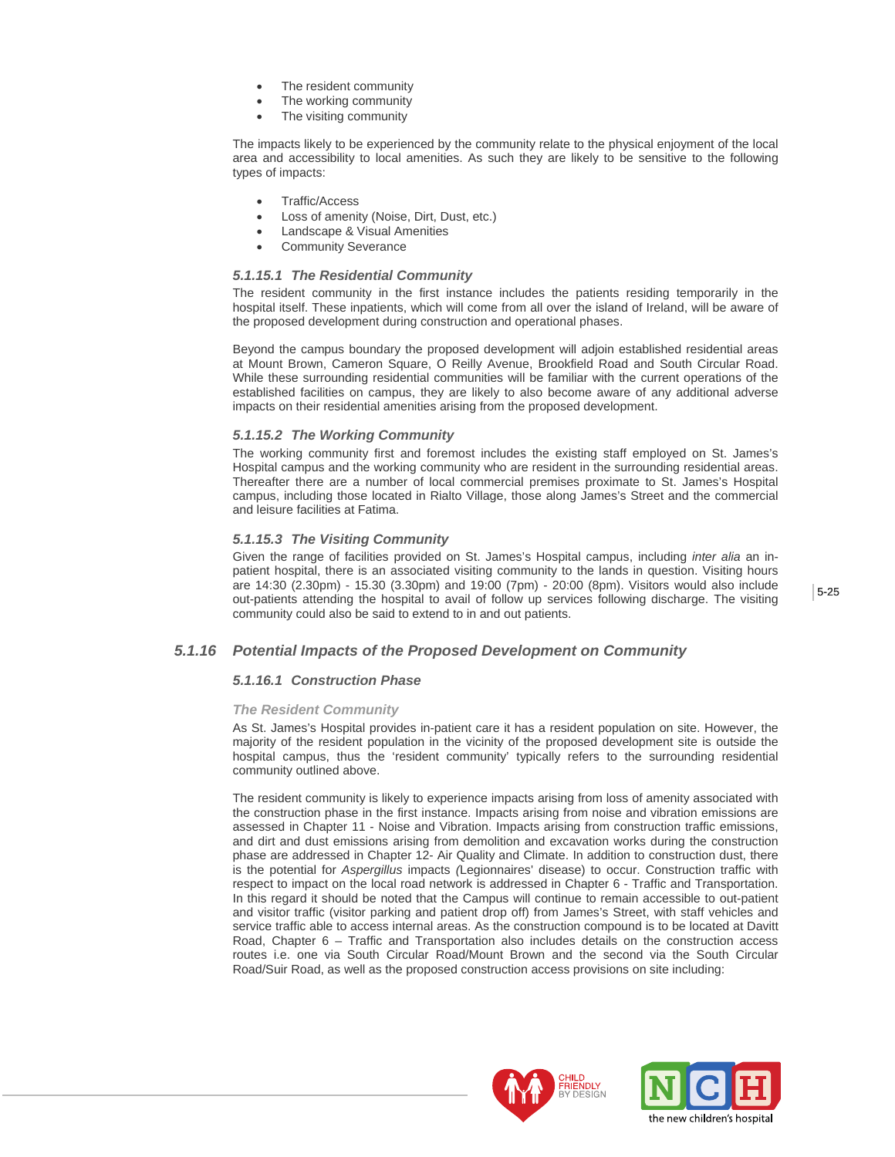- The resident community
- The working community
- The visiting community

The impacts likely to be experienced by the community relate to the physical enjoyment of the local area and accessibility to local amenities. As such they are likely to be sensitive to the following types of impacts:

- Traffic/Access
- Loss of amenity (Noise, Dirt, Dust, etc.)
- Landscape & Visual Amenities
- Community Severance

#### *5.1.15.1 The Residential Community*

The resident community in the first instance includes the patients residing temporarily in the hospital itself. These inpatients, which will come from all over the island of Ireland, will be aware of the proposed development during construction and operational phases.

Beyond the campus boundary the proposed development will adjoin established residential areas at Mount Brown, Cameron Square, O Reilly Avenue, Brookfield Road and South Circular Road. While these surrounding residential communities will be familiar with the current operations of the established facilities on campus, they are likely to also become aware of any additional adverse impacts on their residential amenities arising from the proposed development.

#### *5.1.15.2 The Working Community*

The working community first and foremost includes the existing staff employed on St. James's Hospital campus and the working community who are resident in the surrounding residential areas. Thereafter there are a number of local commercial premises proximate to St. James's Hospital campus, including those located in Rialto Village, those along James's Street and the commercial and leisure facilities at Fatima.

### *5.1.15.3 The Visiting Community*

Given the range of facilities provided on St. James's Hospital campus, including *inter alia* an inpatient hospital, there is an associated visiting community to the lands in question. Visiting hours are 14:30 (2.30pm) - 15.30 (3.30pm) and 19:00 (7pm) - 20:00 (8pm). Visitors would also include out-patients attending the hospital to avail of follow up services following discharge. The visiting community could also be said to extend to in and out patients.

## *5.1.16 Potential Impacts of the Proposed Development on Community*

### *5.1.16.1 Construction Phase*

#### *The Resident Community*

As St. James's Hospital provides in-patient care it has a resident population on site. However, the majority of the resident population in the vicinity of the proposed development site is outside the hospital campus, thus the 'resident community' typically refers to the surrounding residential community outlined above.

The resident community is likely to experience impacts arising from loss of amenity associated with the construction phase in the first instance. Impacts arising from noise and vibration emissions are assessed in Chapter 11 - Noise and Vibration. Impacts arising from construction traffic emissions, and dirt and dust emissions arising from demolition and excavation works during the construction phase are addressed in Chapter 12- Air Quality and Climate. In addition to construction dust, there is the potential for *Aspergillus* impacts *(*Legionnaires' disease) to occur. Construction traffic with respect to impact on the local road network is addressed in Chapter 6 - Traffic and Transportation. In this regard it should be noted that the Campus will continue to remain accessible to out-patient and visitor traffic (visitor parking and patient drop off) from James's Street, with staff vehicles and service traffic able to access internal areas. As the construction compound is to be located at Davitt Road, Chapter 6 – Traffic and Transportation also includes details on the construction access routes i.e. one via South Circular Road/Mount Brown and the second via the South Circular Road/Suir Road, as well as the proposed construction access provisions on site including:



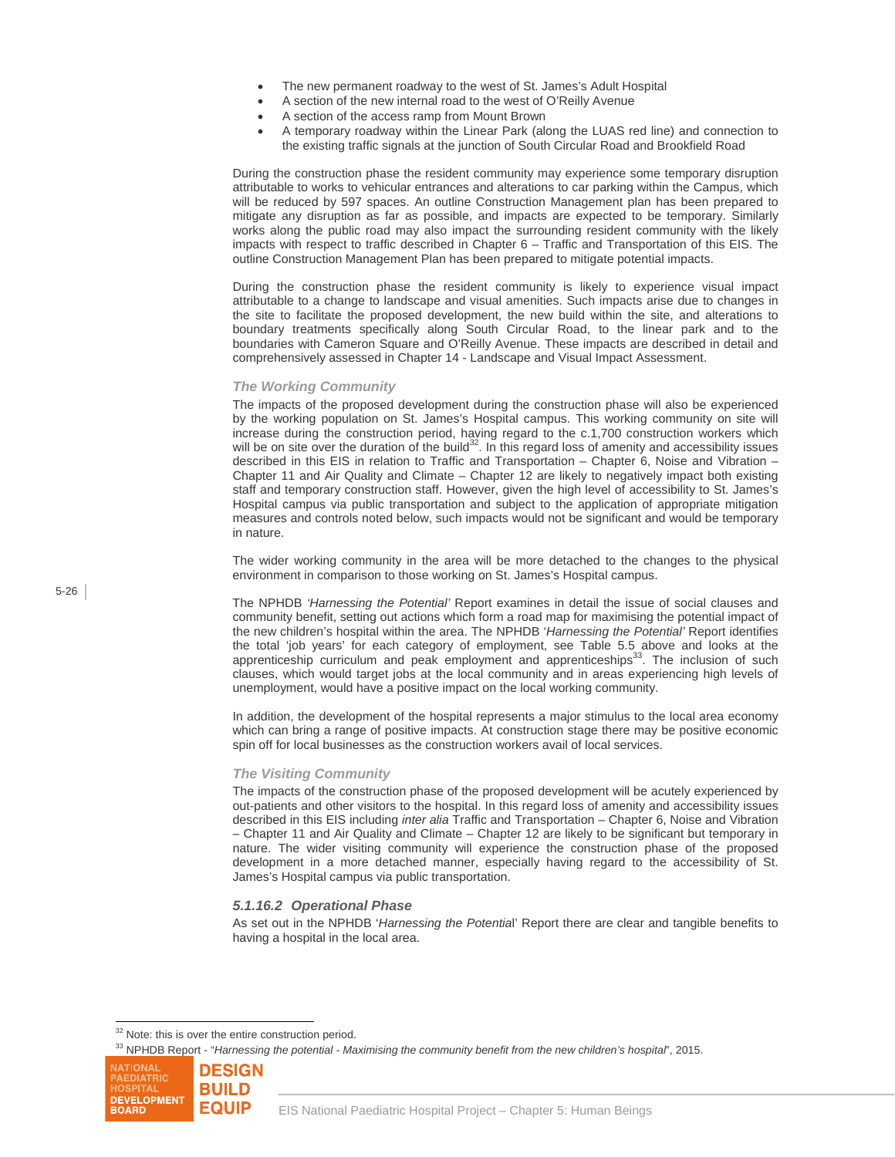- The new permanent roadway to the west of St. James's Adult Hospital
- A section of the new internal road to the west of O'Reilly Avenue
- A section of the access ramp from Mount Brown
- A temporary roadway within the Linear Park (along the LUAS red line) and connection to the existing traffic signals at the junction of South Circular Road and Brookfield Road

During the construction phase the resident community may experience some temporary disruption attributable to works to vehicular entrances and alterations to car parking within the Campus, which will be reduced by 597 spaces. An outline Construction Management plan has been prepared to mitigate any disruption as far as possible, and impacts are expected to be temporary. Similarly works along the public road may also impact the surrounding resident community with the likely impacts with respect to traffic described in Chapter 6 – Traffic and Transportation of this EIS. The outline Construction Management Plan has been prepared to mitigate potential impacts.

During the construction phase the resident community is likely to experience visual impact attributable to a change to landscape and visual amenities. Such impacts arise due to changes in the site to facilitate the proposed development, the new build within the site, and alterations to boundary treatments specifically along South Circular Road, to the linear park and to the boundaries with Cameron Square and O'Reilly Avenue. These impacts are described in detail and comprehensively assessed in Chapter 14 - Landscape and Visual Impact Assessment.

#### *The Working Community*

The impacts of the proposed development during the construction phase will also be experienced by the working population on St. James's Hospital campus. This working community on site will increase during the construction period, having regard to the c.1,700 construction workers which will be on site over the duration of the build<sup>32</sup>. In this regard loss of amenity and accessibility issues described in this EIS in relation to Traffic and Transportation – Chapter 6, Noise and Vibration – Chapter 11 and Air Quality and Climate – Chapter 12 are likely to negatively impact both existing staff and temporary construction staff. However, given the high level of accessibility to St. James's Hospital campus via public transportation and subject to the application of appropriate mitigation measures and controls noted below, such impacts would not be significant and would be temporary in nature.

The wider working community in the area will be more detached to the changes to the physical environment in comparison to those working on St. James's Hospital campus.

The NPHDB *'Harnessing the Potential'* Report examines in detail the issue of social clauses and community benefit, setting out actions which form a road map for maximising the potential impact of the new children's hospital within the area. The NPHDB '*Harnessing the Potential'* Report identifies the total 'job years' for each category of employment, see Table 5.5 above and looks at the apprenticeship curriculum and peak employment and apprenticeships $33$ . The inclusion of such clauses, which would target jobs at the local community and in areas experiencing high levels of unemployment, would have a positive impact on the local working community.

In addition, the development of the hospital represents a major stimulus to the local area economy which can bring a range of positive impacts. At construction stage there may be positive economic spin off for local businesses as the construction workers avail of local services.

#### *The Visiting Community*

The impacts of the construction phase of the proposed development will be acutely experienced by out-patients and other visitors to the hospital. In this regard loss of amenity and accessibility issues described in this EIS including *inter alia* Traffic and Transportation – Chapter 6, Noise and Vibration – Chapter 11 and Air Quality and Climate – Chapter 12 are likely to be significant but temporary in nature. The wider visiting community will experience the construction phase of the proposed development in a more detached manner, especially having regard to the accessibility of St. James's Hospital campus via public transportation.

#### *5.1.16.2 Operational Phase*

As set out in the NPHDB '*Harnessing the Potentia*l' Report there are clear and tangible benefits to having a hospital in the local area.

<sup>33</sup> NPHDB Report - "*Harnessing the potential - Maximising the community benefit from the new children's hospital*", 2015.



 $\overline{a}$ <sup>32</sup> Note: this is over the entire construction period.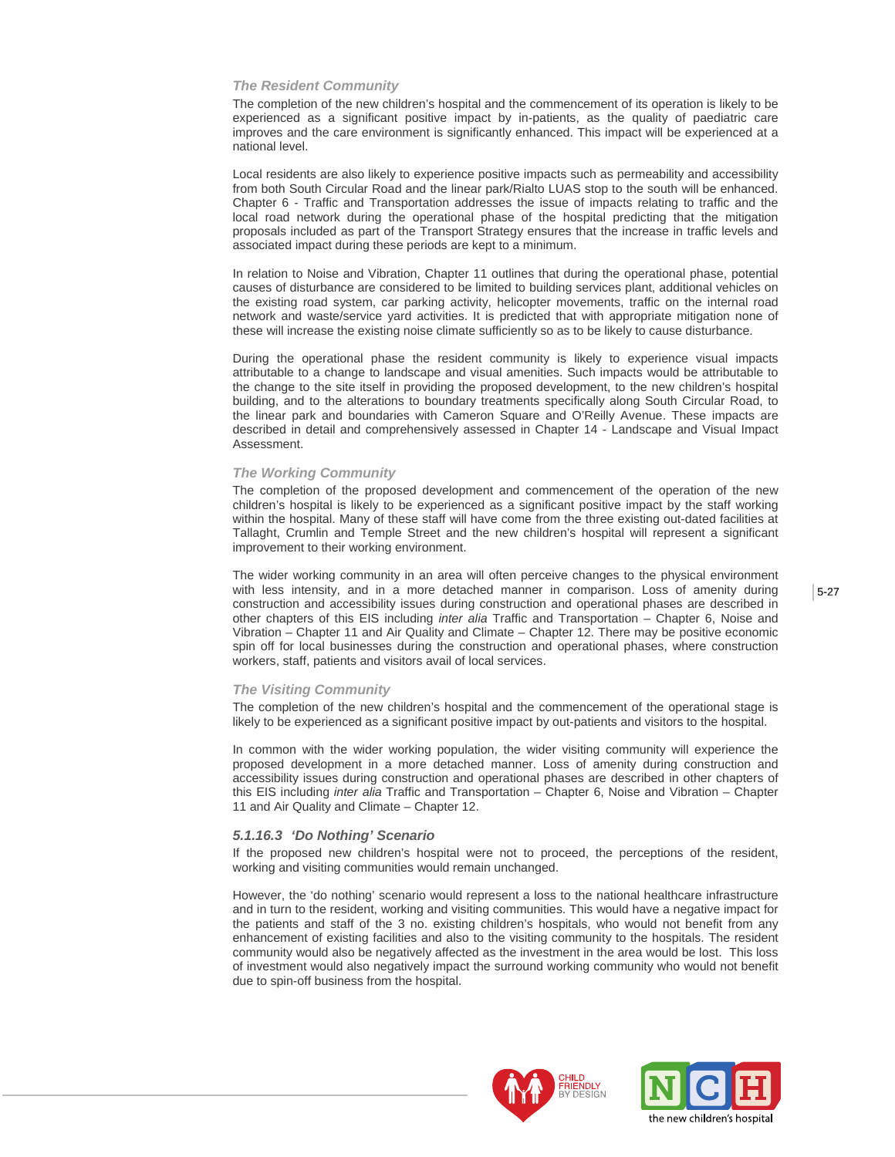#### *The Resident Community*

The completion of the new children's hospital and the commencement of its operation is likely to be experienced as a significant positive impact by in-patients, as the quality of paediatric care improves and the care environment is significantly enhanced. This impact will be experienced at a national level.

Local residents are also likely to experience positive impacts such as permeability and accessibility from both South Circular Road and the linear park/Rialto LUAS stop to the south will be enhanced. Chapter 6 - Traffic and Transportation addresses the issue of impacts relating to traffic and the local road network during the operational phase of the hospital predicting that the mitigation proposals included as part of the Transport Strategy ensures that the increase in traffic levels and associated impact during these periods are kept to a minimum.

In relation to Noise and Vibration, Chapter 11 outlines that during the operational phase, potential causes of disturbance are considered to be limited to building services plant, additional vehicles on the existing road system, car parking activity, helicopter movements, traffic on the internal road network and waste/service yard activities. It is predicted that with appropriate mitigation none of these will increase the existing noise climate sufficiently so as to be likely to cause disturbance.

During the operational phase the resident community is likely to experience visual impacts attributable to a change to landscape and visual amenities. Such impacts would be attributable to the change to the site itself in providing the proposed development, to the new children's hospital building, and to the alterations to boundary treatments specifically along South Circular Road, to the linear park and boundaries with Cameron Square and O'Reilly Avenue. These impacts are described in detail and comprehensively assessed in Chapter 14 - Landscape and Visual Impact Assessment.

#### *The Working Community*

The completion of the proposed development and commencement of the operation of the new children's hospital is likely to be experienced as a significant positive impact by the staff working within the hospital. Many of these staff will have come from the three existing out-dated facilities at Tallaght, Crumlin and Temple Street and the new children's hospital will represent a significant improvement to their working environment.

The wider working community in an area will often perceive changes to the physical environment with less intensity, and in a more detached manner in comparison. Loss of amenity during construction and accessibility issues during construction and operational phases are described in other chapters of this EIS including *inter alia* Traffic and Transportation – Chapter 6, Noise and Vibration – Chapter 11 and Air Quality and Climate – Chapter 12. There may be positive economic spin off for local businesses during the construction and operational phases, where construction workers, staff, patients and visitors avail of local services.

#### *The Visiting Community*

The completion of the new children's hospital and the commencement of the operational stage is likely to be experienced as a significant positive impact by out-patients and visitors to the hospital.

In common with the wider working population, the wider visiting community will experience the proposed development in a more detached manner. Loss of amenity during construction and accessibility issues during construction and operational phases are described in other chapters of this EIS including *inter alia* Traffic and Transportation – Chapter 6, Noise and Vibration – Chapter 11 and Air Quality and Climate – Chapter 12.

#### *5.1.16.3 'Do Nothing' Scenario*

If the proposed new children's hospital were not to proceed, the perceptions of the resident, working and visiting communities would remain unchanged.

However, the 'do nothing' scenario would represent a loss to the national healthcare infrastructure and in turn to the resident, working and visiting communities. This would have a negative impact for the patients and staff of the 3 no. existing children's hospitals, who would not benefit from any enhancement of existing facilities and also to the visiting community to the hospitals. The resident community would also be negatively affected as the investment in the area would be lost. This loss of investment would also negatively impact the surround working community who would not benefit due to spin-off business from the hospital.



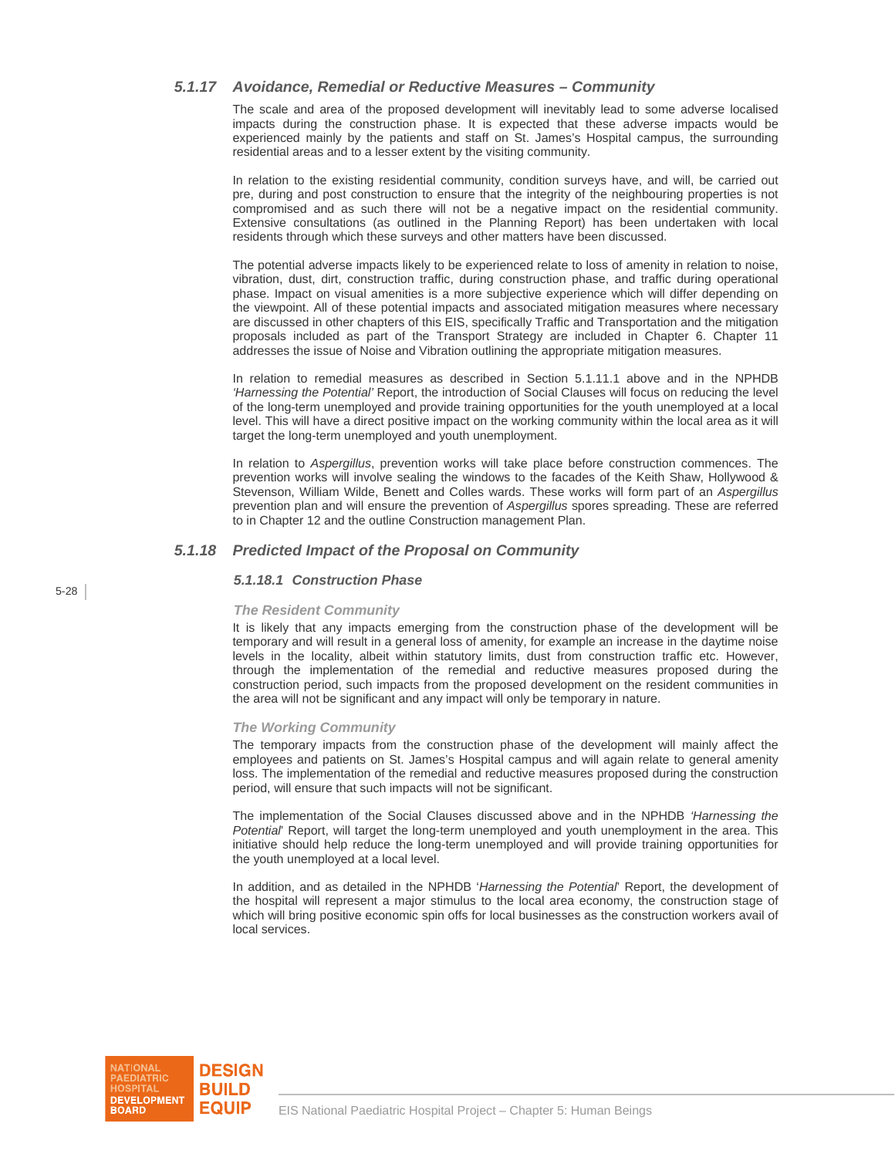## *5.1.17 Avoidance, Remedial or Reductive Measures – Community*

The scale and area of the proposed development will inevitably lead to some adverse localised impacts during the construction phase. It is expected that these adverse impacts would be experienced mainly by the patients and staff on St. James's Hospital campus, the surrounding residential areas and to a lesser extent by the visiting community.

In relation to the existing residential community, condition surveys have, and will, be carried out pre, during and post construction to ensure that the integrity of the neighbouring properties is not compromised and as such there will not be a negative impact on the residential community. Extensive consultations (as outlined in the Planning Report) has been undertaken with local residents through which these surveys and other matters have been discussed.

The potential adverse impacts likely to be experienced relate to loss of amenity in relation to noise, vibration, dust, dirt, construction traffic, during construction phase, and traffic during operational phase. Impact on visual amenities is a more subjective experience which will differ depending on the viewpoint. All of these potential impacts and associated mitigation measures where necessary are discussed in other chapters of this EIS, specifically Traffic and Transportation and the mitigation proposals included as part of the Transport Strategy are included in Chapter 6. Chapter 11 addresses the issue of Noise and Vibration outlining the appropriate mitigation measures.

In relation to remedial measures as described in Section 5.1.11.1 above and in the NPHDB *'Harnessing the Potential'* Report, the introduction of Social Clauses will focus on reducing the level of the long-term unemployed and provide training opportunities for the youth unemployed at a local level. This will have a direct positive impact on the working community within the local area as it will target the long-term unemployed and youth unemployment.

In relation to *Aspergillus*, prevention works will take place before construction commences. The prevention works will involve sealing the windows to the facades of the Keith Shaw, Hollywood & Stevenson, William Wilde, Benett and Colles wards. These works will form part of an *Aspergillus* prevention plan and will ensure the prevention of *Aspergillus* spores spreading. These are referred to in Chapter 12 and the outline Construction management Plan.

## *5.1.18 Predicted Impact of the Proposal on Community*

#### *5.1.18.1 Construction Phase*

#### *The Resident Community*

It is likely that any impacts emerging from the construction phase of the development will be temporary and will result in a general loss of amenity, for example an increase in the daytime noise levels in the locality, albeit within statutory limits, dust from construction traffic etc. However, through the implementation of the remedial and reductive measures proposed during the construction period, such impacts from the proposed development on the resident communities in the area will not be significant and any impact will only be temporary in nature.

#### *The Working Community*

The temporary impacts from the construction phase of the development will mainly affect the employees and patients on St. James's Hospital campus and will again relate to general amenity loss. The implementation of the remedial and reductive measures proposed during the construction period, will ensure that such impacts will not be significant.

The implementation of the Social Clauses discussed above and in the NPHDB *'Harnessing the Potential*' Report, will target the long-term unemployed and youth unemployment in the area. This initiative should help reduce the long-term unemployed and will provide training opportunities for the youth unemployed at a local level.

In addition, and as detailed in the NPHDB '*Harnessing the Potential*' Report, the development of the hospital will represent a major stimulus to the local area economy, the construction stage of which will bring positive economic spin offs for local businesses as the construction workers avail of local services.

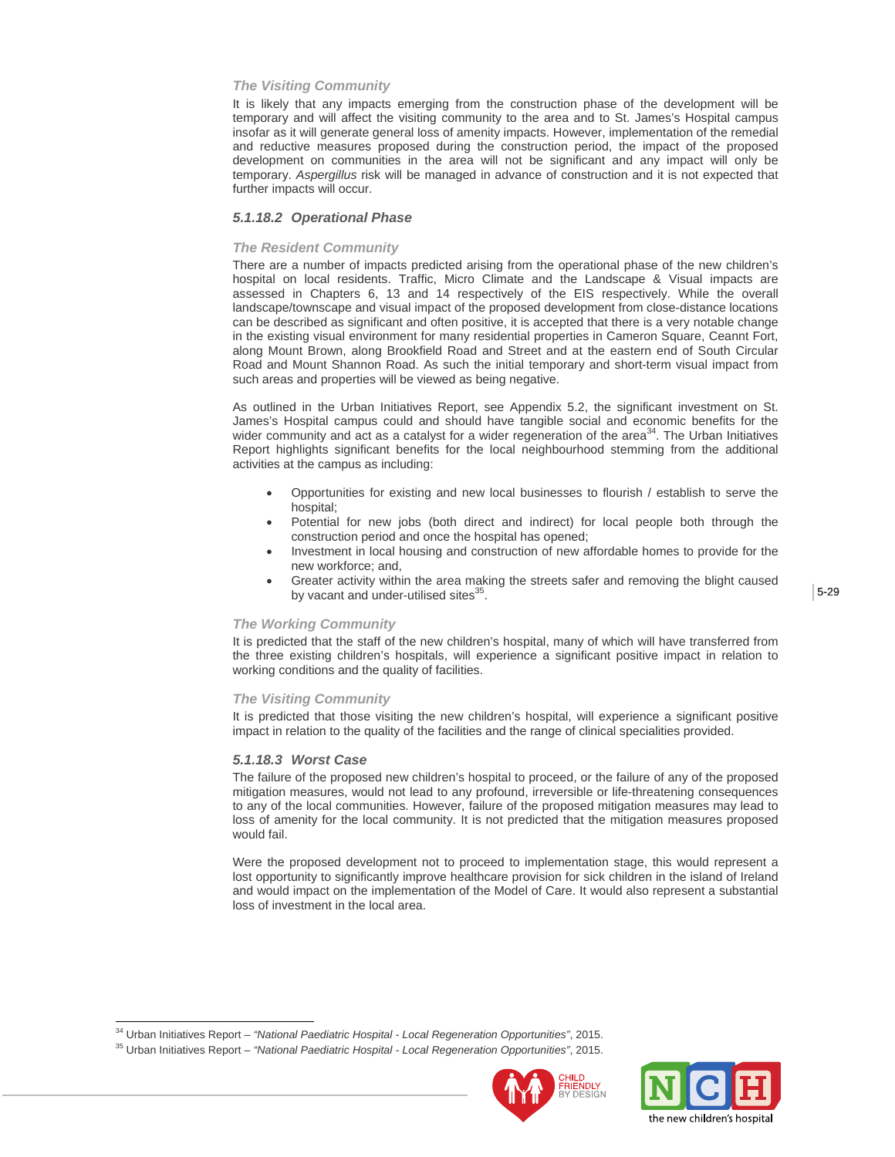#### *The Visiting Community*

It is likely that any impacts emerging from the construction phase of the development will be temporary and will affect the visiting community to the area and to St. James's Hospital campus insofar as it will generate general loss of amenity impacts. However, implementation of the remedial and reductive measures proposed during the construction period, the impact of the proposed development on communities in the area will not be significant and any impact will only be temporary. *Aspergillus* risk will be managed in advance of construction and it is not expected that further impacts will occur.

#### *5.1.18.2 Operational Phase*

#### *The Resident Community*

There are a number of impacts predicted arising from the operational phase of the new children's hospital on local residents. Traffic, Micro Climate and the Landscape & Visual impacts are assessed in Chapters 6, 13 and 14 respectively of the EIS respectively. While the overall landscape/townscape and visual impact of the proposed development from close-distance locations can be described as significant and often positive, it is accepted that there is a very notable change in the existing visual environment for many residential properties in Cameron Square, Ceannt Fort, along Mount Brown, along Brookfield Road and Street and at the eastern end of South Circular Road and Mount Shannon Road. As such the initial temporary and short-term visual impact from such areas and properties will be viewed as being negative.

As outlined in the Urban Initiatives Report, see Appendix 5.2, the significant investment on St. James's Hospital campus could and should have tangible social and economic benefits for the wider community and act as a catalyst for a wider regeneration of the area $34$ . The Urban Initiatives Report highlights significant benefits for the local neighbourhood stemming from the additional activities at the campus as including:

- Opportunities for existing and new local businesses to flourish / establish to serve the hospital;
- Potential for new jobs (both direct and indirect) for local people both through the construction period and once the hospital has opened;
- Investment in local housing and construction of new affordable homes to provide for the new workforce; and,
- Greater activity within the area making the streets safer and removing the blight caused by vacant and under-utilised sites<sup>35</sup>.

#### 5-29

#### *The Working Community*

It is predicted that the staff of the new children's hospital, many of which will have transferred from the three existing children's hospitals, will experience a significant positive impact in relation to working conditions and the quality of facilities.

#### *The Visiting Community*

It is predicted that those visiting the new children's hospital, will experience a significant positive impact in relation to the quality of the facilities and the range of clinical specialities provided.

#### *5.1.18.3 Worst Case*

 $\overline{a}$ 

The failure of the proposed new children's hospital to proceed, or the failure of any of the proposed mitigation measures, would not lead to any profound, irreversible or life-threatening consequences to any of the local communities. However, failure of the proposed mitigation measures may lead to loss of amenity for the local community. It is not predicted that the mitigation measures proposed would fail.

Were the proposed development not to proceed to implementation stage, this would represent a lost opportunity to significantly improve healthcare provision for sick children in the island of Ireland and would impact on the implementation of the Model of Care. It would also represent a substantial loss of investment in the local area.





<sup>34</sup> Urban Initiatives Report – *"National Paediatric Hospital - Local Regeneration Opportunities"*, 2015. 35 Urban Initiatives Report – *"National Paediatric Hospital - Local Regeneration Opportunities"*, 2015.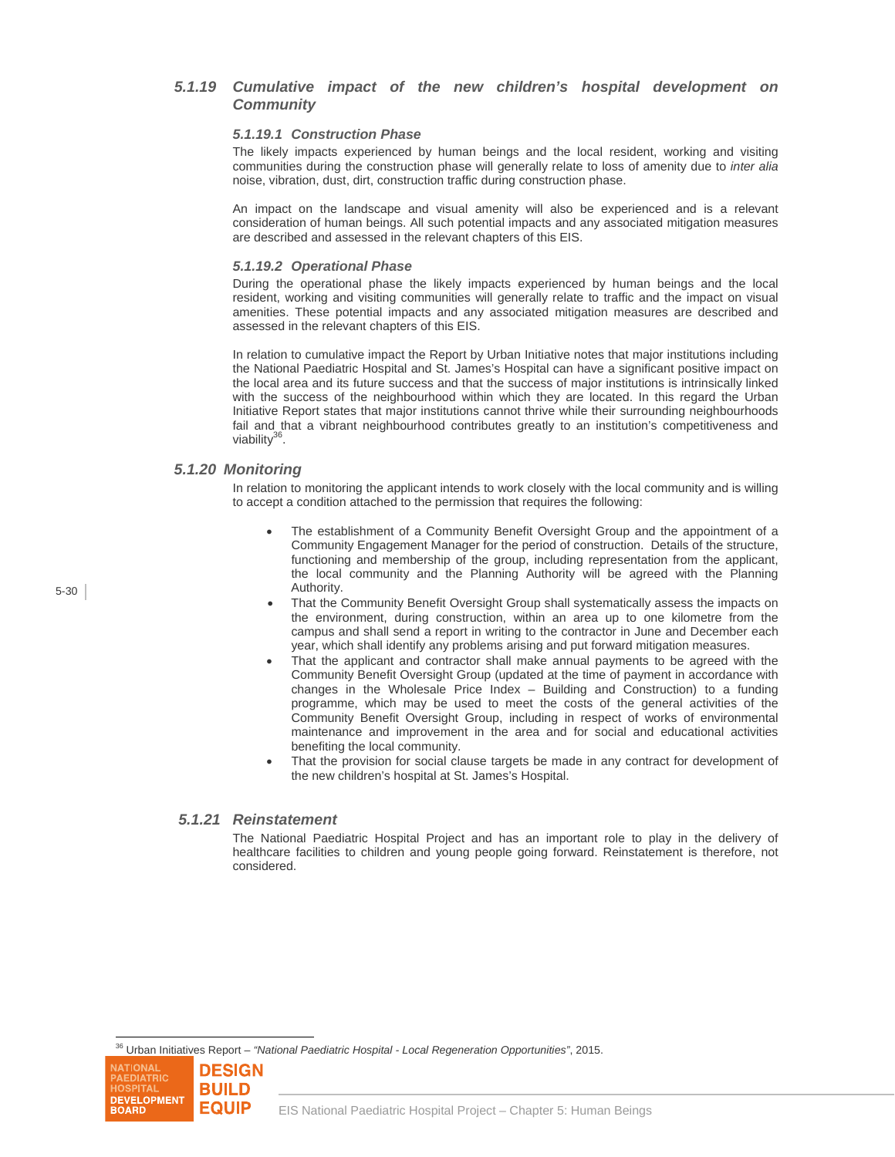## *5.1.19 Cumulative impact of the new children's hospital development on Community*

#### *5.1.19.1 Construction Phase*

The likely impacts experienced by human beings and the local resident, working and visiting communities during the construction phase will generally relate to loss of amenity due to *inter alia* noise, vibration, dust, dirt, construction traffic during construction phase.

An impact on the landscape and visual amenity will also be experienced and is a relevant consideration of human beings. All such potential impacts and any associated mitigation measures are described and assessed in the relevant chapters of this EIS.

#### *5.1.19.2 Operational Phase*

During the operational phase the likely impacts experienced by human beings and the local resident, working and visiting communities will generally relate to traffic and the impact on visual amenities. These potential impacts and any associated mitigation measures are described and assessed in the relevant chapters of this EIS.

In relation to cumulative impact the Report by Urban Initiative notes that major institutions including the National Paediatric Hospital and St. James's Hospital can have a significant positive impact on the local area and its future success and that the success of major institutions is intrinsically linked with the success of the neighbourhood within which they are located. In this regard the Urban Initiative Report states that major institutions cannot thrive while their surrounding neighbourhoods fail and that a vibrant neighbourhood contributes greatly to an institution's competitiveness and viability<sup>36</sup>.

### *5.1.20 Monitoring*

In relation to monitoring the applicant intends to work closely with the local community and is willing to accept a condition attached to the permission that requires the following:

- The establishment of a Community Benefit Oversight Group and the appointment of a Community Engagement Manager for the period of construction. Details of the structure, functioning and membership of the group, including representation from the applicant, the local community and the Planning Authority will be agreed with the Planning Authority.
- That the Community Benefit Oversight Group shall systematically assess the impacts on the environment, during construction, within an area up to one kilometre from the campus and shall send a report in writing to the contractor in June and December each year, which shall identify any problems arising and put forward mitigation measures.
- That the applicant and contractor shall make annual payments to be agreed with the Community Benefit Oversight Group (updated at the time of payment in accordance with changes in the Wholesale Price Index – Building and Construction) to a funding programme, which may be used to meet the costs of the general activities of the Community Benefit Oversight Group, including in respect of works of environmental maintenance and improvement in the area and for social and educational activities benefiting the local community.
- That the provision for social clause targets be made in any contract for development of the new children's hospital at St. James's Hospital.

## *5.1.21 Reinstatement*

The National Paediatric Hospital Project and has an important role to play in the delivery of healthcare facilities to children and young people going forward. Reinstatement is therefore, not considered.

36 Urban Initiatives Report – *"National Paediatric Hospital - Local Regeneration Opportunities"*, 2015.



l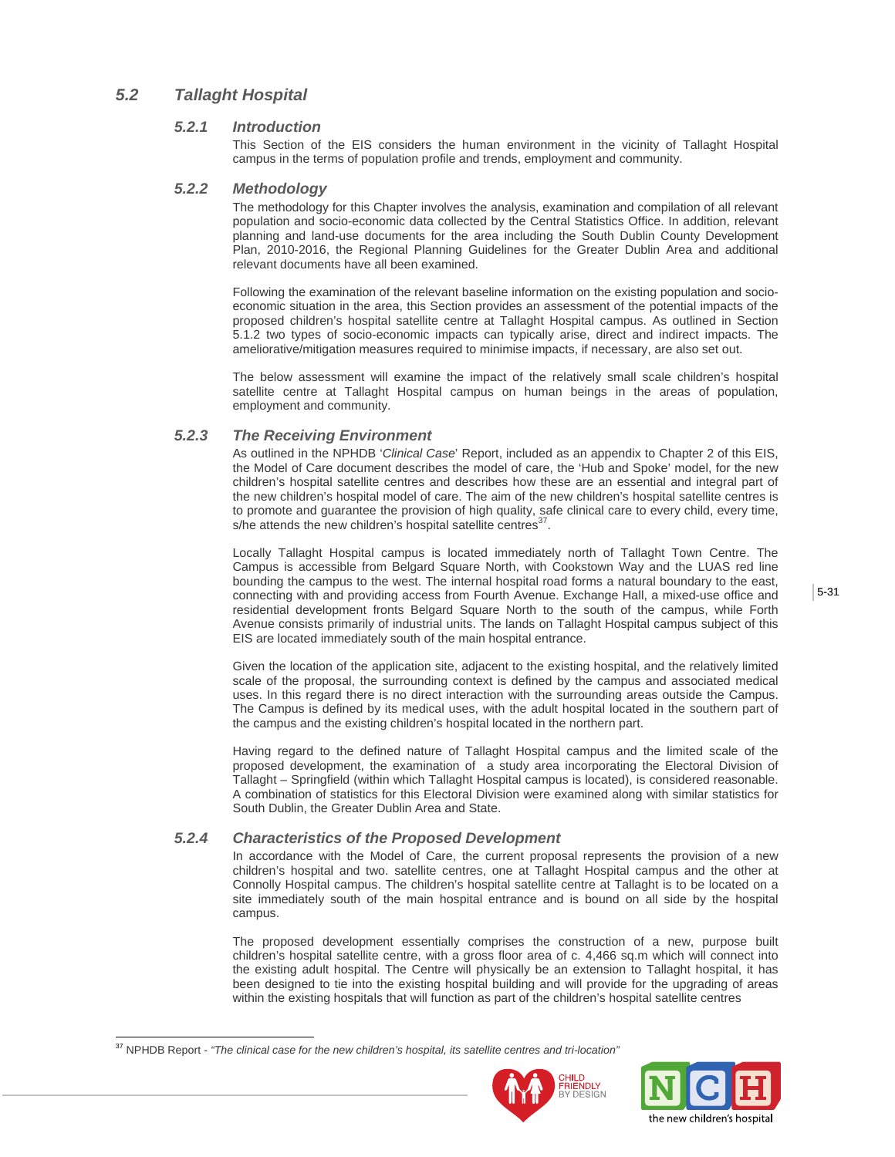## *5.2 Tallaght Hospital*

## *5.2.1 Introduction*

This Section of the EIS considers the human environment in the vicinity of Tallaght Hospital campus in the terms of population profile and trends, employment and community.

## *5.2.2 Methodology*

The methodology for this Chapter involves the analysis, examination and compilation of all relevant population and socio-economic data collected by the Central Statistics Office. In addition, relevant planning and land-use documents for the area including the South Dublin County Development Plan, 2010-2016, the Regional Planning Guidelines for the Greater Dublin Area and additional relevant documents have all been examined.

Following the examination of the relevant baseline information on the existing population and socioeconomic situation in the area, this Section provides an assessment of the potential impacts of the proposed children's hospital satellite centre at Tallaght Hospital campus. As outlined in Section 5.1.2 two types of socio-economic impacts can typically arise, direct and indirect impacts. The ameliorative/mitigation measures required to minimise impacts, if necessary, are also set out.

The below assessment will examine the impact of the relatively small scale children's hospital satellite centre at Tallaght Hospital campus on human beings in the areas of population, employment and community.

## *5.2.3 The Receiving Environment*

As outlined in the NPHDB '*Clinical Case*' Report, included as an appendix to Chapter 2 of this EIS, the Model of Care document describes the model of care, the 'Hub and Spoke' model, for the new children's hospital satellite centres and describes how these are an essential and integral part of the new children's hospital model of care. The aim of the new children's hospital satellite centres is to promote and guarantee the provision of high quality, safe clinical care to every child, every time, s/he attends the new children's hospital satellite centres<sup>3</sup>

Locally Tallaght Hospital campus is located immediately north of Tallaght Town Centre. The Campus is accessible from Belgard Square North, with Cookstown Way and the LUAS red line bounding the campus to the west. The internal hospital road forms a natural boundary to the east, connecting with and providing access from Fourth Avenue. Exchange Hall, a mixed-use office and residential development fronts Belgard Square North to the south of the campus, while Forth Avenue consists primarily of industrial units. The lands on Tallaght Hospital campus subject of this EIS are located immediately south of the main hospital entrance.

Given the location of the application site, adjacent to the existing hospital, and the relatively limited scale of the proposal, the surrounding context is defined by the campus and associated medical uses. In this regard there is no direct interaction with the surrounding areas outside the Campus. The Campus is defined by its medical uses, with the adult hospital located in the southern part of the campus and the existing children's hospital located in the northern part.

Having regard to the defined nature of Tallaght Hospital campus and the limited scale of the proposed development, the examination of a study area incorporating the Electoral Division of Tallaght – Springfield (within which Tallaght Hospital campus is located), is considered reasonable. A combination of statistics for this Electoral Division were examined along with similar statistics for South Dublin, the Greater Dublin Area and State.

## *5.2.4 Characteristics of the Proposed Development*

In accordance with the Model of Care, the current proposal represents the provision of a new children's hospital and two. satellite centres, one at Tallaght Hospital campus and the other at Connolly Hospital campus. The children's hospital satellite centre at Tallaght is to be located on a site immediately south of the main hospital entrance and is bound on all side by the hospital campus.

The proposed development essentially comprises the construction of a new, purpose built children's hospital satellite centre, with a gross floor area of c. 4,466 sq.m which will connect into the existing adult hospital. The Centre will physically be an extension to Tallaght hospital, it has been designed to tie into the existing hospital building and will provide for the upgrading of areas within the existing hospitals that will function as part of the children's hospital satellite centres

l





<sup>37</sup> NPHDB Report - *"The clinical case for the new children's hospital, its satellite centres and tri-location"*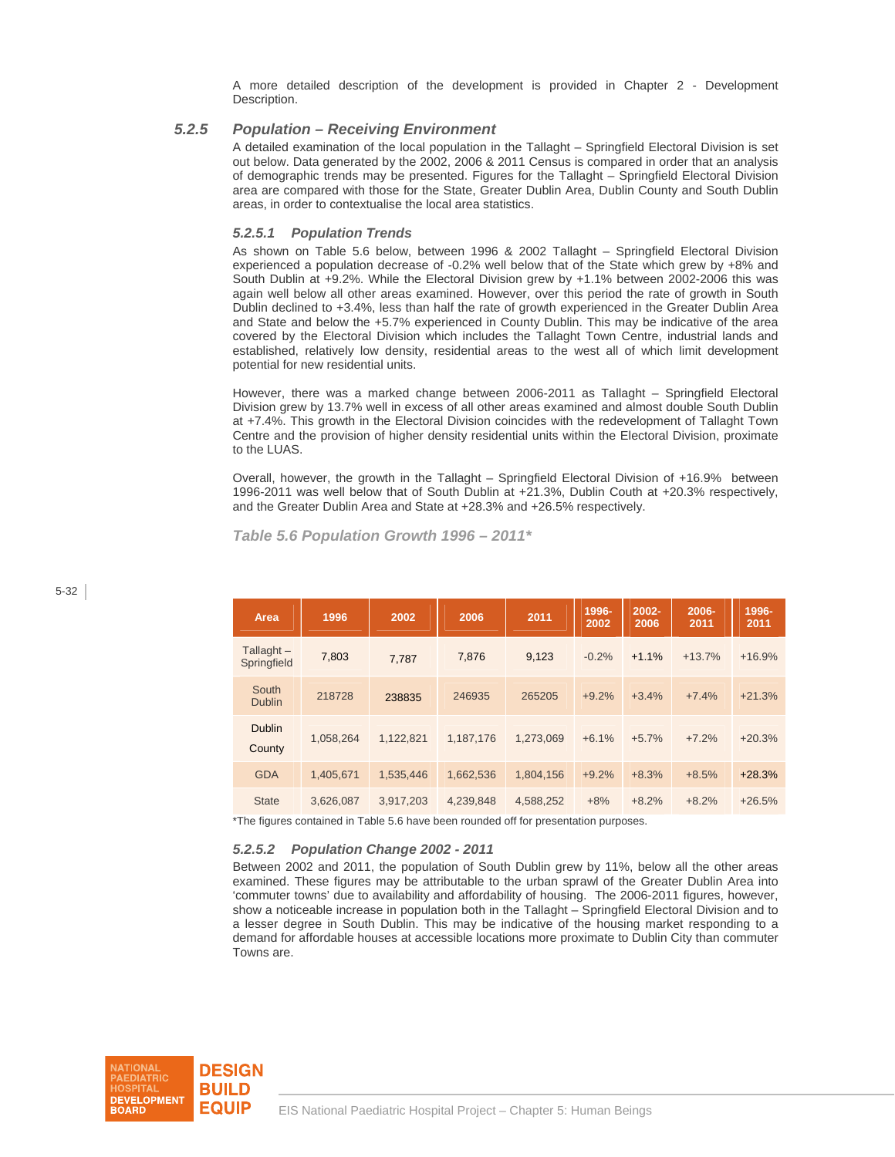A more detailed description of the development is provided in Chapter 2 - Development Description.

## *5.2.5 Population – Receiving Environment*

A detailed examination of the local population in the Tallaght – Springfield Electoral Division is set out below. Data generated by the 2002, 2006 & 2011 Census is compared in order that an analysis of demographic trends may be presented. Figures for the Tallaght – Springfield Electoral Division area are compared with those for the State, Greater Dublin Area, Dublin County and South Dublin areas, in order to contextualise the local area statistics.

#### *5.2.5.1 Population Trends*

As shown on Table 5.6 below, between 1996 & 2002 Tallaght – Springfield Electoral Division experienced a population decrease of -0.2% well below that of the State which grew by +8% and South Dublin at +9.2%. While the Electoral Division grew by +1.1% between 2002-2006 this was again well below all other areas examined. However, over this period the rate of growth in South Dublin declined to +3.4%, less than half the rate of growth experienced in the Greater Dublin Area and State and below the +5.7% experienced in County Dublin. This may be indicative of the area covered by the Electoral Division which includes the Tallaght Town Centre, industrial lands and established, relatively low density, residential areas to the west all of which limit development potential for new residential units.

However, there was a marked change between 2006-2011 as Tallaght – Springfield Electoral Division grew by 13.7% well in excess of all other areas examined and almost double South Dublin at +7.4%. This growth in the Electoral Division coincides with the redevelopment of Tallaght Town Centre and the provision of higher density residential units within the Electoral Division, proximate to the LUAS.

Overall, however, the growth in the Tallaght – Springfield Electoral Division of +16.9% between 1996-2011 was well below that of South Dublin at +21.3%, Dublin Couth at +20.3% respectively, and the Greater Dublin Area and State at +28.3% and +26.5% respectively.

 *Table 5.6 Population Growth 1996 – 2011\** 

| Area                        | 1996      | 2002      | 2006      | 2011      | 1996-<br>2002 | 2002-<br>2006 | 2006-<br>2011 | 1996-<br>2011 |
|-----------------------------|-----------|-----------|-----------|-----------|---------------|---------------|---------------|---------------|
| Tallaght $-$<br>Springfield | 7,803     | 7.787     | 7,876     | 9,123     | $-0.2%$       | $+1.1%$       | $+13.7%$      | $+16.9%$      |
| South<br><b>Dublin</b>      | 218728    | 238835    | 246935    | 265205    | $+9.2%$       | $+3.4%$       | $+7.4%$       | $+21.3%$      |
| <b>Dublin</b><br>County     | 1,058,264 | 1,122,821 | 1,187,176 | 1,273,069 | $+6.1%$       | $+5.7%$       | $+7.2%$       | $+20.3%$      |
| <b>GDA</b>                  | 1,405,671 | 1,535,446 | 1,662,536 | 1,804,156 | $+9.2%$       | $+8.3%$       | $+8.5%$       | $+28.3%$      |
| <b>State</b>                | 3.626.087 | 3,917,203 | 4,239,848 | 4,588,252 | $+8%$         | $+8.2%$       | $+8.2%$       | $+26.5%$      |

\*The figures contained in Table 5.6 have been rounded off for presentation purposes.

#### *5.2.5.2 Population Change 2002 - 2011*

Between 2002 and 2011, the population of South Dublin grew by 11%, below all the other areas examined. These figures may be attributable to the urban sprawl of the Greater Dublin Area into 'commuter towns' due to availability and affordability of housing. The 2006-2011 figures, however, show a noticeable increase in population both in the Tallaght – Springfield Electoral Division and to a lesser degree in South Dublin. This may be indicative of the housing market responding to a demand for affordable houses at accessible locations more proximate to Dublin City than commuter Towns are.

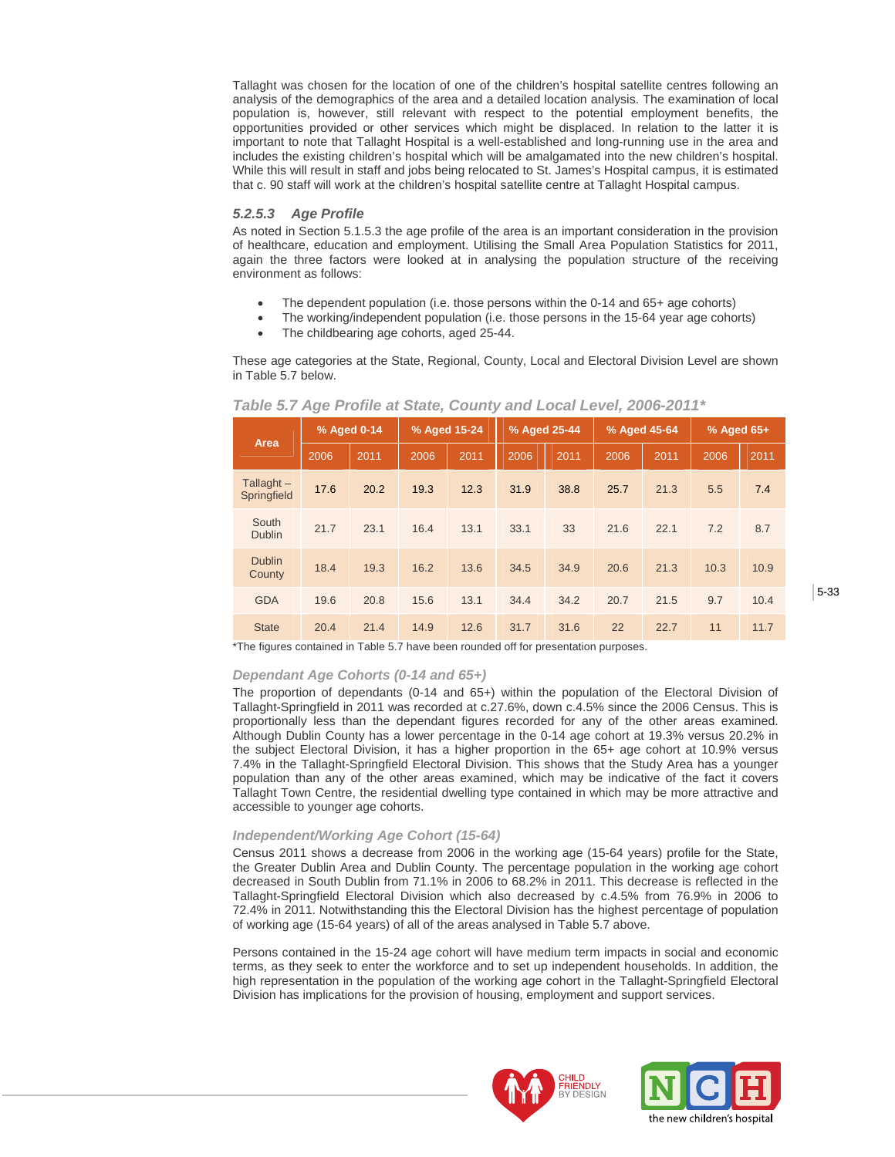Tallaght was chosen for the location of one of the children's hospital satellite centres following an analysis of the demographics of the area and a detailed location analysis. The examination of local population is, however, still relevant with respect to the potential employment benefits, the opportunities provided or other services which might be displaced. In relation to the latter it is important to note that Tallaght Hospital is a well-established and long-running use in the area and includes the existing children's hospital which will be amalgamated into the new children's hospital. While this will result in staff and jobs being relocated to St. James's Hospital campus, it is estimated that c. 90 staff will work at the children's hospital satellite centre at Tallaght Hospital campus.

#### *5.2.5.3 Age Profile*

As noted in Section 5.1.5.3 the age profile of the area is an important consideration in the provision of healthcare, education and employment. Utilising the Small Area Population Statistics for 2011, again the three factors were looked at in analysing the population structure of the receiving environment as follows:

- The dependent population (i.e. those persons within the 0-14 and 65+ age cohorts)
- The working/independent population (i.e. those persons in the 15-64 year age cohorts)
- The childbearing age cohorts, aged 25-44.

These age categories at the State, Regional, County, Local and Electoral Division Level are shown in Table 5.7 below.

| Area                        | % Aged 0-14 |      | % Aged 15-24 |      |      | % Aged 25-44 |      | % Aged 45-64 | % Aged 65+ |      |
|-----------------------------|-------------|------|--------------|------|------|--------------|------|--------------|------------|------|
|                             | 2006        | 2011 | 2006         | 2011 | 2006 | 2011         | 2006 | 2011         | 2006       | 2011 |
| Tallaght $-$<br>Springfield | 17.6        | 20.2 | 19.3         | 12.3 | 31.9 | 38.8         | 25.7 | 21.3         | 5.5        | 7.4  |
| South<br><b>Dublin</b>      | 21.7        | 23.1 | 16.4         | 13.1 | 33.1 | 33           | 21.6 | 22.1         | 7.2        | 8.7  |
| <b>Dublin</b><br>County     | 18.4        | 19.3 | 16.2         | 13.6 | 34.5 | 34.9         | 20.6 | 21.3         | 10.3       | 10.9 |
| <b>GDA</b>                  | 19.6        | 20.8 | 15.6         | 13.1 | 34.4 | 34.2         | 20.7 | 21.5         | 9.7        | 10.4 |
| <b>State</b>                | 20.4        | 21.4 | 14.9         | 12.6 | 31.7 | 31.6         | 22   | 22.7         | 11         | 11.7 |

 *Table 5.7 Age Profile at State, County and Local Level, 2006-2011\** 

\*The figures contained in Table 5.7 have been rounded off for presentation purposes.

## *Dependant Age Cohorts (0-14 and 65+)*

The proportion of dependants (0-14 and 65+) within the population of the Electoral Division of Tallaght-Springfield in 2011 was recorded at c.27.6%, down c.4.5% since the 2006 Census. This is proportionally less than the dependant figures recorded for any of the other areas examined. Although Dublin County has a lower percentage in the 0-14 age cohort at 19.3% versus 20.2% in the subject Electoral Division, it has a higher proportion in the 65+ age cohort at 10.9% versus 7.4% in the Tallaght-Springfield Electoral Division. This shows that the Study Area has a younger population than any of the other areas examined, which may be indicative of the fact it covers Tallaght Town Centre, the residential dwelling type contained in which may be more attractive and accessible to younger age cohorts.

### *Independent/Working Age Cohort (15-64)*

Census 2011 shows a decrease from 2006 in the working age (15-64 years) profile for the State, the Greater Dublin Area and Dublin County. The percentage population in the working age cohort decreased in South Dublin from 71.1% in 2006 to 68.2% in 2011. This decrease is reflected in the Tallaght-Springfield Electoral Division which also decreased by c.4.5% from 76.9% in 2006 to 72.4% in 2011. Notwithstanding this the Electoral Division has the highest percentage of population of working age (15-64 years) of all of the areas analysed in Table 5.7 above.

Persons contained in the 15-24 age cohort will have medium term impacts in social and economic terms, as they seek to enter the workforce and to set up independent households. In addition, the high representation in the population of the working age cohort in the Tallaght-Springfield Electoral Division has implications for the provision of housing, employment and support services.



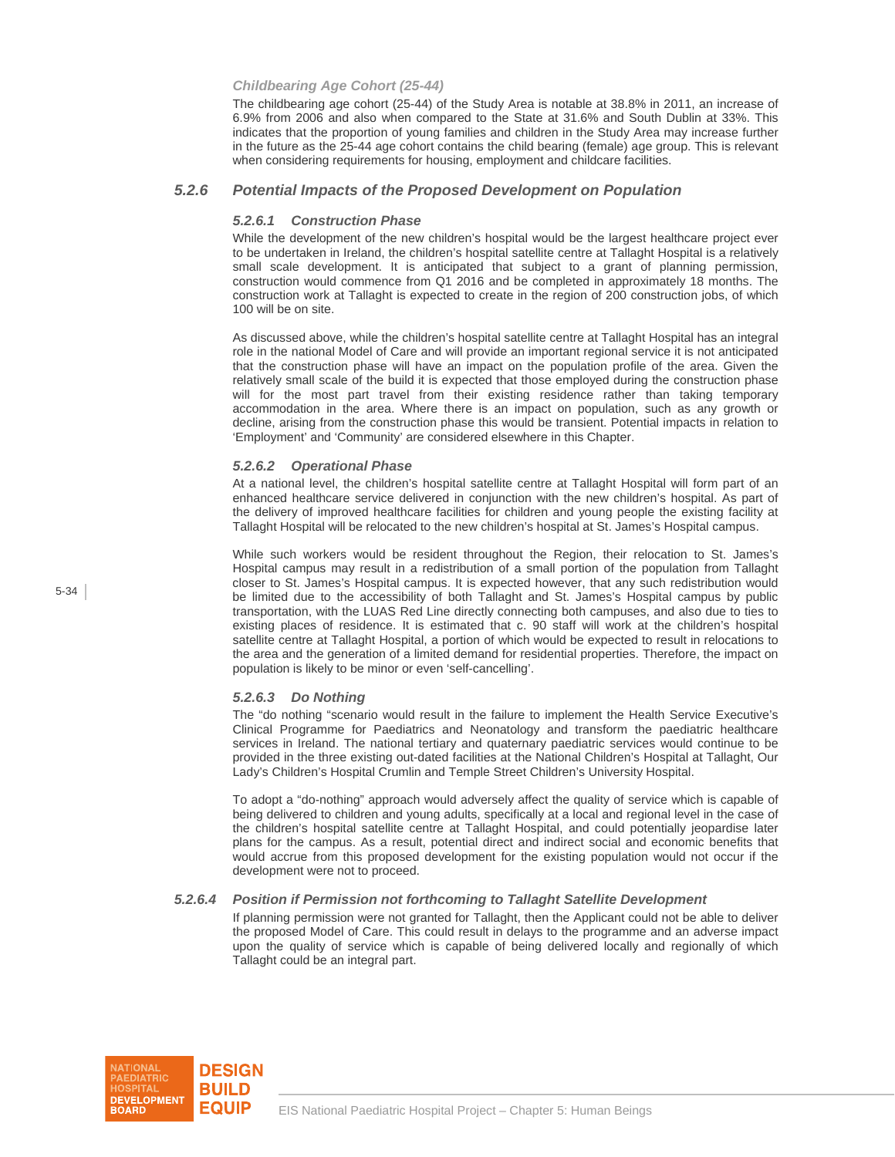#### *Childbearing Age Cohort (25-44)*

The childbearing age cohort (25-44) of the Study Area is notable at 38.8% in 2011, an increase of 6.9% from 2006 and also when compared to the State at 31.6% and South Dublin at 33%. This indicates that the proportion of young families and children in the Study Area may increase further in the future as the 25-44 age cohort contains the child bearing (female) age group. This is relevant when considering requirements for housing, employment and childcare facilities.

#### *5.2.6 Potential Impacts of the Proposed Development on Population*

#### *5.2.6.1 Construction Phase*

While the development of the new children's hospital would be the largest healthcare project ever to be undertaken in Ireland, the children's hospital satellite centre at Tallaght Hospital is a relatively small scale development. It is anticipated that subject to a grant of planning permission, construction would commence from Q1 2016 and be completed in approximately 18 months. The construction work at Tallaght is expected to create in the region of 200 construction jobs, of which 100 will be on site.

As discussed above, while the children's hospital satellite centre at Tallaght Hospital has an integral role in the national Model of Care and will provide an important regional service it is not anticipated that the construction phase will have an impact on the population profile of the area. Given the relatively small scale of the build it is expected that those employed during the construction phase will for the most part travel from their existing residence rather than taking temporary accommodation in the area. Where there is an impact on population, such as any growth or decline, arising from the construction phase this would be transient. Potential impacts in relation to 'Employment' and 'Community' are considered elsewhere in this Chapter.

#### *5.2.6.2 Operational Phase*

At a national level, the children's hospital satellite centre at Tallaght Hospital will form part of an enhanced healthcare service delivered in conjunction with the new children's hospital. As part of the delivery of improved healthcare facilities for children and young people the existing facility at Tallaght Hospital will be relocated to the new children's hospital at St. James's Hospital campus.

While such workers would be resident throughout the Region, their relocation to St. James's Hospital campus may result in a redistribution of a small portion of the population from Tallaght closer to St. James's Hospital campus. It is expected however, that any such redistribution would be limited due to the accessibility of both Tallaght and St. James's Hospital campus by public transportation, with the LUAS Red Line directly connecting both campuses, and also due to ties to existing places of residence. It is estimated that c. 90 staff will work at the children's hospital satellite centre at Tallaght Hospital, a portion of which would be expected to result in relocations to the area and the generation of a limited demand for residential properties. Therefore, the impact on population is likely to be minor or even 'self-cancelling'.

#### *5.2.6.3 Do Nothing*

The "do nothing "scenario would result in the failure to implement the Health Service Executive's Clinical Programme for Paediatrics and Neonatology and transform the paediatric healthcare services in Ireland. The national tertiary and quaternary paediatric services would continue to be provided in the three existing out-dated facilities at the National Children's Hospital at Tallaght, Our Lady's Children's Hospital Crumlin and Temple Street Children's University Hospital.

To adopt a "do-nothing" approach would adversely affect the quality of service which is capable of being delivered to children and young adults, specifically at a local and regional level in the case of the children's hospital satellite centre at Tallaght Hospital, and could potentially jeopardise later plans for the campus. As a result, potential direct and indirect social and economic benefits that would accrue from this proposed development for the existing population would not occur if the development were not to proceed.

#### *5.2.6.4 Position if Permission not forthcoming to Tallaght Satellite Development*

If planning permission were not granted for Tallaght, then the Applicant could not be able to deliver the proposed Model of Care. This could result in delays to the programme and an adverse impact upon the quality of service which is capable of being delivered locally and regionally of which Tallaght could be an integral part.

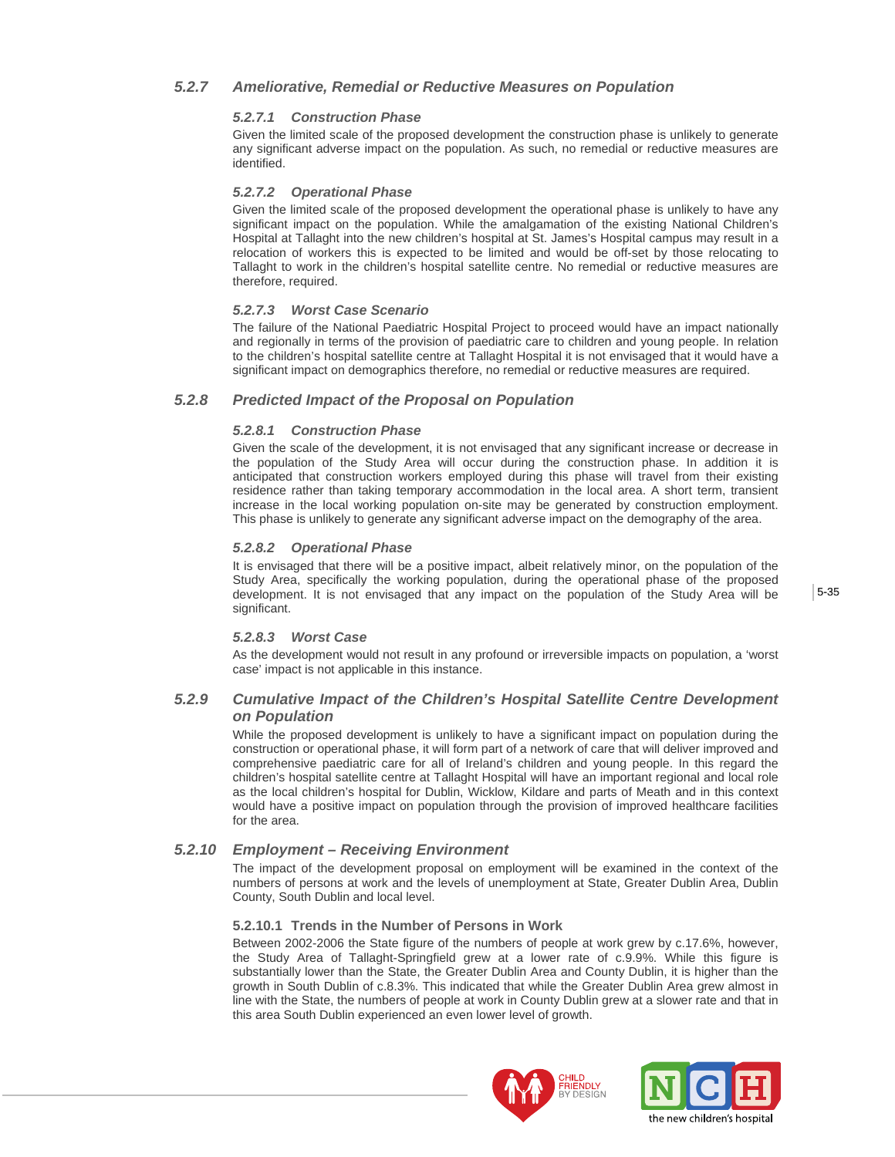## *5.2.7 Ameliorative, Remedial or Reductive Measures on Population*

## *5.2.7.1 Construction Phase*

Given the limited scale of the proposed development the construction phase is unlikely to generate any significant adverse impact on the population. As such, no remedial or reductive measures are identified.

## *5.2.7.2 Operational Phase*

Given the limited scale of the proposed development the operational phase is unlikely to have any significant impact on the population. While the amalgamation of the existing National Children's Hospital at Tallaght into the new children's hospital at St. James's Hospital campus may result in a relocation of workers this is expected to be limited and would be off-set by those relocating to Tallaght to work in the children's hospital satellite centre. No remedial or reductive measures are therefore, required.

## *5.2.7.3 Worst Case Scenario*

The failure of the National Paediatric Hospital Project to proceed would have an impact nationally and regionally in terms of the provision of paediatric care to children and young people. In relation to the children's hospital satellite centre at Tallaght Hospital it is not envisaged that it would have a significant impact on demographics therefore, no remedial or reductive measures are required.

## *5.2.8 Predicted Impact of the Proposal on Population*

### *5.2.8.1 Construction Phase*

Given the scale of the development, it is not envisaged that any significant increase or decrease in the population of the Study Area will occur during the construction phase. In addition it is anticipated that construction workers employed during this phase will travel from their existing residence rather than taking temporary accommodation in the local area. A short term, transient increase in the local working population on-site may be generated by construction employment. This phase is unlikely to generate any significant adverse impact on the demography of the area.

## *5.2.8.2 Operational Phase*

It is envisaged that there will be a positive impact, albeit relatively minor, on the population of the Study Area, specifically the working population, during the operational phase of the proposed development. It is not envisaged that any impact on the population of the Study Area will be significant.

### *5.2.8.3 Worst Case*

As the development would not result in any profound or irreversible impacts on population, a 'worst case' impact is not applicable in this instance.

## *5.2.9 Cumulative Impact of the Children's Hospital Satellite Centre Development on Population*

While the proposed development is unlikely to have a significant impact on population during the construction or operational phase, it will form part of a network of care that will deliver improved and comprehensive paediatric care for all of Ireland's children and young people. In this regard the children's hospital satellite centre at Tallaght Hospital will have an important regional and local role as the local children's hospital for Dublin, Wicklow, Kildare and parts of Meath and in this context would have a positive impact on population through the provision of improved healthcare facilities for the area.

## *5.2.10 Employment – Receiving Environment*

The impact of the development proposal on employment will be examined in the context of the numbers of persons at work and the levels of unemployment at State, Greater Dublin Area, Dublin County, South Dublin and local level.

### **5.2.10.1 Trends in the Number of Persons in Work**

Between 2002-2006 the State figure of the numbers of people at work grew by c.17.6%, however, the Study Area of Tallaght-Springfield grew at a lower rate of c.9.9%. While this figure is substantially lower than the State, the Greater Dublin Area and County Dublin, it is higher than the growth in South Dublin of c.8.3%. This indicated that while the Greater Dublin Area grew almost in line with the State, the numbers of people at work in County Dublin grew at a slower rate and that in this area South Dublin experienced an even lower level of growth.



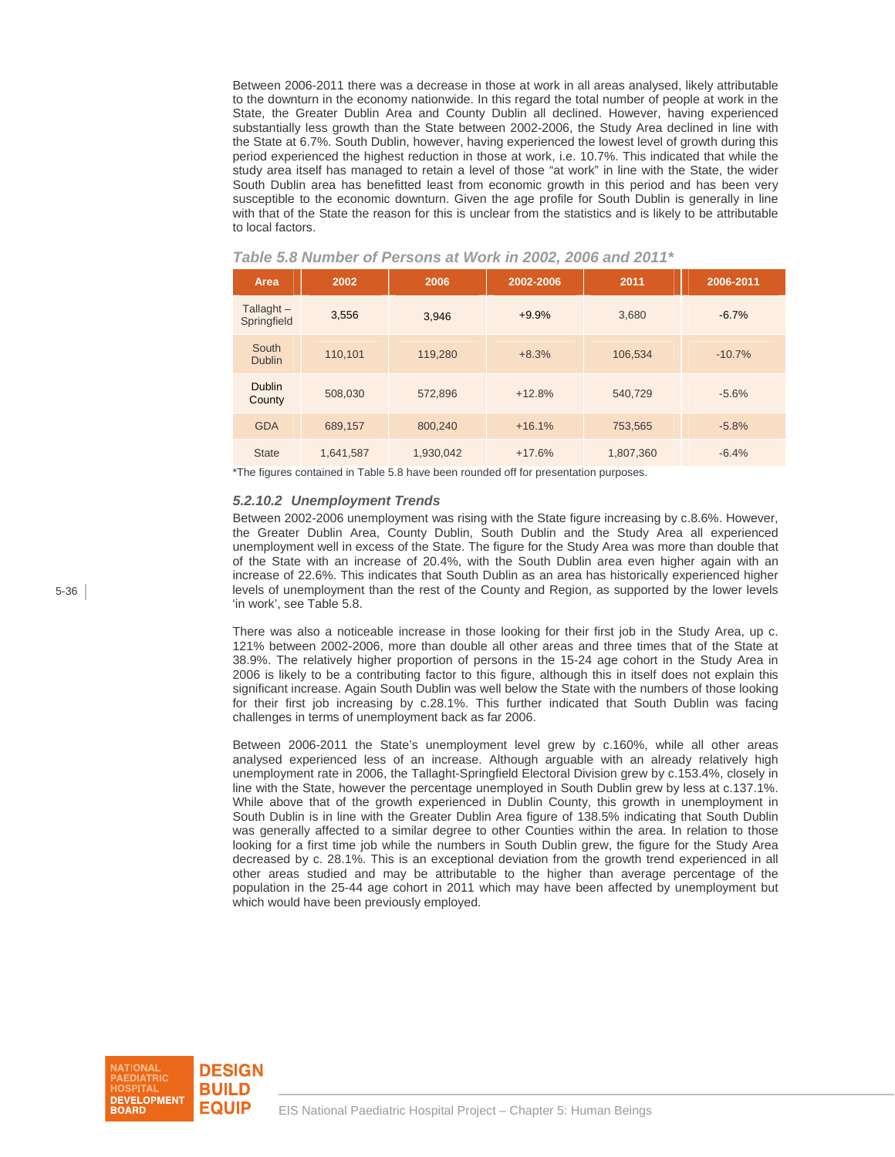Between 2006-2011 there was a decrease in those at work in all areas analysed, likely attributable to the downturn in the economy nationwide. In this regard the total number of people at work in the State, the Greater Dublin Area and County Dublin all declined. However, having experienced substantially less growth than the State between 2002-2006, the Study Area declined in line with the State at 6.7%. South Dublin, however, having experienced the lowest level of growth during this period experienced the highest reduction in those at work, i.e. 10.7%. This indicated that while the study area itself has managed to retain a level of those "at work" in line with the State, the wider South Dublin area has benefitted least from economic growth in this period and has been very susceptible to the economic downturn. Given the age profile for South Dublin is generally in line with that of the State the reason for this is unclear from the statistics and is likely to be attributable to local factors.

| Area                        | 2002      | 2006      | 2002-2006 | 2011      | 2006-2011 |
|-----------------------------|-----------|-----------|-----------|-----------|-----------|
| Tallaght $-$<br>Springfield | 3,556     | 3,946     | $+9.9%$   | 3,680     | $-6.7%$   |
| South<br><b>Dublin</b>      | 110,101   | 119,280   | $+8.3%$   | 106,534   | $-10.7%$  |
| <b>Dublin</b><br>County     | 508,030   | 572,896   | $+12.8%$  | 540,729   | $-5.6%$   |
| <b>GDA</b>                  | 689.157   | 800.240   | $+16.1%$  | 753,565   | $-5.8%$   |
| <b>State</b>                | 1,641,587 | 1,930,042 | $+17.6%$  | 1,807,360 | $-6.4%$   |

 *Table 5.8 Number of Persons at Work in 2002, 2006 and 2011\** 

\*The figures contained in Table 5.8 have been rounded off for presentation purposes.

#### *5.2.10.2 Unemployment Trends*

Between 2002-2006 unemployment was rising with the State figure increasing by c.8.6%. However, the Greater Dublin Area, County Dublin, South Dublin and the Study Area all experienced unemployment well in excess of the State. The figure for the Study Area was more than double that of the State with an increase of 20.4%, with the South Dublin area even higher again with an increase of 22.6%. This indicates that South Dublin as an area has historically experienced higher levels of unemployment than the rest of the County and Region, as supported by the lower levels 'in work', see Table 5.8.

There was also a noticeable increase in those looking for their first job in the Study Area, up c. 121% between 2002-2006, more than double all other areas and three times that of the State at 38.9%. The relatively higher proportion of persons in the 15-24 age cohort in the Study Area in 2006 is likely to be a contributing factor to this figure, although this in itself does not explain this significant increase. Again South Dublin was well below the State with the numbers of those looking for their first job increasing by c.28.1%. This further indicated that South Dublin was facing challenges in terms of unemployment back as far 2006.

Between 2006-2011 the State's unemployment level grew by c.160%, while all other areas analysed experienced less of an increase. Although arguable with an already relatively high unemployment rate in 2006, the Tallaght-Springfield Electoral Division grew by c.153.4%, closely in line with the State, however the percentage unemployed in South Dublin grew by less at c.137.1%. While above that of the growth experienced in Dublin County, this growth in unemployment in South Dublin is in line with the Greater Dublin Area figure of 138.5% indicating that South Dublin was generally affected to a similar degree to other Counties within the area. In relation to those looking for a first time job while the numbers in South Dublin grew, the figure for the Study Area decreased by c. 28.1%. This is an exceptional deviation from the growth trend experienced in all other areas studied and may be attributable to the higher than average percentage of the population in the 25-44 age cohort in 2011 which may have been affected by unemployment but which would have been previously employed.

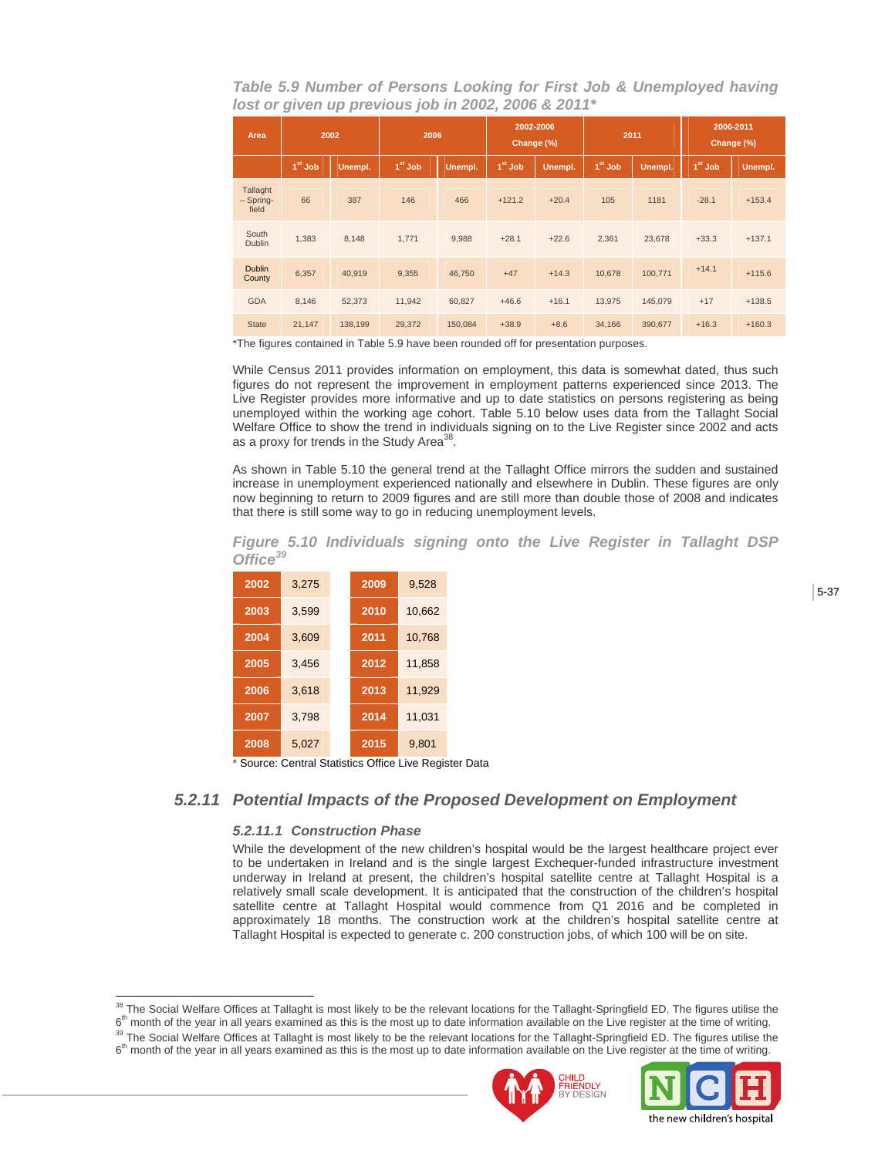*Table 5.9 Number of Persons Looking for First Job & Unemployed having lost or given up previous job in 2002, 2006 & 2011\** 

| Area                             | 2002      |         | 2006      |         | 2002-2006<br>Change (%) |          | 2011      |         | 2006-2011<br>Change (%) |          |
|----------------------------------|-----------|---------|-----------|---------|-------------------------|----------|-----------|---------|-------------------------|----------|
|                                  | $1st$ Job | Unempl. | $1st$ Job | Unempl. | $1st$ Job               | Unempl., | $1st$ Job | Unempl. | $1st$ Job               | Unempl.  |
| Tallaght<br>$-$ Spring-<br>field | 66        | 387     | 146       | 466     | $+121.2$                | $+20.4$  | 105       | 1181    | $-28.1$                 | $+153.4$ |
| South<br><b>Dublin</b>           | 1,383     | 8,148   | 1,771     | 9,988   | $+28.1$                 | $+22.6$  | 2,361     | 23,678  | $+33.3$                 | $+137.1$ |
| <b>Dublin</b><br>County          | 6,357     | 40.919  | 9,355     | 46,750  | $+47$                   | $+14.3$  | 10.678    | 100,771 | $+14.1$                 | $+115.6$ |
| <b>GDA</b>                       | 8.146     | 52,373  | 11,942    | 60,827  | $+46.6$                 | $+16.1$  | 13,975    | 145,079 | $+17$                   | $+138.5$ |
| <b>State</b>                     | 21,147    | 138,199 | 29,372    | 150,084 | $+38.9$                 | $+8.6$   | 34,166    | 390,677 | $+16.3$                 | $+160.3$ |

\*The figures contained in Table 5.9 have been rounded off for presentation purposes.

While Census 2011 provides information on employment, this data is somewhat dated, thus such figures do not represent the improvement in employment patterns experienced since 2013. The Live Register provides more informative and up to date statistics on persons registering as being unemployed within the working age cohort. Table 5.10 below uses data from the Tallaght Social Welfare Office to show the trend in individuals signing on to the Live Register since 2002 and acts as a proxy for trends in the Study Area<sup>38</sup>.

As shown in Table 5.10 the general trend at the Tallaght Office mirrors the sudden and sustained increase in unemployment experienced nationally and elsewhere in Dublin. These figures are only now beginning to return to 2009 figures and are still more than double those of 2008 and indicates that there is still some way to go in reducing unemployment levels.

*Figure 5.10 Individuals signing onto the Live Register in Tallaght DSP Office<sup>39</sup>*

| 2002 | 3,275                    | 2009 | 9.528                    |
|------|--------------------------|------|--------------------------|
| 2003 | 3.599                    | 2010 | 10,662                   |
| 2004 | 3,609                    | 2011 | 10,768                   |
| 2005 | 3.456                    | 2012 | 11,858                   |
| 2006 | 3.618                    | 2013 | 11,929                   |
| 2007 | 3.798                    | 2014 | 11,031                   |
| 2008 | 5.027                    | 2015 | 9,801                    |
|      | $\overline{\phantom{a}}$ |      | $\overline{\phantom{0}}$ |

Source: Central Statistics Office Live Register Data

## *5.2.11 Potential Impacts of the Proposed Development on Employment*

### *5.2.11.1 Construction Phase*

 $\overline{a}$ 

While the development of the new children's hospital would be the largest healthcare project ever to be undertaken in Ireland and is the single largest Exchequer-funded infrastructure investment underway in Ireland at present, the children's hospital satellite centre at Tallaght Hospital is a relatively small scale development. It is anticipated that the construction of the children's hospital satellite centre at Tallaght Hospital would commence from Q1 2016 and be completed in approximately 18 months. The construction work at the children's hospital satellite centre at Tallaght Hospital is expected to generate c. 200 construction jobs, of which 100 will be on site.

 $6<sup>th</sup>$  month of the year in all years examined as this is the most up to date information available on the Live register at the time of writing.





<sup>&</sup>lt;sup>38</sup> The Social Welfare Offices at Tallaght is most likely to be the relevant locations for the Tallaght-Springfield ED. The figures utilise the

<sup>6&</sup>lt;sup>th</sup> month of the year in all years examined as this is the most up to date information available on the Live register at the time of writing.<br><sup>39</sup> The Social Welfare Offices at Tallaght is most likely to be the relevant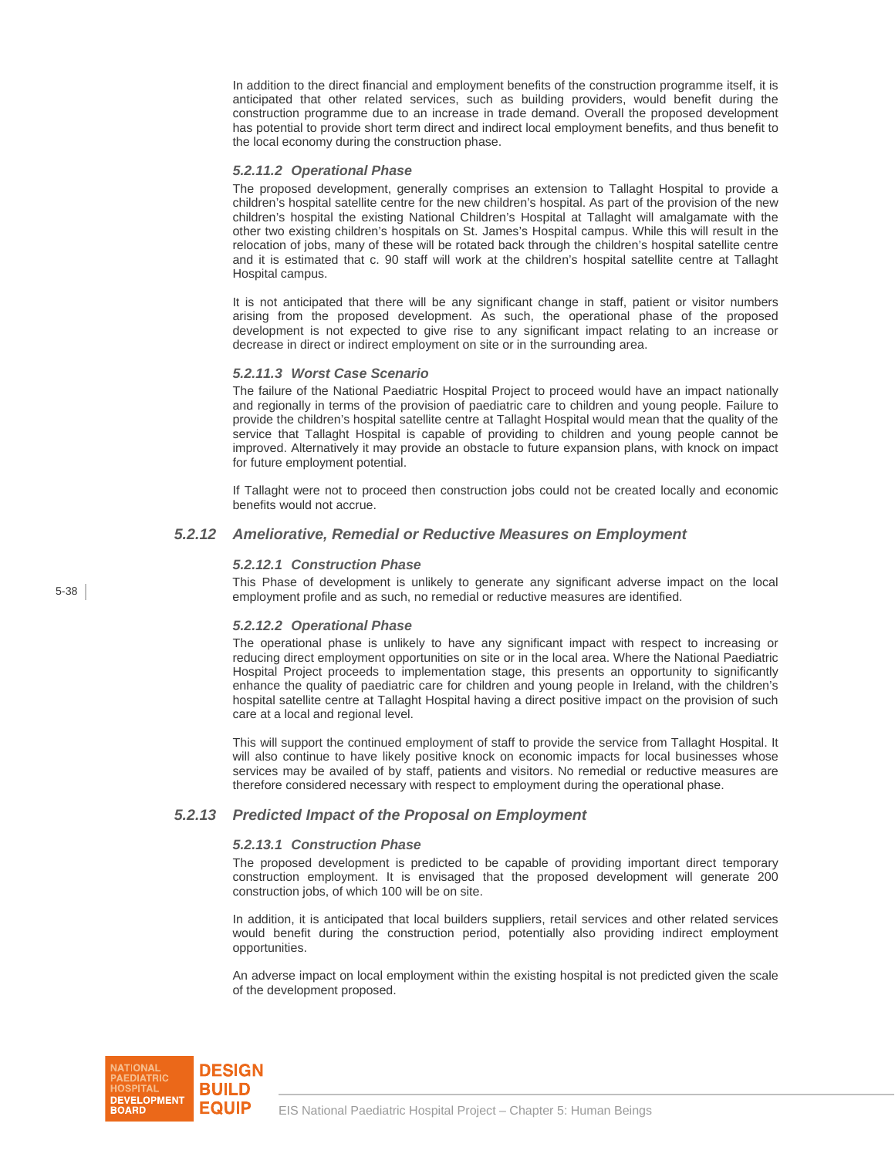In addition to the direct financial and employment benefits of the construction programme itself, it is anticipated that other related services, such as building providers, would benefit during the construction programme due to an increase in trade demand. Overall the proposed development has potential to provide short term direct and indirect local employment benefits, and thus benefit to the local economy during the construction phase.

#### *5.2.11.2 Operational Phase*

The proposed development, generally comprises an extension to Tallaght Hospital to provide a children's hospital satellite centre for the new children's hospital. As part of the provision of the new children's hospital the existing National Children's Hospital at Tallaght will amalgamate with the other two existing children's hospitals on St. James's Hospital campus. While this will result in the relocation of jobs, many of these will be rotated back through the children's hospital satellite centre and it is estimated that c. 90 staff will work at the children's hospital satellite centre at Tallaght Hospital campus.

It is not anticipated that there will be any significant change in staff, patient or visitor numbers arising from the proposed development. As such, the operational phase of the proposed development is not expected to give rise to any significant impact relating to an increase or decrease in direct or indirect employment on site or in the surrounding area.

#### *5.2.11.3 Worst Case Scenario*

The failure of the National Paediatric Hospital Project to proceed would have an impact nationally and regionally in terms of the provision of paediatric care to children and young people. Failure to provide the children's hospital satellite centre at Tallaght Hospital would mean that the quality of the service that Tallaght Hospital is capable of providing to children and young people cannot be improved. Alternatively it may provide an obstacle to future expansion plans, with knock on impact for future employment potential.

If Tallaght were not to proceed then construction jobs could not be created locally and economic benefits would not accrue.

## *5.2.12 Ameliorative, Remedial or Reductive Measures on Employment*

#### *5.2.12.1 Construction Phase*

This Phase of development is unlikely to generate any significant adverse impact on the local employment profile and as such, no remedial or reductive measures are identified.

### *5.2.12.2 Operational Phase*

The operational phase is unlikely to have any significant impact with respect to increasing or reducing direct employment opportunities on site or in the local area. Where the National Paediatric Hospital Project proceeds to implementation stage, this presents an opportunity to significantly enhance the quality of paediatric care for children and young people in Ireland, with the children's hospital satellite centre at Tallaght Hospital having a direct positive impact on the provision of such care at a local and regional level.

This will support the continued employment of staff to provide the service from Tallaght Hospital. It will also continue to have likely positive knock on economic impacts for local businesses whose services may be availed of by staff, patients and visitors. No remedial or reductive measures are therefore considered necessary with respect to employment during the operational phase.

### *5.2.13 Predicted Impact of the Proposal on Employment*

#### *5.2.13.1 Construction Phase*

The proposed development is predicted to be capable of providing important direct temporary construction employment. It is envisaged that the proposed development will generate 200 construction jobs, of which 100 will be on site.

In addition, it is anticipated that local builders suppliers, retail services and other related services would benefit during the construction period, potentially also providing indirect employment opportunities.

An adverse impact on local employment within the existing hospital is not predicted given the scale of the development proposed.

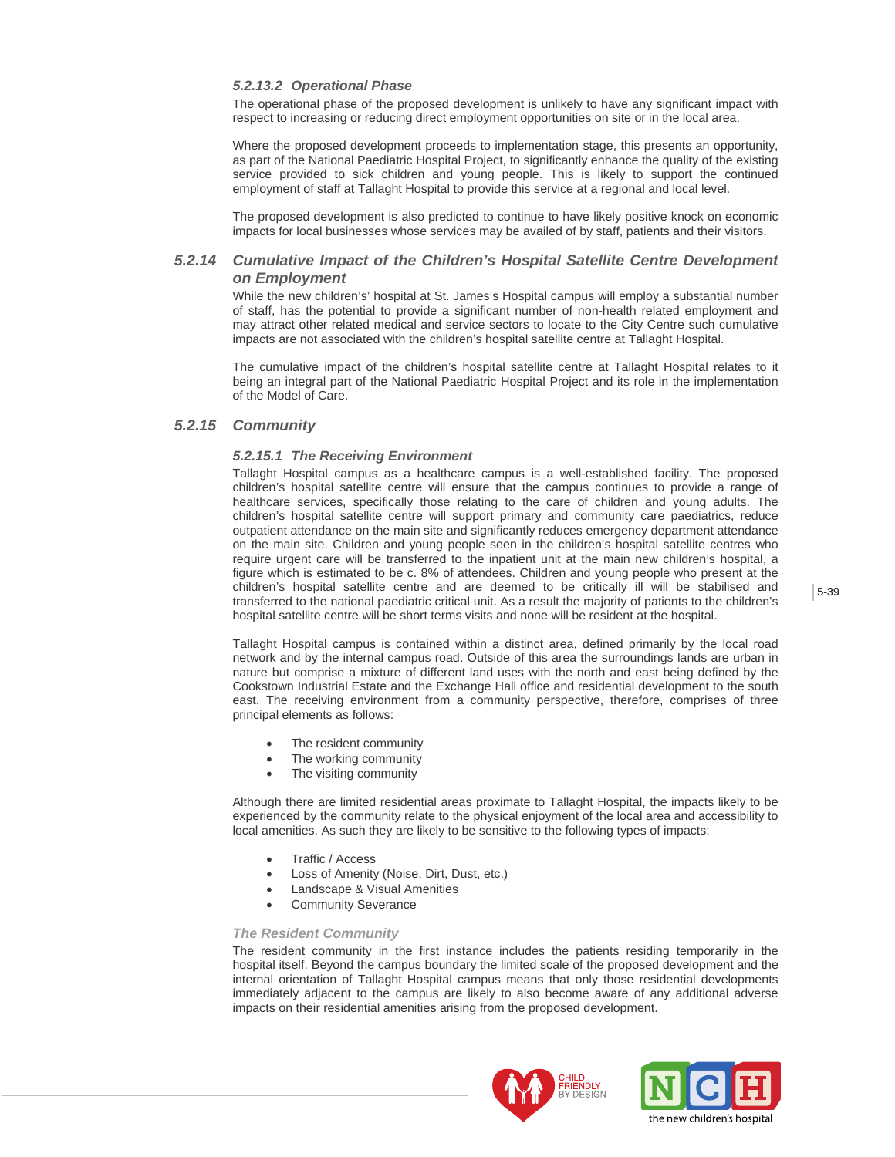#### *5.2.13.2 Operational Phase*

The operational phase of the proposed development is unlikely to have any significant impact with respect to increasing or reducing direct employment opportunities on site or in the local area.

Where the proposed development proceeds to implementation stage, this presents an opportunity, as part of the National Paediatric Hospital Project, to significantly enhance the quality of the existing service provided to sick children and young people. This is likely to support the continued employment of staff at Tallaght Hospital to provide this service at a regional and local level.

The proposed development is also predicted to continue to have likely positive knock on economic impacts for local businesses whose services may be availed of by staff, patients and their visitors.

## *5.2.14 Cumulative Impact of the Children's Hospital Satellite Centre Development on Employment*

While the new children's' hospital at St. James's Hospital campus will employ a substantial number of staff, has the potential to provide a significant number of non-health related employment and may attract other related medical and service sectors to locate to the City Centre such cumulative impacts are not associated with the children's hospital satellite centre at Tallaght Hospital.

The cumulative impact of the children's hospital satellite centre at Tallaght Hospital relates to it being an integral part of the National Paediatric Hospital Project and its role in the implementation of the Model of Care.

## *5.2.15 Community*

### *5.2.15.1 The Receiving Environment*

Tallaght Hospital campus as a healthcare campus is a well-established facility. The proposed children's hospital satellite centre will ensure that the campus continues to provide a range of healthcare services, specifically those relating to the care of children and young adults. The children's hospital satellite centre will support primary and community care paediatrics, reduce outpatient attendance on the main site and significantly reduces emergency department attendance on the main site. Children and young people seen in the children's hospital satellite centres who require urgent care will be transferred to the inpatient unit at the main new children's hospital, a figure which is estimated to be c. 8% of attendees. Children and young people who present at the children's hospital satellite centre and are deemed to be critically ill will be stabilised and transferred to the national paediatric critical unit. As a result the majority of patients to the children's hospital satellite centre will be short terms visits and none will be resident at the hospital.

Tallaght Hospital campus is contained within a distinct area, defined primarily by the local road network and by the internal campus road. Outside of this area the surroundings lands are urban in nature but comprise a mixture of different land uses with the north and east being defined by the Cookstown Industrial Estate and the Exchange Hall office and residential development to the south east. The receiving environment from a community perspective, therefore, comprises of three principal elements as follows:

- The resident community
- The working community
- The visiting community

Although there are limited residential areas proximate to Tallaght Hospital, the impacts likely to be experienced by the community relate to the physical enjoyment of the local area and accessibility to local amenities. As such they are likely to be sensitive to the following types of impacts:

- Traffic / Access
- Loss of Amenity (Noise, Dirt, Dust, etc.)
- Landscape & Visual Amenities
- Community Severance

#### *The Resident Community*

The resident community in the first instance includes the patients residing temporarily in the hospital itself. Beyond the campus boundary the limited scale of the proposed development and the internal orientation of Tallaght Hospital campus means that only those residential developments immediately adjacent to the campus are likely to also become aware of any additional adverse impacts on their residential amenities arising from the proposed development.



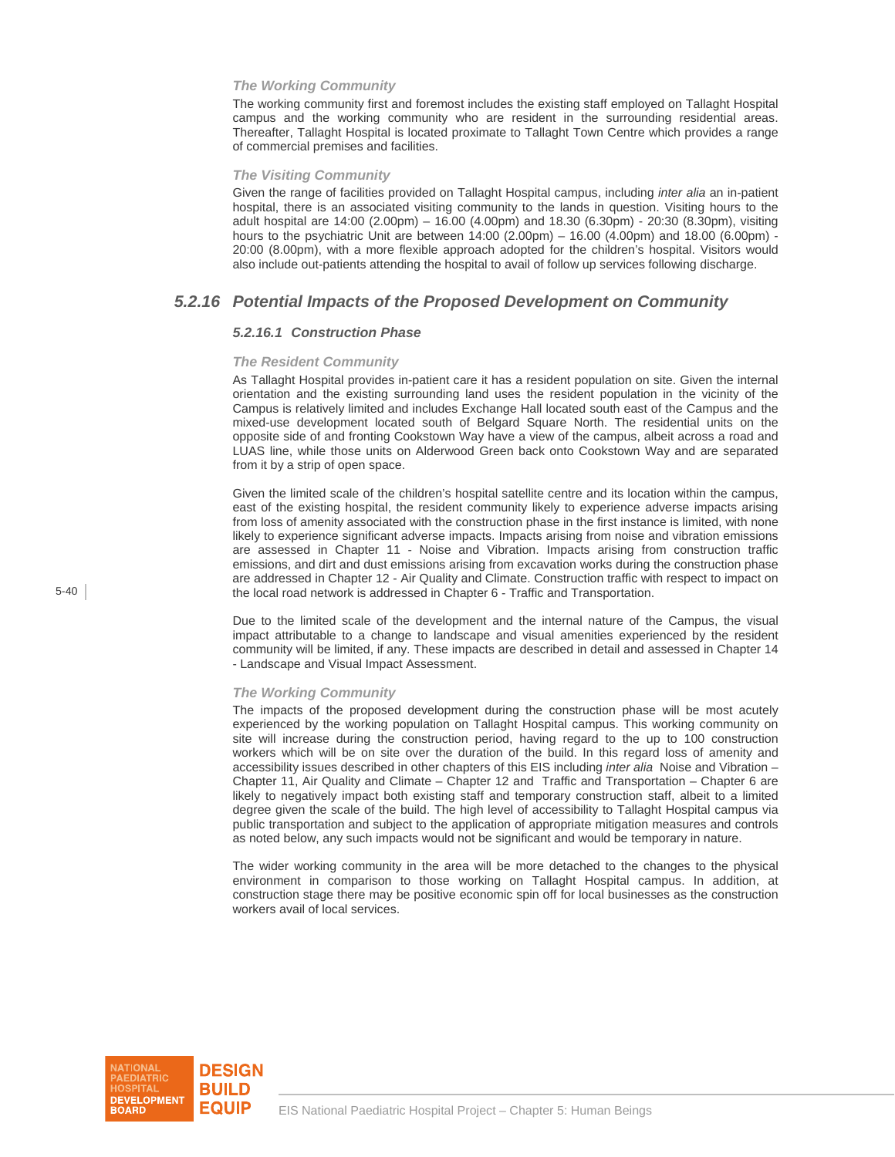#### *The Working Community*

The working community first and foremost includes the existing staff employed on Tallaght Hospital campus and the working community who are resident in the surrounding residential areas. Thereafter, Tallaght Hospital is located proximate to Tallaght Town Centre which provides a range of commercial premises and facilities.

#### *The Visiting Community*

Given the range of facilities provided on Tallaght Hospital campus, including *inter alia* an in-patient hospital, there is an associated visiting community to the lands in question. Visiting hours to the adult hospital are 14:00 (2.00pm) – 16.00 (4.00pm) and 18.30 (6.30pm) - 20:30 (8.30pm), visiting hours to the psychiatric Unit are between 14:00 (2.00pm) – 16.00 (4.00pm) and 18.00 (6.00pm) - 20:00 (8.00pm), with a more flexible approach adopted for the children's hospital. Visitors would also include out-patients attending the hospital to avail of follow up services following discharge.

## *5.2.16 Potential Impacts of the Proposed Development on Community*

#### *5.2.16.1 Construction Phase*

#### *The Resident Community*

As Tallaght Hospital provides in-patient care it has a resident population on site. Given the internal orientation and the existing surrounding land uses the resident population in the vicinity of the Campus is relatively limited and includes Exchange Hall located south east of the Campus and the mixed-use development located south of Belgard Square North. The residential units on the opposite side of and fronting Cookstown Way have a view of the campus, albeit across a road and LUAS line, while those units on Alderwood Green back onto Cookstown Way and are separated from it by a strip of open space.

Given the limited scale of the children's hospital satellite centre and its location within the campus, east of the existing hospital, the resident community likely to experience adverse impacts arising from loss of amenity associated with the construction phase in the first instance is limited, with none likely to experience significant adverse impacts. Impacts arising from noise and vibration emissions are assessed in Chapter 11 - Noise and Vibration. Impacts arising from construction traffic emissions, and dirt and dust emissions arising from excavation works during the construction phase are addressed in Chapter 12 - Air Quality and Climate. Construction traffic with respect to impact on the local road network is addressed in Chapter 6 - Traffic and Transportation.

Due to the limited scale of the development and the internal nature of the Campus, the visual impact attributable to a change to landscape and visual amenities experienced by the resident community will be limited, if any. These impacts are described in detail and assessed in Chapter 14 - Landscape and Visual Impact Assessment.

#### *The Working Community*

The impacts of the proposed development during the construction phase will be most acutely experienced by the working population on Tallaght Hospital campus. This working community on site will increase during the construction period, having regard to the up to 100 construction workers which will be on site over the duration of the build. In this regard loss of amenity and accessibility issues described in other chapters of this EIS including *inter alia* Noise and Vibration – Chapter 11, Air Quality and Climate – Chapter 12 and Traffic and Transportation – Chapter 6 are likely to negatively impact both existing staff and temporary construction staff, albeit to a limited degree given the scale of the build. The high level of accessibility to Tallaght Hospital campus via public transportation and subject to the application of appropriate mitigation measures and controls as noted below, any such impacts would not be significant and would be temporary in nature.

The wider working community in the area will be more detached to the changes to the physical environment in comparison to those working on Tallaght Hospital campus. In addition, at construction stage there may be positive economic spin off for local businesses as the construction workers avail of local services.

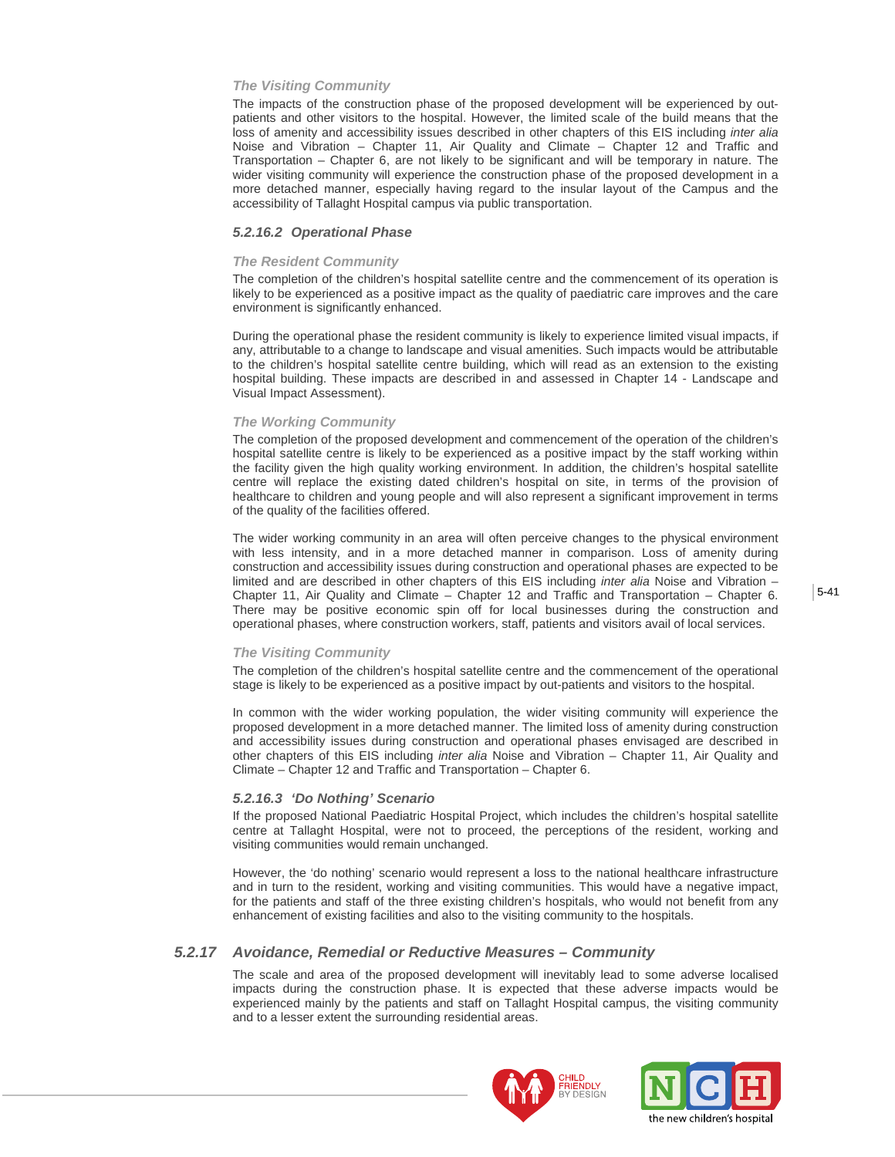#### *The Visiting Community*

The impacts of the construction phase of the proposed development will be experienced by outpatients and other visitors to the hospital. However, the limited scale of the build means that the loss of amenity and accessibility issues described in other chapters of this EIS including *inter alia* Noise and Vibration – Chapter 11, Air Quality and Climate – Chapter 12 and Traffic and Transportation – Chapter 6, are not likely to be significant and will be temporary in nature. The wider visiting community will experience the construction phase of the proposed development in a more detached manner, especially having regard to the insular layout of the Campus and the accessibility of Tallaght Hospital campus via public transportation.

#### *5.2.16.2 Operational Phase*

#### *The Resident Community*

The completion of the children's hospital satellite centre and the commencement of its operation is likely to be experienced as a positive impact as the quality of paediatric care improves and the care environment is significantly enhanced.

During the operational phase the resident community is likely to experience limited visual impacts, if any, attributable to a change to landscape and visual amenities. Such impacts would be attributable to the children's hospital satellite centre building, which will read as an extension to the existing hospital building. These impacts are described in and assessed in Chapter 14 - Landscape and Visual Impact Assessment).

#### *The Working Community*

The completion of the proposed development and commencement of the operation of the children's hospital satellite centre is likely to be experienced as a positive impact by the staff working within the facility given the high quality working environment. In addition, the children's hospital satellite centre will replace the existing dated children's hospital on site, in terms of the provision of healthcare to children and young people and will also represent a significant improvement in terms of the quality of the facilities offered.

The wider working community in an area will often perceive changes to the physical environment with less intensity, and in a more detached manner in comparison. Loss of amenity during construction and accessibility issues during construction and operational phases are expected to be limited and are described in other chapters of this EIS including *inter alia* Noise and Vibration – Chapter 11, Air Quality and Climate – Chapter 12 and Traffic and Transportation – Chapter 6. There may be positive economic spin off for local businesses during the construction and operational phases, where construction workers, staff, patients and visitors avail of local services.

#### *The Visiting Community*

The completion of the children's hospital satellite centre and the commencement of the operational stage is likely to be experienced as a positive impact by out-patients and visitors to the hospital.

In common with the wider working population, the wider visiting community will experience the proposed development in a more detached manner. The limited loss of amenity during construction and accessibility issues during construction and operational phases envisaged are described in other chapters of this EIS including *inter alia* Noise and Vibration – Chapter 11, Air Quality and Climate – Chapter 12 and Traffic and Transportation – Chapter 6.

#### *5.2.16.3 'Do Nothing' Scenario*

If the proposed National Paediatric Hospital Project, which includes the children's hospital satellite centre at Tallaght Hospital, were not to proceed, the perceptions of the resident, working and visiting communities would remain unchanged.

However, the 'do nothing' scenario would represent a loss to the national healthcare infrastructure and in turn to the resident, working and visiting communities. This would have a negative impact, for the patients and staff of the three existing children's hospitals, who would not benefit from any enhancement of existing facilities and also to the visiting community to the hospitals.

### *5.2.17 Avoidance, Remedial or Reductive Measures – Community*

The scale and area of the proposed development will inevitably lead to some adverse localised impacts during the construction phase. It is expected that these adverse impacts would be experienced mainly by the patients and staff on Tallaght Hospital campus, the visiting community and to a lesser extent the surrounding residential areas.



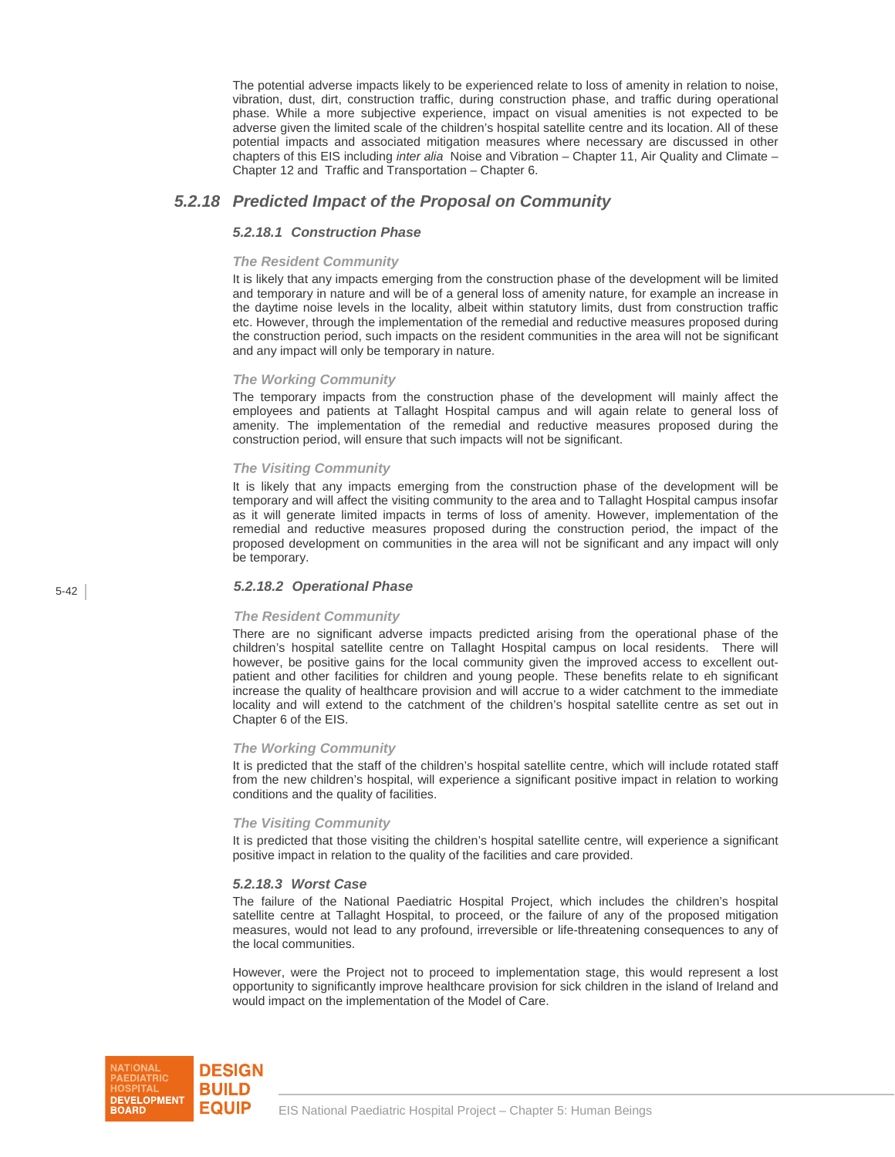The potential adverse impacts likely to be experienced relate to loss of amenity in relation to noise, vibration, dust, dirt, construction traffic, during construction phase, and traffic during operational phase. While a more subjective experience, impact on visual amenities is not expected to be adverse given the limited scale of the children's hospital satellite centre and its location. All of these potential impacts and associated mitigation measures where necessary are discussed in other chapters of this EIS including *inter alia* Noise and Vibration – Chapter 11, Air Quality and Climate – Chapter 12 and Traffic and Transportation – Chapter 6.

## *5.2.18 Predicted Impact of the Proposal on Community*

## *5.2.18.1 Construction Phase*

#### *The Resident Community*

It is likely that any impacts emerging from the construction phase of the development will be limited and temporary in nature and will be of a general loss of amenity nature, for example an increase in the daytime noise levels in the locality, albeit within statutory limits, dust from construction traffic etc. However, through the implementation of the remedial and reductive measures proposed during the construction period, such impacts on the resident communities in the area will not be significant and any impact will only be temporary in nature.

#### *The Working Community*

The temporary impacts from the construction phase of the development will mainly affect the employees and patients at Tallaght Hospital campus and will again relate to general loss of amenity. The implementation of the remedial and reductive measures proposed during the construction period, will ensure that such impacts will not be significant.

#### *The Visiting Community*

It is likely that any impacts emerging from the construction phase of the development will be temporary and will affect the visiting community to the area and to Tallaght Hospital campus insofar as it will generate limited impacts in terms of loss of amenity. However, implementation of the remedial and reductive measures proposed during the construction period, the impact of the proposed development on communities in the area will not be significant and any impact will only be temporary.

### *5.2.18.2 Operational Phase*

#### *The Resident Community*

There are no significant adverse impacts predicted arising from the operational phase of the children's hospital satellite centre on Tallaght Hospital campus on local residents. There will however, be positive gains for the local community given the improved access to excellent outpatient and other facilities for children and young people. These benefits relate to eh significant increase the quality of healthcare provision and will accrue to a wider catchment to the immediate locality and will extend to the catchment of the children's hospital satellite centre as set out in Chapter 6 of the EIS.

#### *The Working Community*

It is predicted that the staff of the children's hospital satellite centre, which will include rotated staff from the new children's hospital, will experience a significant positive impact in relation to working conditions and the quality of facilities.

### *The Visiting Community*

It is predicted that those visiting the children's hospital satellite centre, will experience a significant positive impact in relation to the quality of the facilities and care provided.

### *5.2.18.3 Worst Case*

The failure of the National Paediatric Hospital Project, which includes the children's hospital satellite centre at Tallaght Hospital, to proceed, or the failure of any of the proposed mitigation measures, would not lead to any profound, irreversible or life-threatening consequences to any of the local communities.

However, were the Project not to proceed to implementation stage, this would represent a lost opportunity to significantly improve healthcare provision for sick children in the island of Ireland and would impact on the implementation of the Model of Care.

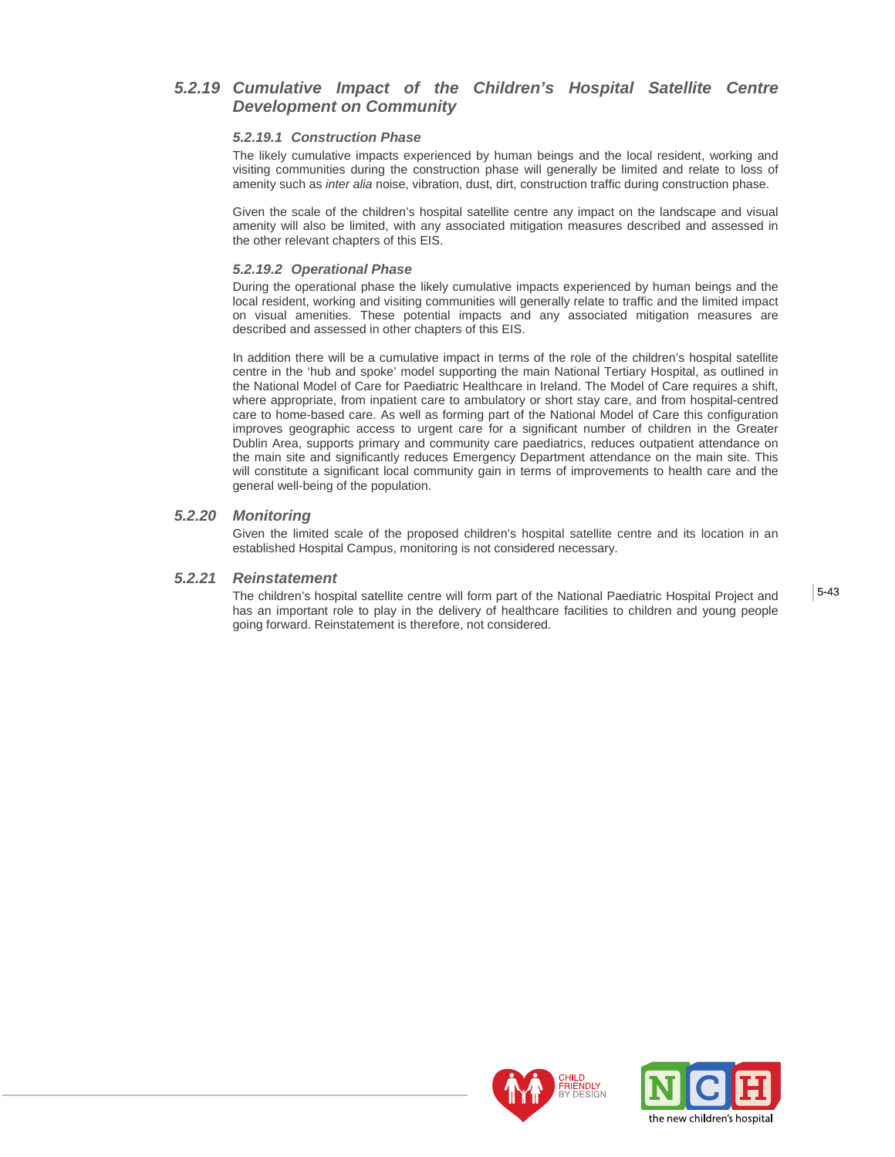## *5.2.19 Cumulative Impact of the Children's Hospital Satellite Centre Development on Community*

### *5.2.19.1 Construction Phase*

The likely cumulative impacts experienced by human beings and the local resident, working and visiting communities during the construction phase will generally be limited and relate to loss of amenity such as *inter alia* noise, vibration, dust, dirt, construction traffic during construction phase.

Given the scale of the children's hospital satellite centre any impact on the landscape and visual amenity will also be limited, with any associated mitigation measures described and assessed in the other relevant chapters of this EIS.

## *5.2.19.2 Operational Phase*

During the operational phase the likely cumulative impacts experienced by human beings and the local resident, working and visiting communities will generally relate to traffic and the limited impact on visual amenities. These potential impacts and any associated mitigation measures are described and assessed in other chapters of this EIS.

In addition there will be a cumulative impact in terms of the role of the children's hospital satellite centre in the 'hub and spoke' model supporting the main National Tertiary Hospital, as outlined in the National Model of Care for Paediatric Healthcare in Ireland. The Model of Care requires a shift, where appropriate, from inpatient care to ambulatory or short stay care, and from hospital-centred care to home-based care. As well as forming part of the National Model of Care this configuration improves geographic access to urgent care for a significant number of children in the Greater Dublin Area, supports primary and community care paediatrics, reduces outpatient attendance on the main site and significantly reduces Emergency Department attendance on the main site. This will constitute a significant local community gain in terms of improvements to health care and the general well-being of the population.

## *5.2.20 Monitoring*

Given the limited scale of the proposed children's hospital satellite centre and its location in an established Hospital Campus, monitoring is not considered necessary.

## *5.2.21 Reinstatement*

The children's hospital satellite centre will form part of the National Paediatric Hospital Project and has an important role to play in the delivery of healthcare facilities to children and young people going forward. Reinstatement is therefore, not considered.



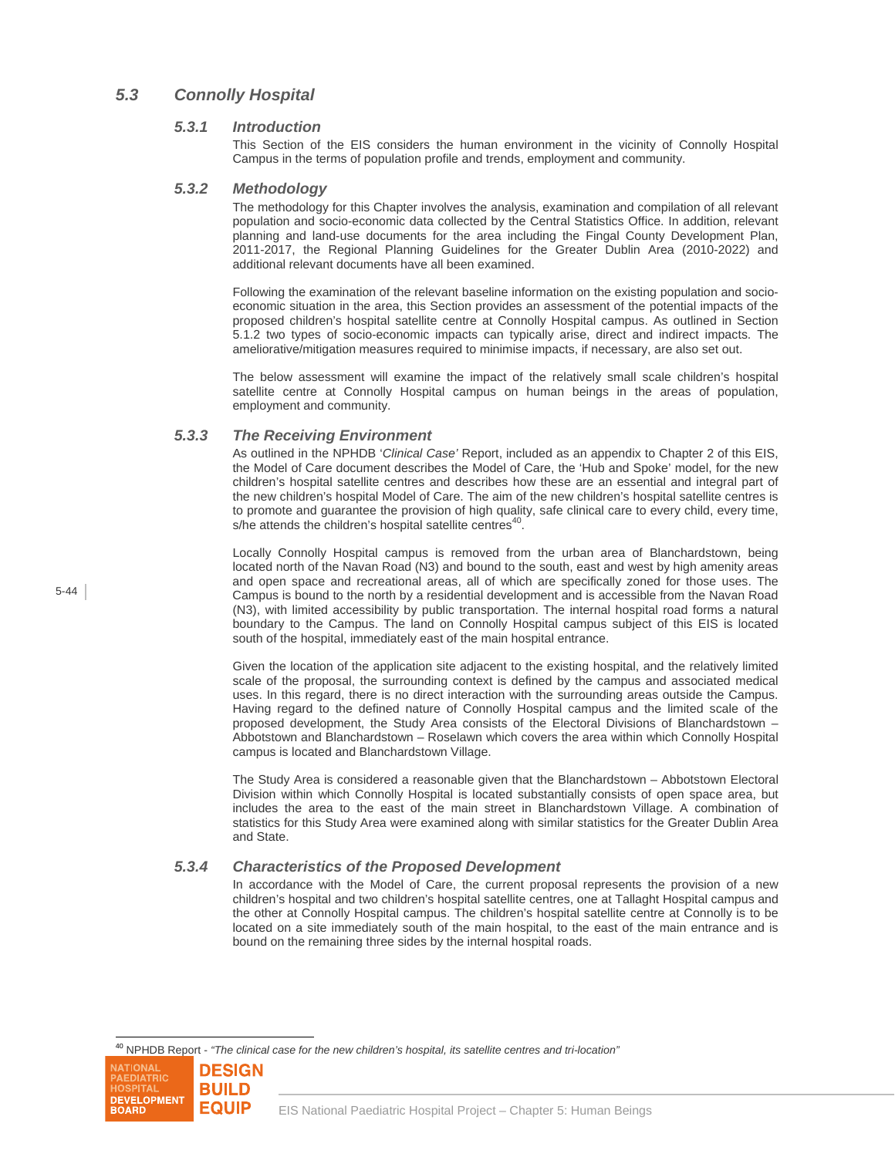## *5.3 Connolly Hospital*

### *5.3.1 Introduction*

This Section of the EIS considers the human environment in the vicinity of Connolly Hospital Campus in the terms of population profile and trends, employment and community.

#### *5.3.2 Methodology*

The methodology for this Chapter involves the analysis, examination and compilation of all relevant population and socio-economic data collected by the Central Statistics Office. In addition, relevant planning and land-use documents for the area including the Fingal County Development Plan, 2011-2017, the Regional Planning Guidelines for the Greater Dublin Area (2010-2022) and additional relevant documents have all been examined.

Following the examination of the relevant baseline information on the existing population and socioeconomic situation in the area, this Section provides an assessment of the potential impacts of the proposed children's hospital satellite centre at Connolly Hospital campus. As outlined in Section 5.1.2 two types of socio-economic impacts can typically arise, direct and indirect impacts. The ameliorative/mitigation measures required to minimise impacts, if necessary, are also set out.

The below assessment will examine the impact of the relatively small scale children's hospital satellite centre at Connolly Hospital campus on human beings in the areas of population, employment and community.

## *5.3.3 The Receiving Environment*

As outlined in the NPHDB '*Clinical Case'* Report, included as an appendix to Chapter 2 of this EIS, the Model of Care document describes the Model of Care, the 'Hub and Spoke' model, for the new children's hospital satellite centres and describes how these are an essential and integral part of the new children's hospital Model of Care. The aim of the new children's hospital satellite centres is to promote and guarantee the provision of high quality, safe clinical care to every child, every time, s/he attends the children's hospital satellite centres $40$ 

Locally Connolly Hospital campus is removed from the urban area of Blanchardstown, being located north of the Navan Road (N3) and bound to the south, east and west by high amenity areas and open space and recreational areas, all of which are specifically zoned for those uses. The Campus is bound to the north by a residential development and is accessible from the Navan Road (N3), with limited accessibility by public transportation. The internal hospital road forms a natural boundary to the Campus. The land on Connolly Hospital campus subject of this EIS is located south of the hospital, immediately east of the main hospital entrance.

Given the location of the application site adjacent to the existing hospital, and the relatively limited scale of the proposal, the surrounding context is defined by the campus and associated medical uses. In this regard, there is no direct interaction with the surrounding areas outside the Campus. Having regard to the defined nature of Connolly Hospital campus and the limited scale of the proposed development, the Study Area consists of the Electoral Divisions of Blanchardstown – Abbotstown and Blanchardstown – Roselawn which covers the area within which Connolly Hospital campus is located and Blanchardstown Village.

The Study Area is considered a reasonable given that the Blanchardstown – Abbotstown Electoral Division within which Connolly Hospital is located substantially consists of open space area, but includes the area to the east of the main street in Blanchardstown Village. A combination of statistics for this Study Area were examined along with similar statistics for the Greater Dublin Area and State.

## *5.3.4 Characteristics of the Proposed Development*

In accordance with the Model of Care, the current proposal represents the provision of a new children's hospital and two children's hospital satellite centres, one at Tallaght Hospital campus and the other at Connolly Hospital campus. The children's hospital satellite centre at Connolly is to be located on a site immediately south of the main hospital, to the east of the main entrance and is bound on the remaining three sides by the internal hospital roads.

<sup>40</sup> NPHDB Report - *"The clinical case for the new children's hospital, its satellite centres and tri-location"*

5-44

l

**NATIONAL** 



**DESIGN**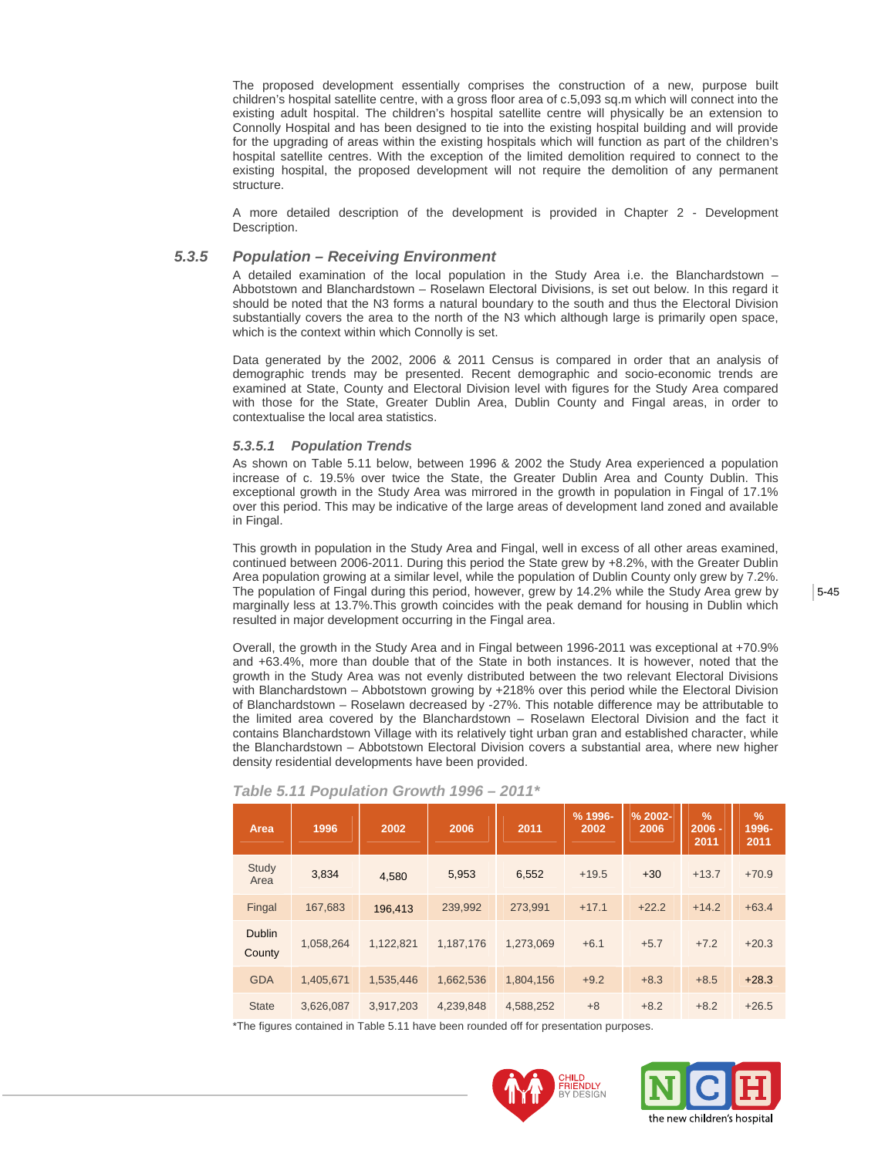The proposed development essentially comprises the construction of a new, purpose built children's hospital satellite centre, with a gross floor area of c.5,093 sq.m which will connect into the existing adult hospital. The children's hospital satellite centre will physically be an extension to Connolly Hospital and has been designed to tie into the existing hospital building and will provide for the upgrading of areas within the existing hospitals which will function as part of the children's hospital satellite centres. With the exception of the limited demolition required to connect to the existing hospital, the proposed development will not require the demolition of any permanent structure.

A more detailed description of the development is provided in Chapter 2 - Development Description.

## *5.3.5 Population – Receiving Environment*

A detailed examination of the local population in the Study Area i.e. the Blanchardstown – Abbotstown and Blanchardstown – Roselawn Electoral Divisions, is set out below. In this regard it should be noted that the N3 forms a natural boundary to the south and thus the Electoral Division substantially covers the area to the north of the N3 which although large is primarily open space, which is the context within which Connolly is set.

Data generated by the 2002, 2006 & 2011 Census is compared in order that an analysis of demographic trends may be presented. Recent demographic and socio-economic trends are examined at State, County and Electoral Division level with figures for the Study Area compared with those for the State, Greater Dublin Area, Dublin County and Fingal areas, in order to contextualise the local area statistics.

#### *5.3.5.1 Population Trends*

As shown on Table 5.11 below, between 1996 & 2002 the Study Area experienced a population increase of c. 19.5% over twice the State, the Greater Dublin Area and County Dublin. This exceptional growth in the Study Area was mirrored in the growth in population in Fingal of 17.1% over this period. This may be indicative of the large areas of development land zoned and available in Fingal.

This growth in population in the Study Area and Fingal, well in excess of all other areas examined, continued between 2006-2011. During this period the State grew by +8.2%, with the Greater Dublin Area population growing at a similar level, while the population of Dublin County only grew by 7.2%. The population of Fingal during this period, however, grew by 14.2% while the Study Area grew by marginally less at 13.7%.This growth coincides with the peak demand for housing in Dublin which resulted in major development occurring in the Fingal area.

Overall, the growth in the Study Area and in Fingal between 1996-2011 was exceptional at +70.9% and +63.4%, more than double that of the State in both instances. It is however, noted that the growth in the Study Area was not evenly distributed between the two relevant Electoral Divisions with Blanchardstown – Abbotstown growing by +218% over this period while the Electoral Division of Blanchardstown – Roselawn decreased by -27%. This notable difference may be attributable to the limited area covered by the Blanchardstown – Roselawn Electoral Division and the fact it contains Blanchardstown Village with its relatively tight urban gran and established character, while the Blanchardstown – Abbotstown Electoral Division covers a substantial area, where new higher density residential developments have been provided.

| Area                    | 1996      | 2002      | 2006      | 2011      | % 1996-<br>2002 | $% 2002 -$<br>2006 | $\frac{9}{6}$<br>$2006 -$<br>2011 | $\frac{9}{6}$<br>1996-<br>2011 |
|-------------------------|-----------|-----------|-----------|-----------|-----------------|--------------------|-----------------------------------|--------------------------------|
| Study<br>Area           | 3,834     | 4,580     | 5.953     | 6,552     | $+19.5$         | $+30$              | $+13.7$                           | $+70.9$                        |
| Fingal                  | 167,683   | 196,413   | 239,992   | 273.991   | $+17.1$         | $+22.2$            | $+14.2$                           | $+63.4$                        |
| <b>Dublin</b><br>County | 1,058,264 | 1,122,821 | 1,187,176 | 1,273,069 | $+6.1$          | $+5.7$             | $+7.2$                            | $+20.3$                        |
| <b>GDA</b>              | 1,405,671 | 1,535,446 | 1,662,536 | 1,804,156 | $+9.2$          | $+8.3$             | $+8.5$                            | $+28.3$                        |
| <b>State</b>            | 3,626,087 | 3,917,203 | 4,239,848 | 4,588,252 | $+8$            | $+8.2$             | $+8.2$                            | $+26.5$                        |

#### *Table 5.11 Population Growth 1996 – 2011\**

\*The figures contained in Table 5.11 have been rounded off for presentation purposes.



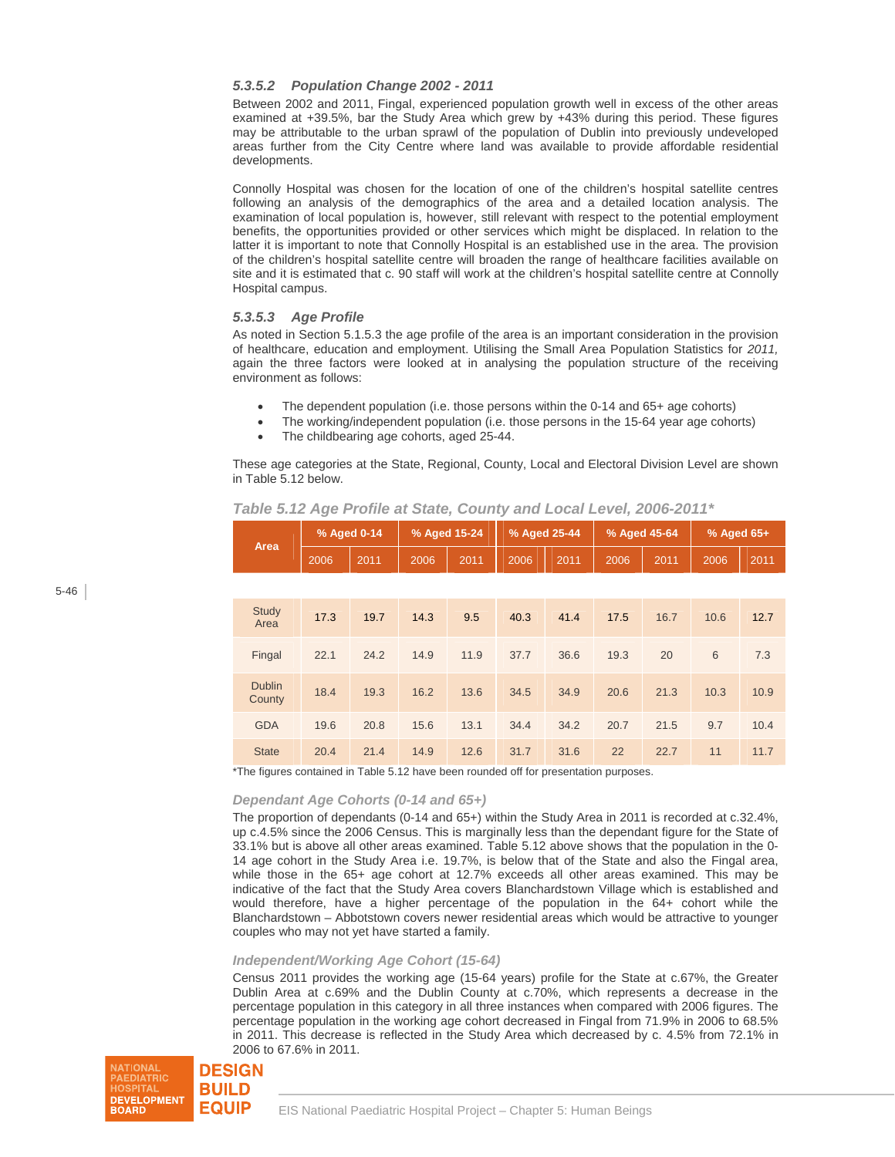## *5.3.5.2 Population Change 2002 - 2011*

Between 2002 and 2011, Fingal, experienced population growth well in excess of the other areas examined at +39.5%, bar the Study Area which grew by +43% during this period. These figures may be attributable to the urban sprawl of the population of Dublin into previously undeveloped areas further from the City Centre where land was available to provide affordable residential developments.

Connolly Hospital was chosen for the location of one of the children's hospital satellite centres following an analysis of the demographics of the area and a detailed location analysis. The examination of local population is, however, still relevant with respect to the potential employment benefits, the opportunities provided or other services which might be displaced. In relation to the latter it is important to note that Connolly Hospital is an established use in the area. The provision of the children's hospital satellite centre will broaden the range of healthcare facilities available on site and it is estimated that c. 90 staff will work at the children's hospital satellite centre at Connolly Hospital campus.

### *5.3.5.3 Age Profile*

As noted in Section 5.1.5.3 the age profile of the area is an important consideration in the provision of healthcare, education and employment. Utilising the Small Area Population Statistics for *2011,*  again the three factors were looked at in analysing the population structure of the receiving environment as follows:

- The dependent population (i.e. those persons within the 0-14 and 65+ age cohorts)
- The working/independent population (i.e. those persons in the 15-64 year age cohorts)
- The childbearing age cohorts, aged 25-44.

These age categories at the State, Regional, County, Local and Electoral Division Level are shown in Table 5.12 below.

| Area                    | % Aged 0-14 |      | % Aged 15-24 |      | % Aged 25-44 |      | % Aged 45-64 |      | % Aged 65+ |      |
|-------------------------|-------------|------|--------------|------|--------------|------|--------------|------|------------|------|
|                         | 2006        | 2011 | 2006         | 2011 | 2006         | 2011 | 2006         | 2011 | 2006       | 2011 |
|                         |             |      |              |      |              |      |              |      |            |      |
| <b>Study</b><br>Area    | 17.3        | 19.7 | 14.3         | 9.5  | 40.3         | 41.4 | 17.5         | 16.7 | 10.6       | 12.7 |
| Fingal                  | 22.1        | 24.2 | 14.9         | 11.9 | 37.7         | 36.6 | 19.3         | 20   | 6          | 7.3  |
| <b>Dublin</b><br>County | 18.4        | 19.3 | 16.2         | 13.6 | 34.5         | 34.9 | 20.6         | 21.3 | 10.3       | 10.9 |
| <b>GDA</b>              | 19.6        | 20.8 | 15.6         | 13.1 | 34.4         | 34.2 | 20.7         | 21.5 | 9.7        | 10.4 |
| <b>State</b>            | 20.4        | 21.4 | 14.9         | 12.6 | 31.7         | 31.6 | 22           | 22.7 | 11         | 11.7 |

 *Table 5.12 Age Profile at State, County and Local Level, 2006-2011\** 

\*The figures contained in Table 5.12 have been rounded off for presentation purposes.

### *Dependant Age Cohorts (0-14 and 65+)*

The proportion of dependants (0-14 and 65+) within the Study Area in 2011 is recorded at c.32.4%, up c.4.5% since the 2006 Census. This is marginally less than the dependant figure for the State of 33.1% but is above all other areas examined. Table 5.12 above shows that the population in the 0- 14 age cohort in the Study Area i.e. 19.7%, is below that of the State and also the Fingal area, while those in the 65+ age cohort at 12.7% exceeds all other areas examined. This may be indicative of the fact that the Study Area covers Blanchardstown Village which is established and would therefore, have a higher percentage of the population in the 64+ cohort while the Blanchardstown – Abbotstown covers newer residential areas which would be attractive to younger couples who may not yet have started a family.

### *Independent/Working Age Cohort (15-64)*

Census 2011 provides the working age (15-64 years) profile for the State at c.67%, the Greater Dublin Area at c.69% and the Dublin County at c.70%, which represents a decrease in the percentage population in this category in all three instances when compared with 2006 figures. The percentage population in the working age cohort decreased in Fingal from 71.9% in 2006 to 68.5% in 2011. This decrease is reflected in the Study Area which decreased by c. 4.5% from 72.1% in 2006 to 67.6% in 2011.

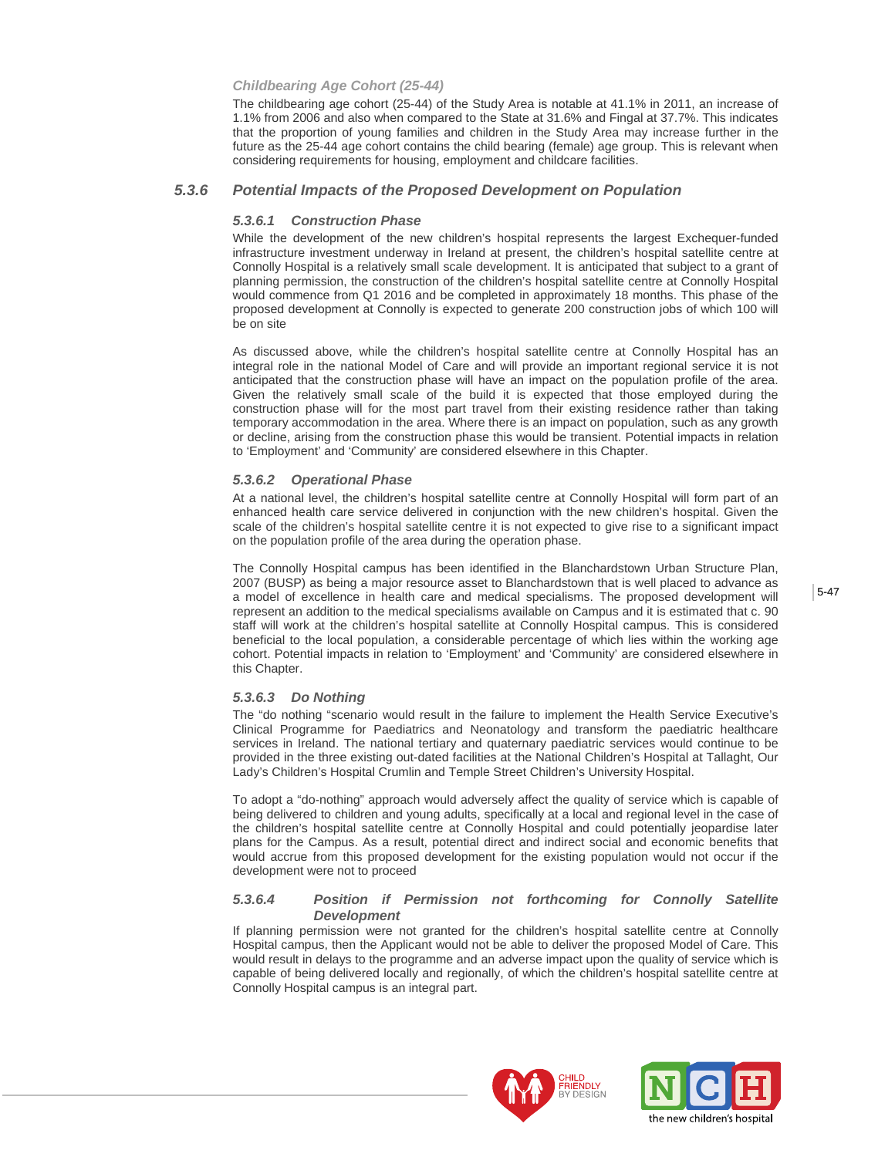#### *Childbearing Age Cohort (25-44)*

The childbearing age cohort (25-44) of the Study Area is notable at 41.1% in 2011, an increase of 1.1% from 2006 and also when compared to the State at 31.6% and Fingal at 37.7%. This indicates that the proportion of young families and children in the Study Area may increase further in the future as the 25-44 age cohort contains the child bearing (female) age group. This is relevant when considering requirements for housing, employment and childcare facilities.

#### *5.3.6 Potential Impacts of the Proposed Development on Population*

#### *5.3.6.1 Construction Phase*

While the development of the new children's hospital represents the largest Exchequer-funded infrastructure investment underway in Ireland at present, the children's hospital satellite centre at Connolly Hospital is a relatively small scale development. It is anticipated that subject to a grant of planning permission, the construction of the children's hospital satellite centre at Connolly Hospital would commence from Q1 2016 and be completed in approximately 18 months. This phase of the proposed development at Connolly is expected to generate 200 construction jobs of which 100 will be on site

As discussed above, while the children's hospital satellite centre at Connolly Hospital has an integral role in the national Model of Care and will provide an important regional service it is not anticipated that the construction phase will have an impact on the population profile of the area. Given the relatively small scale of the build it is expected that those employed during the construction phase will for the most part travel from their existing residence rather than taking temporary accommodation in the area. Where there is an impact on population, such as any growth or decline, arising from the construction phase this would be transient. Potential impacts in relation to 'Employment' and 'Community' are considered elsewhere in this Chapter.

#### *5.3.6.2 Operational Phase*

At a national level, the children's hospital satellite centre at Connolly Hospital will form part of an enhanced health care service delivered in conjunction with the new children's hospital. Given the scale of the children's hospital satellite centre it is not expected to give rise to a significant impact on the population profile of the area during the operation phase.

The Connolly Hospital campus has been identified in the Blanchardstown Urban Structure Plan, 2007 (BUSP) as being a major resource asset to Blanchardstown that is well placed to advance as a model of excellence in health care and medical specialisms. The proposed development will represent an addition to the medical specialisms available on Campus and it is estimated that c. 90 staff will work at the children's hospital satellite at Connolly Hospital campus. This is considered beneficial to the local population, a considerable percentage of which lies within the working age cohort. Potential impacts in relation to 'Employment' and 'Community' are considered elsewhere in this Chapter.

#### *5.3.6.3 Do Nothing*

The "do nothing "scenario would result in the failure to implement the Health Service Executive's Clinical Programme for Paediatrics and Neonatology and transform the paediatric healthcare services in Ireland. The national tertiary and quaternary paediatric services would continue to be provided in the three existing out-dated facilities at the National Children's Hospital at Tallaght, Our Lady's Children's Hospital Crumlin and Temple Street Children's University Hospital.

To adopt a "do-nothing" approach would adversely affect the quality of service which is capable of being delivered to children and young adults, specifically at a local and regional level in the case of the children's hospital satellite centre at Connolly Hospital and could potentially jeopardise later plans for the Campus. As a result, potential direct and indirect social and economic benefits that would accrue from this proposed development for the existing population would not occur if the development were not to proceed

#### *5.3.6.4 Position if Permission not forthcoming for Connolly Satellite Development*

If planning permission were not granted for the children's hospital satellite centre at Connolly Hospital campus, then the Applicant would not be able to deliver the proposed Model of Care. This would result in delays to the programme and an adverse impact upon the quality of service which is capable of being delivered locally and regionally, of which the children's hospital satellite centre at Connolly Hospital campus is an integral part.



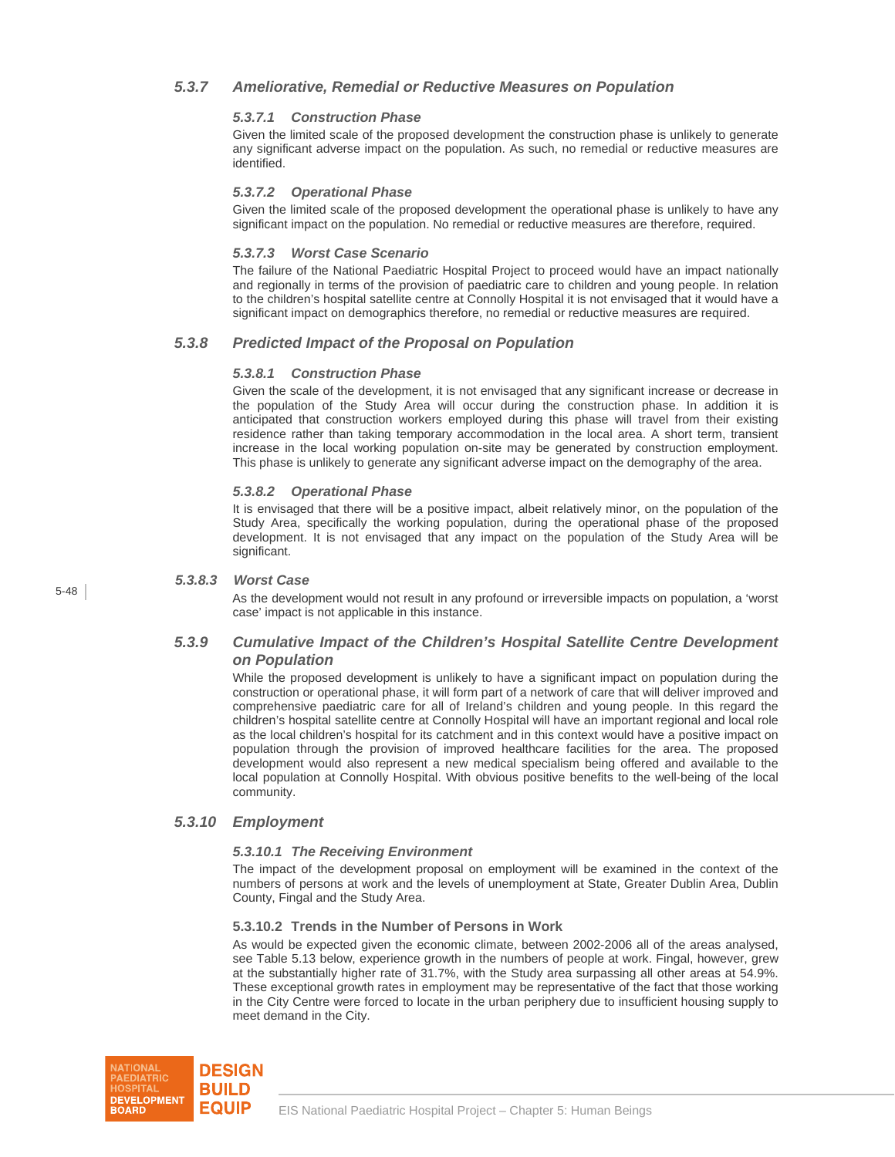## *5.3.7 Ameliorative, Remedial or Reductive Measures on Population*

## *5.3.7.1 Construction Phase*

Given the limited scale of the proposed development the construction phase is unlikely to generate any significant adverse impact on the population. As such, no remedial or reductive measures are identified.

## *5.3.7.2 Operational Phase*

Given the limited scale of the proposed development the operational phase is unlikely to have any significant impact on the population. No remedial or reductive measures are therefore, required.

## *5.3.7.3 Worst Case Scenario*

The failure of the National Paediatric Hospital Project to proceed would have an impact nationally and regionally in terms of the provision of paediatric care to children and young people. In relation to the children's hospital satellite centre at Connolly Hospital it is not envisaged that it would have a significant impact on demographics therefore, no remedial or reductive measures are required.

## *5.3.8 Predicted Impact of the Proposal on Population*

### *5.3.8.1 Construction Phase*

Given the scale of the development, it is not envisaged that any significant increase or decrease in the population of the Study Area will occur during the construction phase. In addition it is anticipated that construction workers employed during this phase will travel from their existing residence rather than taking temporary accommodation in the local area. A short term, transient increase in the local working population on-site may be generated by construction employment. This phase is unlikely to generate any significant adverse impact on the demography of the area.

## *5.3.8.2 Operational Phase*

It is envisaged that there will be a positive impact, albeit relatively minor, on the population of the Study Area, specifically the working population, during the operational phase of the proposed development. It is not envisaged that any impact on the population of the Study Area will be significant.

### *5.3.8.3 Worst Case*

As the development would not result in any profound or irreversible impacts on population, a 'worst case' impact is not applicable in this instance.

## *5.3.9 Cumulative Impact of the Children's Hospital Satellite Centre Development on Population*

While the proposed development is unlikely to have a significant impact on population during the construction or operational phase, it will form part of a network of care that will deliver improved and comprehensive paediatric care for all of Ireland's children and young people. In this regard the children's hospital satellite centre at Connolly Hospital will have an important regional and local role as the local children's hospital for its catchment and in this context would have a positive impact on population through the provision of improved healthcare facilities for the area. The proposed development would also represent a new medical specialism being offered and available to the local population at Connolly Hospital. With obvious positive benefits to the well-being of the local community.

## *5.3.10 Employment*

### *5.3.10.1 The Receiving Environment*

The impact of the development proposal on employment will be examined in the context of the numbers of persons at work and the levels of unemployment at State, Greater Dublin Area, Dublin County, Fingal and the Study Area.

### **5.3.10.2 Trends in the Number of Persons in Work**

As would be expected given the economic climate, between 2002-2006 all of the areas analysed, see Table 5.13 below, experience growth in the numbers of people at work. Fingal, however, grew at the substantially higher rate of 31.7%, with the Study area surpassing all other areas at 54.9%. These exceptional growth rates in employment may be representative of the fact that those working in the City Centre were forced to locate in the urban periphery due to insufficient housing supply to meet demand in the City.

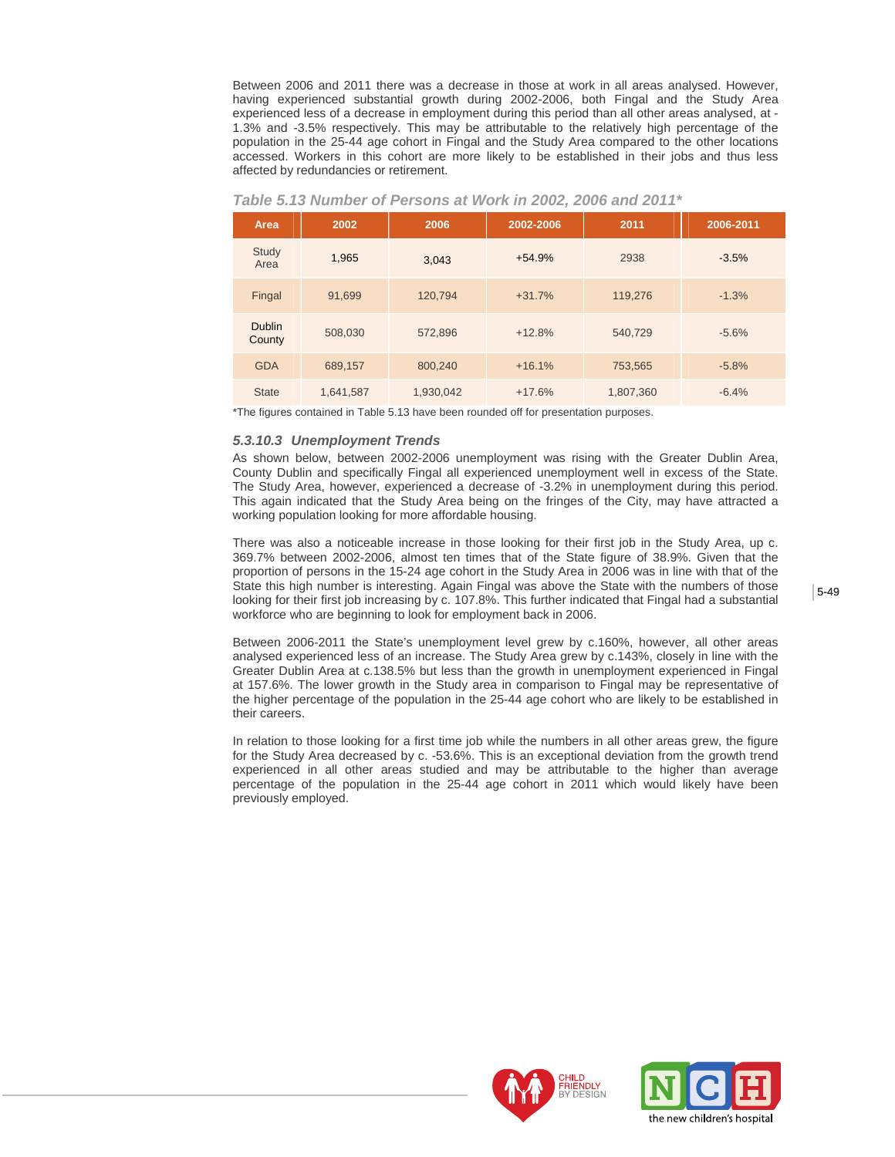Between 2006 and 2011 there was a decrease in those at work in all areas analysed. However, having experienced substantial growth during 2002-2006, both Fingal and the Study Area experienced less of a decrease in employment during this period than all other areas analysed, at - 1.3% and -3.5% respectively. This may be attributable to the relatively high percentage of the population in the 25-44 age cohort in Fingal and the Study Area compared to the other locations accessed. Workers in this cohort are more likely to be established in their jobs and thus less affected by redundancies or retirement.

| Area                    | 2002      | 2006      | 2002-2006 | 2011      | 2006-2011 |
|-------------------------|-----------|-----------|-----------|-----------|-----------|
| Study<br>Area           | 1,965     | 3,043     | $+54.9%$  | 2938      | $-3.5%$   |
| Fingal                  | 91,699    | 120,794   | $+31.7%$  | 119,276   | $-1.3%$   |
| <b>Dublin</b><br>County | 508,030   | 572,896   | $+12.8%$  | 540,729   | $-5.6%$   |
| <b>GDA</b>              | 689,157   | 800,240   | $+16.1%$  | 753,565   | $-5.8%$   |
| <b>State</b>            | 1,641,587 | 1,930,042 | $+17.6%$  | 1,807,360 | $-6.4%$   |

#### *Table 5.13 Number of Persons at Work in 2002, 2006 and 2011\**

\*The figures contained in Table 5.13 have been rounded off for presentation purposes.

### *5.3.10.3 Unemployment Trends*

As shown below, between 2002-2006 unemployment was rising with the Greater Dublin Area, County Dublin and specifically Fingal all experienced unemployment well in excess of the State. The Study Area, however, experienced a decrease of -3.2% in unemployment during this period. This again indicated that the Study Area being on the fringes of the City, may have attracted a working population looking for more affordable housing.

There was also a noticeable increase in those looking for their first job in the Study Area, up c. 369.7% between 2002-2006, almost ten times that of the State figure of 38.9%. Given that the proportion of persons in the 15-24 age cohort in the Study Area in 2006 was in line with that of the State this high number is interesting. Again Fingal was above the State with the numbers of those looking for their first job increasing by c. 107.8%. This further indicated that Fingal had a substantial workforce who are beginning to look for employment back in 2006.

Between 2006-2011 the State's unemployment level grew by c.160%, however, all other areas analysed experienced less of an increase. The Study Area grew by c.143%, closely in line with the Greater Dublin Area at c.138.5% but less than the growth in unemployment experienced in Fingal at 157.6%. The lower growth in the Study area in comparison to Fingal may be representative of the higher percentage of the population in the 25-44 age cohort who are likely to be established in their careers.

In relation to those looking for a first time job while the numbers in all other areas grew, the figure for the Study Area decreased by c. -53.6%. This is an exceptional deviation from the growth trend experienced in all other areas studied and may be attributable to the higher than average percentage of the population in the 25-44 age cohort in 2011 which would likely have been previously employed.



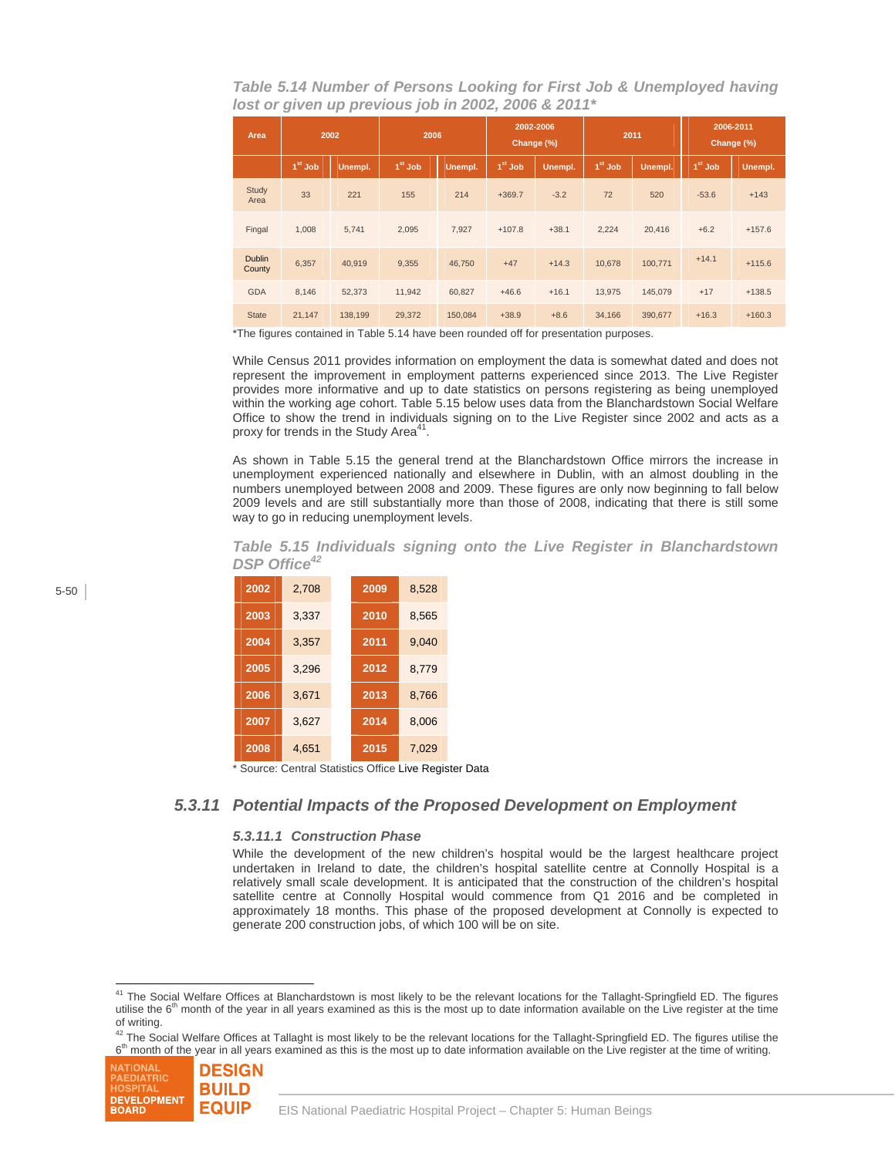*Table 5.14 Number of Persons Looking for First Job & Unemployed having lost or given up previous job in 2002, 2006 & 2011\** 

| Area                    | 2002      |         | 2006      |         | 2002-2006<br>Change (%) |         | 2011      |         | 2006-2011<br>Change (%) |          |
|-------------------------|-----------|---------|-----------|---------|-------------------------|---------|-----------|---------|-------------------------|----------|
|                         | $1st$ Job | Unempl. | $1st$ Job | Unempl. | $1st$ Job               | Unempl. | $1st$ Job | Unempl. | $1st$ Job               | Unempl.  |
| Study<br>Area           | 33        | 221     | 155       | 214     | $+369.7$                | $-3.2$  | 72        | 520     | $-53.6$                 | $+143$   |
| Fingal                  | 1,008     | 5,741   | 2,095     | 7,927   | $+107.8$                | $+38.1$ | 2,224     | 20,416  | $+6.2$                  | $+157.6$ |
| <b>Dublin</b><br>County | 6,357     | 40.919  | 9.355     | 46,750  | $+47$                   | $+14.3$ | 10.678    | 100,771 | $+14.1$                 | $+115.6$ |
| <b>GDA</b>              | 8.146     | 52,373  | 11,942    | 60.827  | $+46.6$                 | $+16.1$ | 13.975    | 145.079 | $+17$                   | $+138.5$ |
| <b>State</b>            | 21,147    | 138,199 | 29,372    | 150,084 | $+38.9$                 | $+8.6$  | 34,166    | 390,677 | $+16.3$                 | $+160.3$ |

\*The figures contained in Table 5.14 have been rounded off for presentation purposes.

While Census 2011 provides information on employment the data is somewhat dated and does not represent the improvement in employment patterns experienced since 2013. The Live Register provides more informative and up to date statistics on persons registering as being unemployed within the working age cohort. Table 5.15 below uses data from the Blanchardstown Social Welfare Office to show the trend in individuals signing on to the Live Register since 2002 and acts as a proxy for trends in the Study Area $41$ .

As shown in Table 5.15 the general trend at the Blanchardstown Office mirrors the increase in unemployment experienced nationally and elsewhere in Dublin, with an almost doubling in the numbers unemployed between 2008 and 2009. These figures are only now beginning to fall below 2009 levels and are still substantially more than those of 2008, indicating that there is still some way to go in reducing unemployment levels.

*Table 5.15 Individuals signing onto the Live Register in Blanchardstown DSP Office<sup>42</sup>*

| 2002 | 2.708 | 2009 | 8,528 |
|------|-------|------|-------|
| 2003 | 3,337 | 2010 | 8,565 |
| 2004 | 3,357 | 2011 | 9,040 |
| 2005 | 3,296 | 2012 | 8.779 |
| 2006 | 3.671 | 2013 | 8.766 |
| 2007 | 3,627 | 2014 | 8,006 |
| 2008 | 4,651 | 2015 | 7,029 |

Source: Central Statistics Office Live Register Data

## *5.3.11 Potential Impacts of the Proposed Development on Employment*

#### *5.3.11.1 Construction Phase*

While the development of the new children's hospital would be the largest healthcare project undertaken in Ireland to date, the children's hospital satellite centre at Connolly Hospital is a relatively small scale development. It is anticipated that the construction of the children's hospital satellite centre at Connolly Hospital would commence from Q1 2016 and be completed in approximately 18 months. This phase of the proposed development at Connolly is expected to generate 200 construction jobs, of which 100 will be on site.

<sup>&</sup>lt;sup>42</sup> The Social Welfare Offices at Tallaght is most likely to be the relevant locations for the Tallaght-Springfield ED. The figures utilise the 6<sup>th</sup> month of the year in all years examined as this is the most up to date information available on the Live register at the time of writing.



l <sup>41</sup> The Social Welfare Offices at Blanchardstown is most likely to be the relevant locations for the Tallaght-Springfield ED. The figures utilise the  $6<sup>th</sup>$  month of the year in all years examined as this is the most up to date information available on the Live register at the time of writing.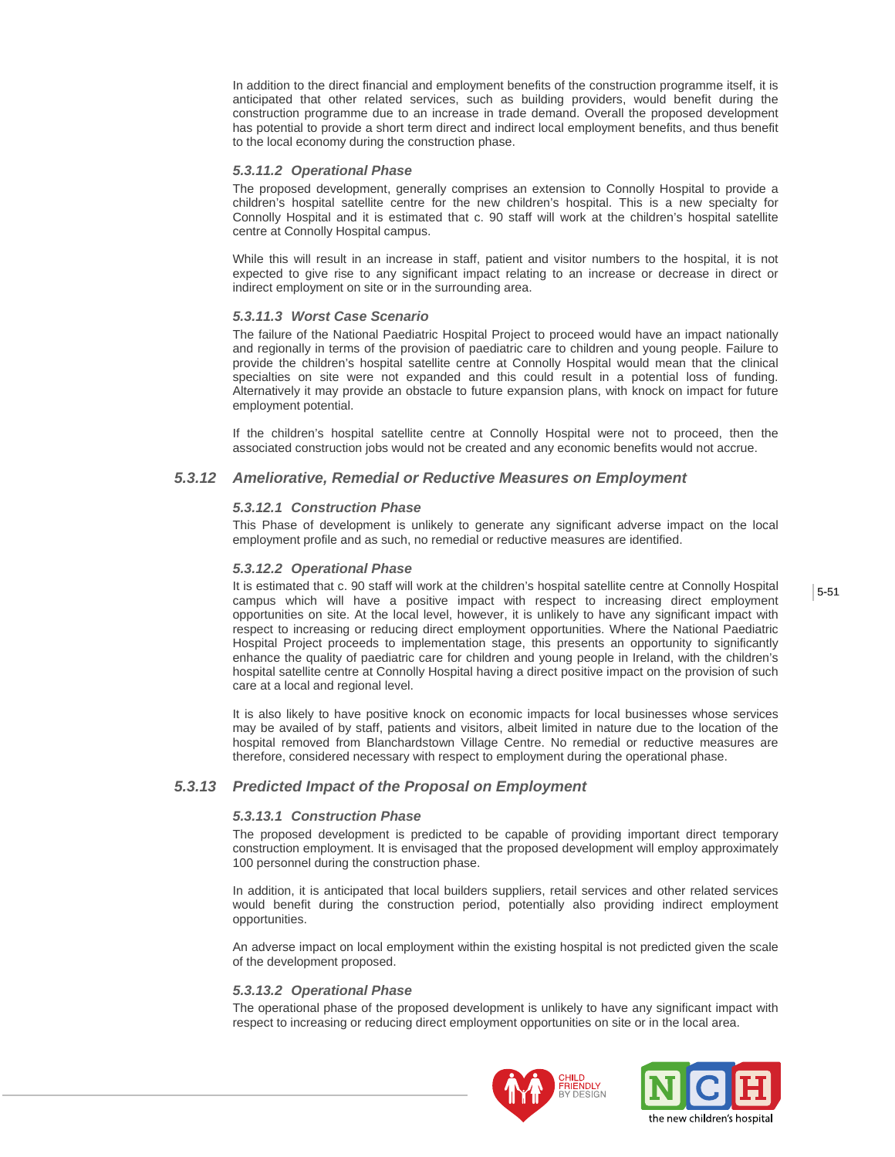In addition to the direct financial and employment benefits of the construction programme itself, it is anticipated that other related services, such as building providers, would benefit during the construction programme due to an increase in trade demand. Overall the proposed development has potential to provide a short term direct and indirect local employment benefits, and thus benefit to the local economy during the construction phase.

#### *5.3.11.2 Operational Phase*

The proposed development, generally comprises an extension to Connolly Hospital to provide a children's hospital satellite centre for the new children's hospital. This is a new specialty for Connolly Hospital and it is estimated that c. 90 staff will work at the children's hospital satellite centre at Connolly Hospital campus.

While this will result in an increase in staff, patient and visitor numbers to the hospital, it is not expected to give rise to any significant impact relating to an increase or decrease in direct or indirect employment on site or in the surrounding area.

#### *5.3.11.3 Worst Case Scenario*

The failure of the National Paediatric Hospital Project to proceed would have an impact nationally and regionally in terms of the provision of paediatric care to children and young people. Failure to provide the children's hospital satellite centre at Connolly Hospital would mean that the clinical specialties on site were not expanded and this could result in a potential loss of funding. Alternatively it may provide an obstacle to future expansion plans, with knock on impact for future employment potential.

If the children's hospital satellite centre at Connolly Hospital were not to proceed, then the associated construction jobs would not be created and any economic benefits would not accrue.

### *5.3.12 Ameliorative, Remedial or Reductive Measures on Employment*

#### *5.3.12.1 Construction Phase*

This Phase of development is unlikely to generate any significant adverse impact on the local employment profile and as such, no remedial or reductive measures are identified.

#### *5.3.12.2 Operational Phase*

It is estimated that c. 90 staff will work at the children's hospital satellite centre at Connolly Hospital campus which will have a positive impact with respect to increasing direct employment opportunities on site. At the local level, however, it is unlikely to have any significant impact with respect to increasing or reducing direct employment opportunities. Where the National Paediatric Hospital Project proceeds to implementation stage, this presents an opportunity to significantly enhance the quality of paediatric care for children and young people in Ireland, with the children's hospital satellite centre at Connolly Hospital having a direct positive impact on the provision of such care at a local and regional level.

It is also likely to have positive knock on economic impacts for local businesses whose services may be availed of by staff, patients and visitors, albeit limited in nature due to the location of the hospital removed from Blanchardstown Village Centre. No remedial or reductive measures are therefore, considered necessary with respect to employment during the operational phase.

## *5.3.13 Predicted Impact of the Proposal on Employment*

#### *5.3.13.1 Construction Phase*

The proposed development is predicted to be capable of providing important direct temporary construction employment. It is envisaged that the proposed development will employ approximately 100 personnel during the construction phase.

In addition, it is anticipated that local builders suppliers, retail services and other related services would benefit during the construction period, potentially also providing indirect employment opportunities.

An adverse impact on local employment within the existing hospital is not predicted given the scale of the development proposed.

#### *5.3.13.2 Operational Phase*

The operational phase of the proposed development is unlikely to have any significant impact with respect to increasing or reducing direct employment opportunities on site or in the local area.



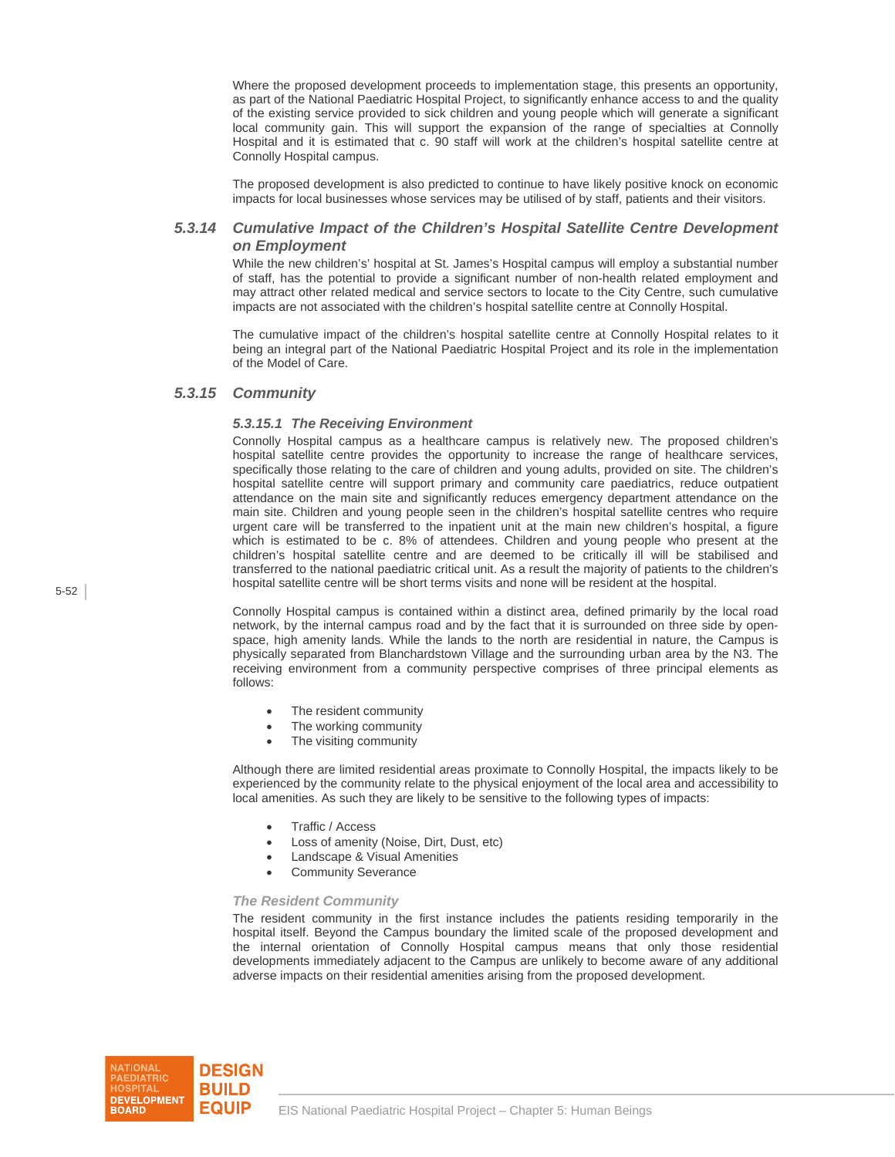Where the proposed development proceeds to implementation stage, this presents an opportunity, as part of the National Paediatric Hospital Project, to significantly enhance access to and the quality of the existing service provided to sick children and young people which will generate a significant local community gain. This will support the expansion of the range of specialties at Connolly Hospital and it is estimated that c. 90 staff will work at the children's hospital satellite centre at Connolly Hospital campus.

The proposed development is also predicted to continue to have likely positive knock on economic impacts for local businesses whose services may be utilised of by staff, patients and their visitors.

## *5.3.14 Cumulative Impact of the Children's Hospital Satellite Centre Development on Employment*

While the new children's' hospital at St. James's Hospital campus will employ a substantial number of staff, has the potential to provide a significant number of non-health related employment and may attract other related medical and service sectors to locate to the City Centre, such cumulative impacts are not associated with the children's hospital satellite centre at Connolly Hospital.

The cumulative impact of the children's hospital satellite centre at Connolly Hospital relates to it being an integral part of the National Paediatric Hospital Project and its role in the implementation of the Model of Care.

## *5.3.15 Community*

#### *5.3.15.1 The Receiving Environment*

Connolly Hospital campus as a healthcare campus is relatively new. The proposed children's hospital satellite centre provides the opportunity to increase the range of healthcare services, specifically those relating to the care of children and young adults, provided on site. The children's hospital satellite centre will support primary and community care paediatrics, reduce outpatient attendance on the main site and significantly reduces emergency department attendance on the main site. Children and young people seen in the children's hospital satellite centres who require urgent care will be transferred to the inpatient unit at the main new children's hospital, a figure which is estimated to be c. 8% of attendees. Children and young people who present at the children's hospital satellite centre and are deemed to be critically ill will be stabilised and transferred to the national paediatric critical unit. As a result the majority of patients to the children's hospital satellite centre will be short terms visits and none will be resident at the hospital.

Connolly Hospital campus is contained within a distinct area, defined primarily by the local road network, by the internal campus road and by the fact that it is surrounded on three side by openspace, high amenity lands. While the lands to the north are residential in nature, the Campus is physically separated from Blanchardstown Village and the surrounding urban area by the N3. The receiving environment from a community perspective comprises of three principal elements as follows:

- The resident community
- The working community
- The visiting community

Although there are limited residential areas proximate to Connolly Hospital, the impacts likely to be experienced by the community relate to the physical enjoyment of the local area and accessibility to local amenities. As such they are likely to be sensitive to the following types of impacts:

- Traffic / Access
- Loss of amenity (Noise, Dirt, Dust, etc)
- Landscape & Visual Amenities
- Community Severance

#### *The Resident Community*

The resident community in the first instance includes the patients residing temporarily in the hospital itself. Beyond the Campus boundary the limited scale of the proposed development and the internal orientation of Connolly Hospital campus means that only those residential developments immediately adjacent to the Campus are unlikely to become aware of any additional adverse impacts on their residential amenities arising from the proposed development.

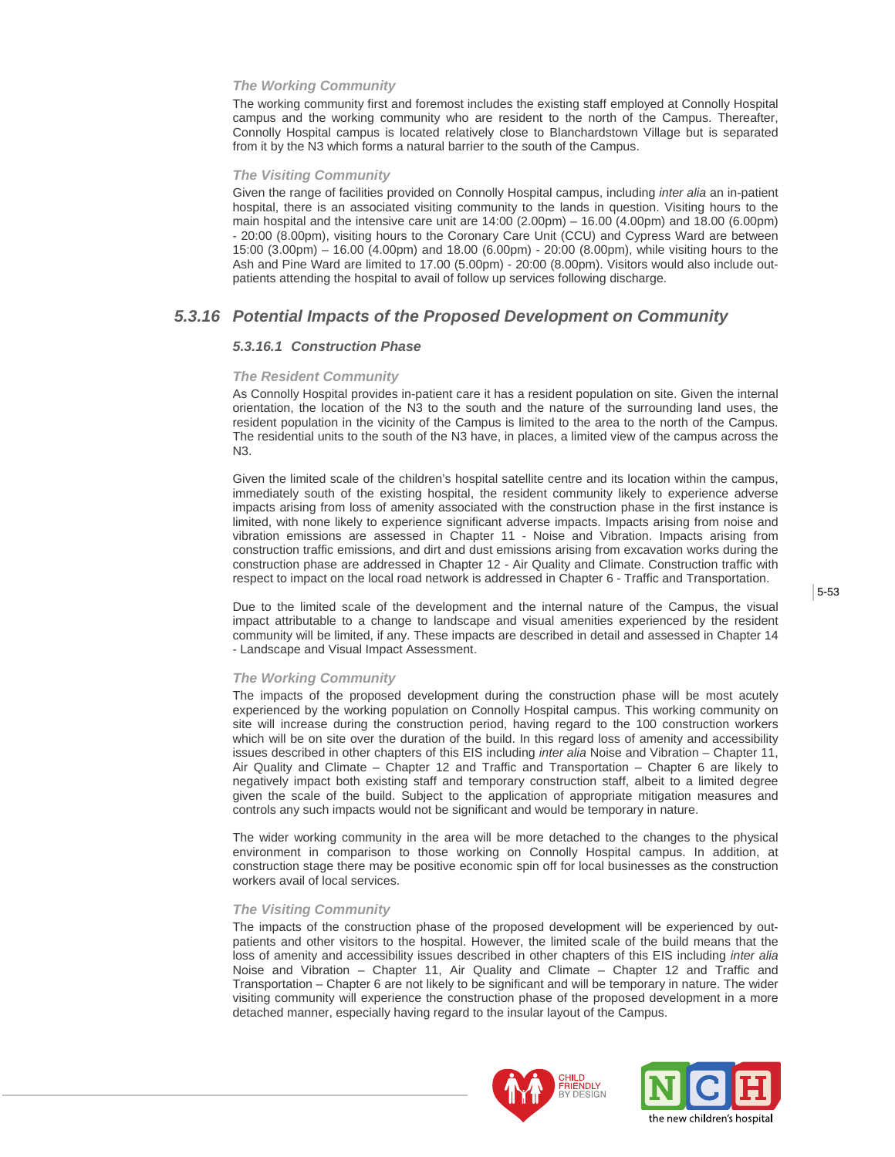#### *The Working Community*

The working community first and foremost includes the existing staff employed at Connolly Hospital campus and the working community who are resident to the north of the Campus. Thereafter, Connolly Hospital campus is located relatively close to Blanchardstown Village but is separated from it by the N3 which forms a natural barrier to the south of the Campus.

#### *The Visiting Community*

Given the range of facilities provided on Connolly Hospital campus, including *inter alia* an in-patient hospital, there is an associated visiting community to the lands in question. Visiting hours to the main hospital and the intensive care unit are 14:00 (2.00pm) – 16.00 (4.00pm) and 18.00 (6.00pm) - 20:00 (8.00pm), visiting hours to the Coronary Care Unit (CCU) and Cypress Ward are between 15:00 (3.00pm) – 16.00 (4.00pm) and 18.00 (6.00pm) - 20:00 (8.00pm), while visiting hours to the Ash and Pine Ward are limited to 17.00 (5.00pm) - 20:00 (8.00pm). Visitors would also include outpatients attending the hospital to avail of follow up services following discharge.

## *5.3.16 Potential Impacts of the Proposed Development on Community*

#### *5.3.16.1 Construction Phase*

#### *The Resident Community*

As Connolly Hospital provides in-patient care it has a resident population on site. Given the internal orientation, the location of the N3 to the south and the nature of the surrounding land uses, the resident population in the vicinity of the Campus is limited to the area to the north of the Campus. The residential units to the south of the N3 have, in places, a limited view of the campus across the N3.

Given the limited scale of the children's hospital satellite centre and its location within the campus, immediately south of the existing hospital, the resident community likely to experience adverse impacts arising from loss of amenity associated with the construction phase in the first instance is limited, with none likely to experience significant adverse impacts. Impacts arising from noise and vibration emissions are assessed in Chapter 11 - Noise and Vibration. Impacts arising from construction traffic emissions, and dirt and dust emissions arising from excavation works during the construction phase are addressed in Chapter 12 - Air Quality and Climate. Construction traffic with respect to impact on the local road network is addressed in Chapter 6 - Traffic and Transportation.

Due to the limited scale of the development and the internal nature of the Campus, the visual impact attributable to a change to landscape and visual amenities experienced by the resident community will be limited, if any. These impacts are described in detail and assessed in Chapter 14 - Landscape and Visual Impact Assessment.

#### *The Working Community*

The impacts of the proposed development during the construction phase will be most acutely experienced by the working population on Connolly Hospital campus. This working community on site will increase during the construction period, having regard to the 100 construction workers which will be on site over the duration of the build. In this regard loss of amenity and accessibility issues described in other chapters of this EIS including *inter alia* Noise and Vibration – Chapter 11, Air Quality and Climate – Chapter 12 and Traffic and Transportation – Chapter 6 are likely to negatively impact both existing staff and temporary construction staff, albeit to a limited degree given the scale of the build. Subject to the application of appropriate mitigation measures and controls any such impacts would not be significant and would be temporary in nature.

The wider working community in the area will be more detached to the changes to the physical environment in comparison to those working on Connolly Hospital campus. In addition, at construction stage there may be positive economic spin off for local businesses as the construction workers avail of local services.

#### *The Visiting Community*

The impacts of the construction phase of the proposed development will be experienced by outpatients and other visitors to the hospital. However, the limited scale of the build means that the loss of amenity and accessibility issues described in other chapters of this EIS including *inter alia*  Noise and Vibration – Chapter 11, Air Quality and Climate – Chapter 12 and Traffic and Transportation – Chapter 6 are not likely to be significant and will be temporary in nature. The wider visiting community will experience the construction phase of the proposed development in a more detached manner, especially having regard to the insular layout of the Campus.



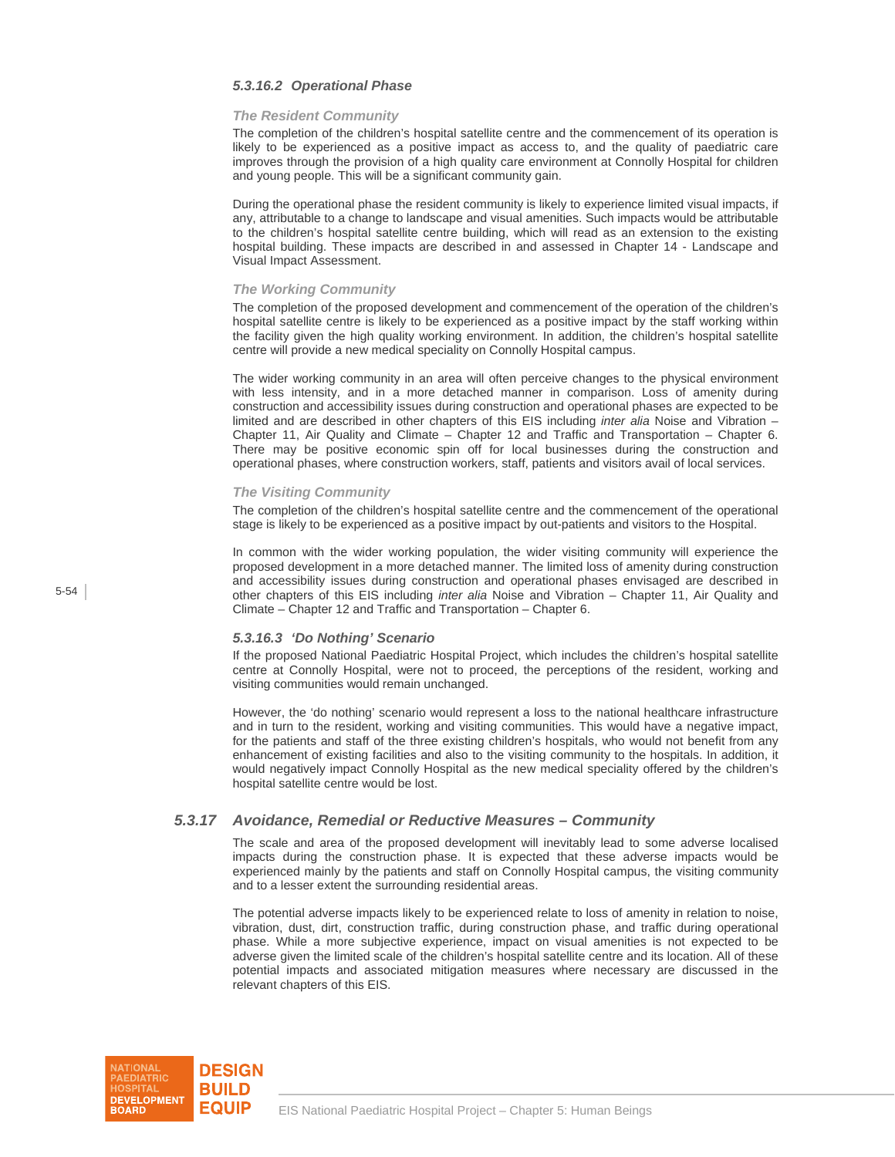#### *5.3.16.2 Operational Phase*

#### *The Resident Community*

The completion of the children's hospital satellite centre and the commencement of its operation is likely to be experienced as a positive impact as access to, and the quality of paediatric care improves through the provision of a high quality care environment at Connolly Hospital for children and young people. This will be a significant community gain.

During the operational phase the resident community is likely to experience limited visual impacts, if any, attributable to a change to landscape and visual amenities. Such impacts would be attributable to the children's hospital satellite centre building, which will read as an extension to the existing hospital building. These impacts are described in and assessed in Chapter 14 - Landscape and Visual Impact Assessment.

#### *The Working Community*

The completion of the proposed development and commencement of the operation of the children's hospital satellite centre is likely to be experienced as a positive impact by the staff working within the facility given the high quality working environment. In addition, the children's hospital satellite centre will provide a new medical speciality on Connolly Hospital campus.

The wider working community in an area will often perceive changes to the physical environment with less intensity, and in a more detached manner in comparison. Loss of amenity during construction and accessibility issues during construction and operational phases are expected to be limited and are described in other chapters of this EIS including *inter alia* Noise and Vibration – Chapter 11, Air Quality and Climate – Chapter 12 and Traffic and Transportation – Chapter 6. There may be positive economic spin off for local businesses during the construction and operational phases, where construction workers, staff, patients and visitors avail of local services.

#### *The Visiting Community*

The completion of the children's hospital satellite centre and the commencement of the operational stage is likely to be experienced as a positive impact by out-patients and visitors to the Hospital.

In common with the wider working population, the wider visiting community will experience the proposed development in a more detached manner. The limited loss of amenity during construction and accessibility issues during construction and operational phases envisaged are described in other chapters of this EIS including *inter alia* Noise and Vibration – Chapter 11, Air Quality and Climate – Chapter 12 and Traffic and Transportation – Chapter 6.

#### *5.3.16.3 'Do Nothing' Scenario*

If the proposed National Paediatric Hospital Project, which includes the children's hospital satellite centre at Connolly Hospital, were not to proceed, the perceptions of the resident, working and visiting communities would remain unchanged.

However, the 'do nothing' scenario would represent a loss to the national healthcare infrastructure and in turn to the resident, working and visiting communities. This would have a negative impact, for the patients and staff of the three existing children's hospitals, who would not benefit from any enhancement of existing facilities and also to the visiting community to the hospitals. In addition, it would negatively impact Connolly Hospital as the new medical speciality offered by the children's hospital satellite centre would be lost.

#### *5.3.17 Avoidance, Remedial or Reductive Measures – Community*

The scale and area of the proposed development will inevitably lead to some adverse localised impacts during the construction phase. It is expected that these adverse impacts would be experienced mainly by the patients and staff on Connolly Hospital campus, the visiting community and to a lesser extent the surrounding residential areas.

The potential adverse impacts likely to be experienced relate to loss of amenity in relation to noise, vibration, dust, dirt, construction traffic, during construction phase, and traffic during operational phase. While a more subjective experience, impact on visual amenities is not expected to be adverse given the limited scale of the children's hospital satellite centre and its location. All of these potential impacts and associated mitigation measures where necessary are discussed in the relevant chapters of this EIS.

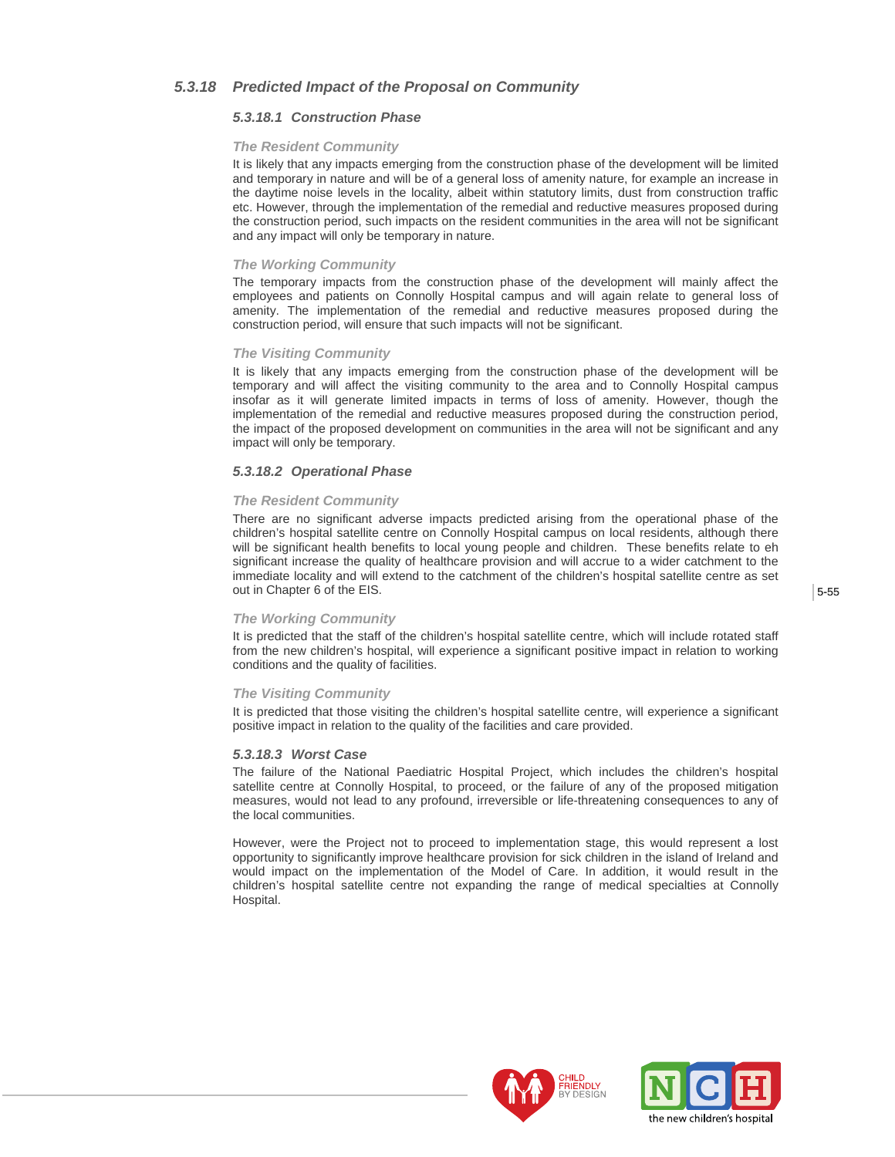## *5.3.18 Predicted Impact of the Proposal on Community*

#### *5.3.18.1 Construction Phase*

#### *The Resident Community*

It is likely that any impacts emerging from the construction phase of the development will be limited and temporary in nature and will be of a general loss of amenity nature, for example an increase in the daytime noise levels in the locality, albeit within statutory limits, dust from construction traffic etc. However, through the implementation of the remedial and reductive measures proposed during the construction period, such impacts on the resident communities in the area will not be significant and any impact will only be temporary in nature.

#### *The Working Community*

The temporary impacts from the construction phase of the development will mainly affect the employees and patients on Connolly Hospital campus and will again relate to general loss of amenity. The implementation of the remedial and reductive measures proposed during the construction period, will ensure that such impacts will not be significant.

#### *The Visiting Community*

It is likely that any impacts emerging from the construction phase of the development will be temporary and will affect the visiting community to the area and to Connolly Hospital campus insofar as it will generate limited impacts in terms of loss of amenity. However, though the implementation of the remedial and reductive measures proposed during the construction period, the impact of the proposed development on communities in the area will not be significant and any impact will only be temporary.

#### *5.3.18.2 Operational Phase*

#### *The Resident Community*

There are no significant adverse impacts predicted arising from the operational phase of the children's hospital satellite centre on Connolly Hospital campus on local residents, although there will be significant health benefits to local young people and children. These benefits relate to eh significant increase the quality of healthcare provision and will accrue to a wider catchment to the immediate locality and will extend to the catchment of the children's hospital satellite centre as set out in Chapter 6 of the EIS.

#### *The Working Community*

It is predicted that the staff of the children's hospital satellite centre, which will include rotated staff from the new children's hospital, will experience a significant positive impact in relation to working conditions and the quality of facilities.

#### *The Visiting Community*

It is predicted that those visiting the children's hospital satellite centre, will experience a significant positive impact in relation to the quality of the facilities and care provided.

#### *5.3.18.3 Worst Case*

The failure of the National Paediatric Hospital Project, which includes the children's hospital satellite centre at Connolly Hospital, to proceed, or the failure of any of the proposed mitigation measures, would not lead to any profound, irreversible or life-threatening consequences to any of the local communities.

However, were the Project not to proceed to implementation stage, this would represent a lost opportunity to significantly improve healthcare provision for sick children in the island of Ireland and would impact on the implementation of the Model of Care. In addition, it would result in the children's hospital satellite centre not expanding the range of medical specialties at Connolly Hospital.